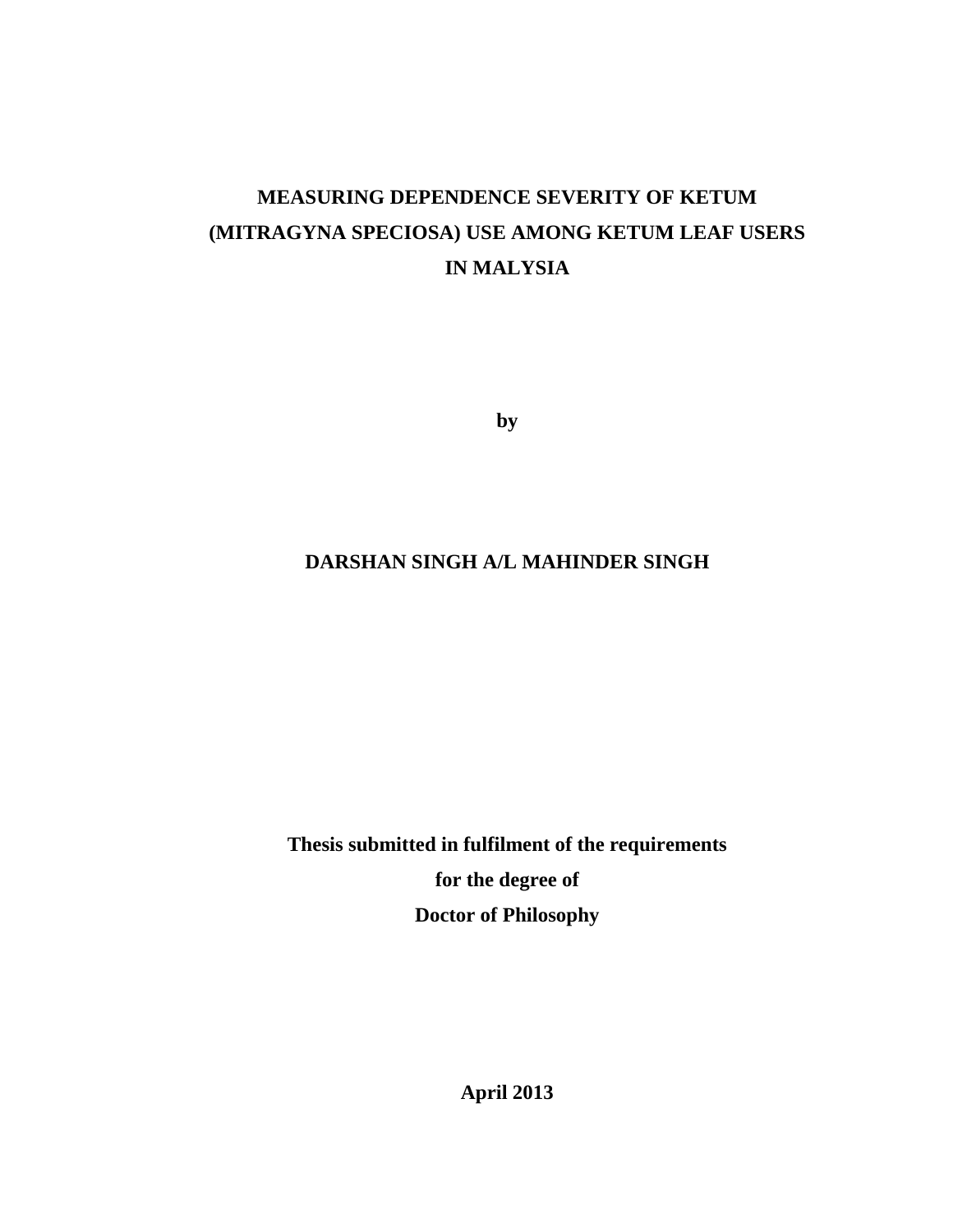# **MEASURING DEPENDENCE SEVERITY OF KETUM (MITRAGYNA SPECIOSA) USE AMONG KETUM LEAF USERS IN MALYSIA**

**by** 

# **DARSHAN SINGH A/L MAHINDER SINGH**

**Thesis submitted in fulfilment of the requirements for the degree of Doctor of Philosophy** 

**April 2013**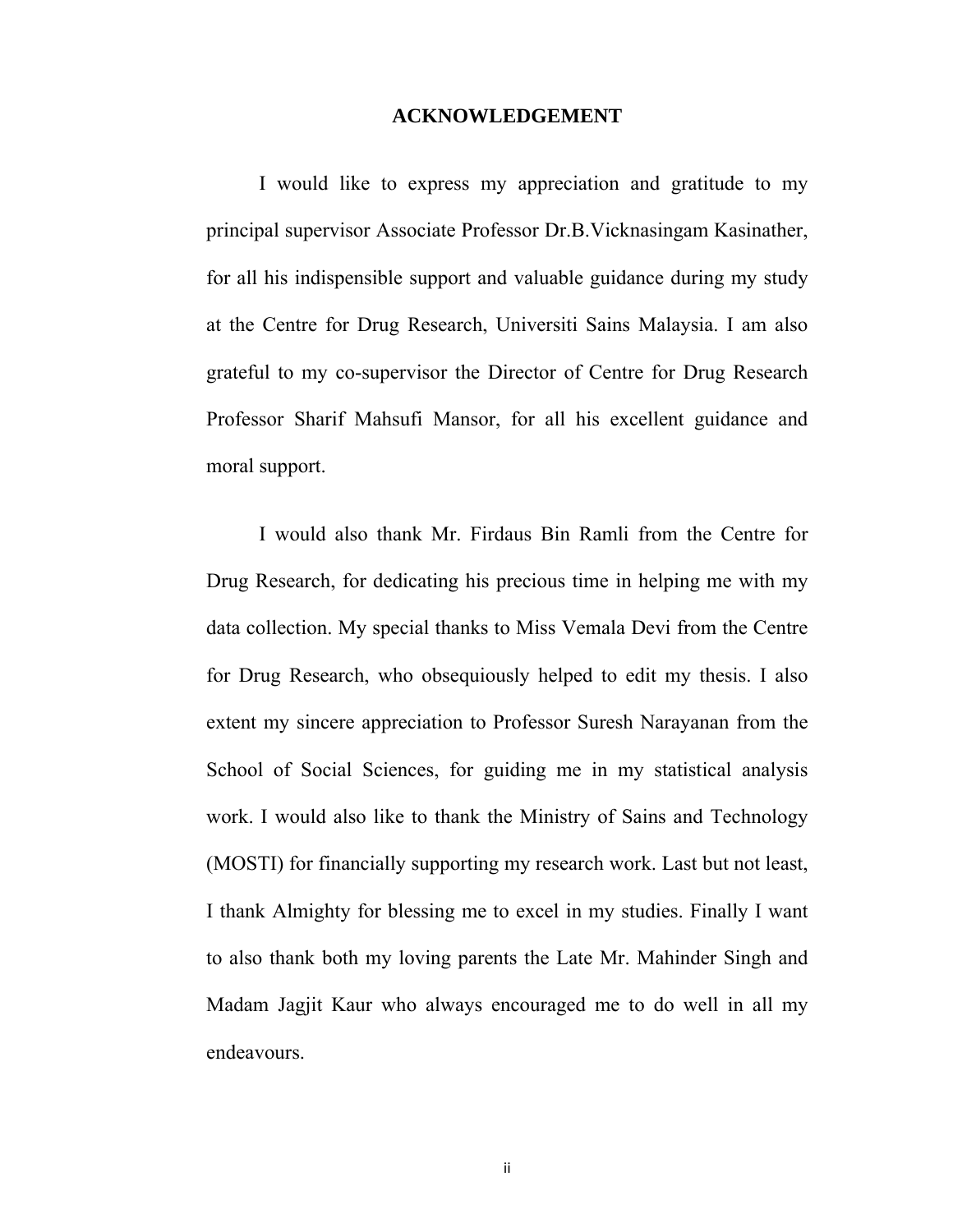## **ACKNOWLEDGEMENT**

I would like to express my appreciation and gratitude to my principal supervisor Associate Professor Dr.B.Vicknasingam Kasinather, for all his indispensible support and valuable guidance during my study at the Centre for Drug Research, Universiti Sains Malaysia. I am also grateful to my co-supervisor the Director of Centre for Drug Research Professor Sharif Mahsufi Mansor, for all his excellent guidance and moral support.

I would also thank Mr. Firdaus Bin Ramli from the Centre for Drug Research, for dedicating his precious time in helping me with my data collection. My special thanks to Miss Vemala Devi from the Centre for Drug Research, who obsequiously helped to edit my thesis. I also extent my sincere appreciation to Professor Suresh Narayanan from the School of Social Sciences, for guiding me in my statistical analysis work. I would also like to thank the Ministry of Sains and Technology (MOSTI) for financially supporting my research work. Last but not least, I thank Almighty for blessing me to excel in my studies. Finally I want to also thank both my loving parents the Late Mr. Mahinder Singh and Madam Jagjit Kaur who always encouraged me to do well in all my endeavours.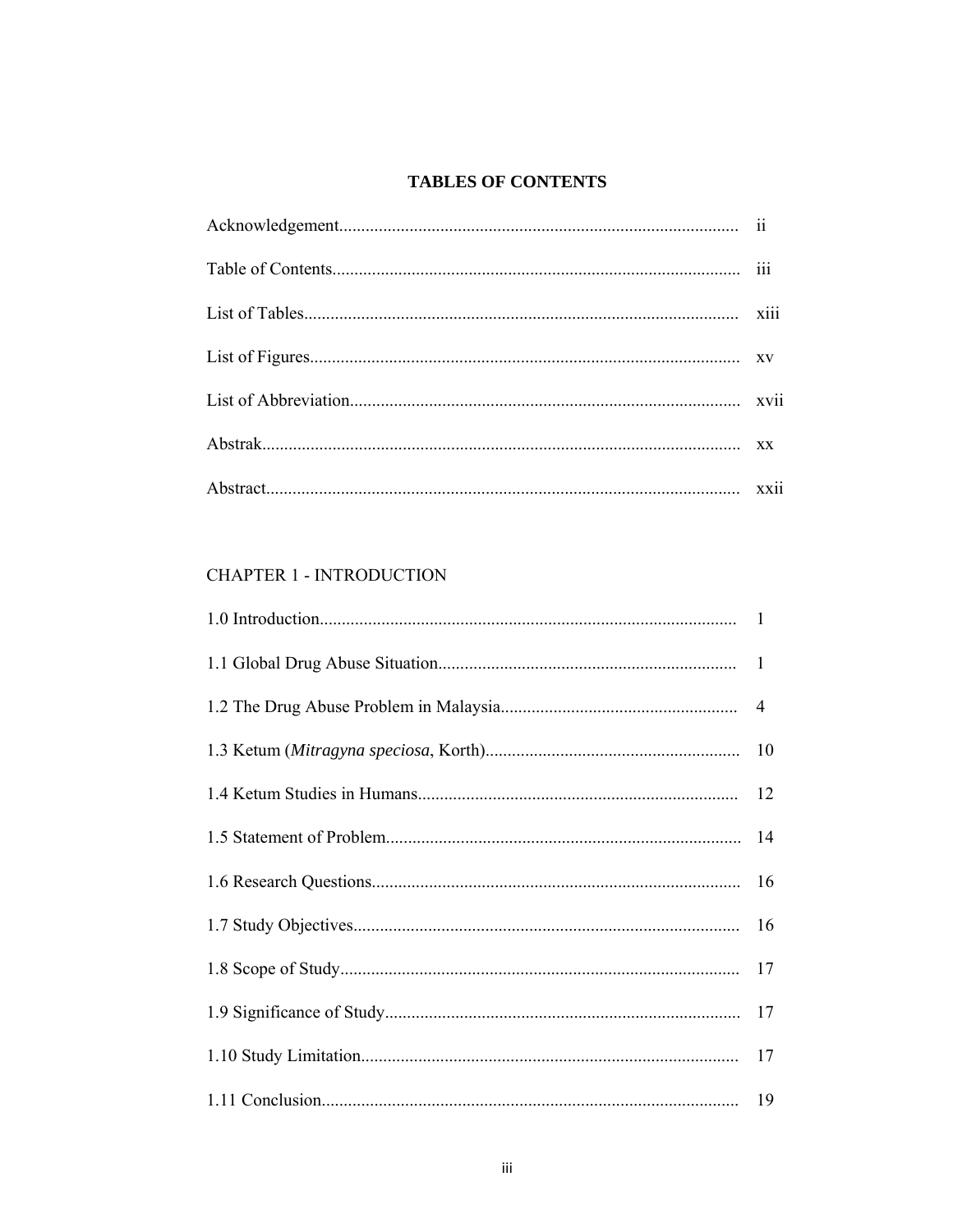# **TABLES OF CONTENTS**

# **CHAPTER 1 - INTRODUCTION**

| 17 |
|----|
|    |
|    |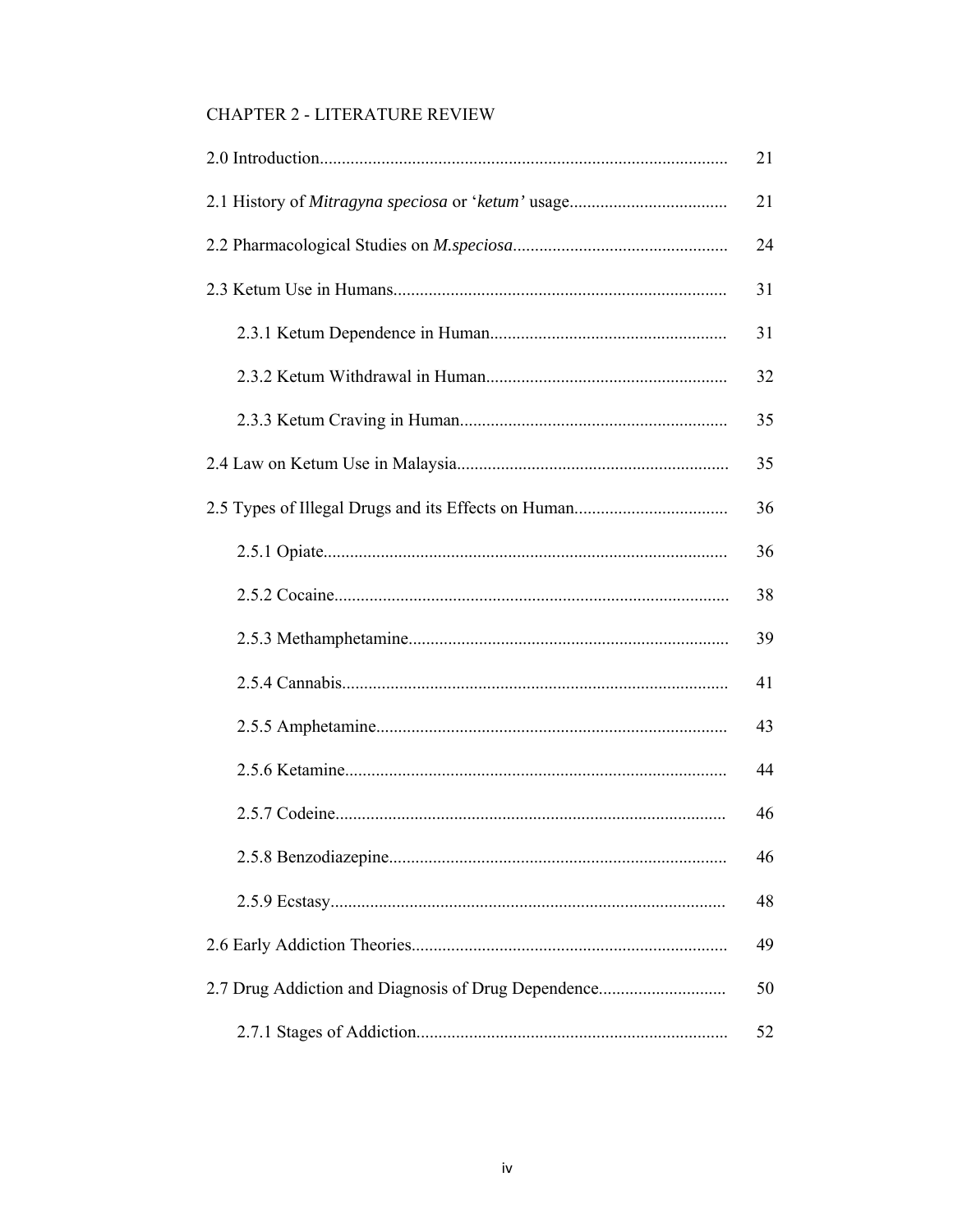# **CHAPTER 2 - LITERATURE REVIEW**

|                                                     | 21 |
|-----------------------------------------------------|----|
|                                                     | 21 |
|                                                     | 24 |
|                                                     | 31 |
|                                                     | 31 |
|                                                     | 32 |
|                                                     | 35 |
|                                                     | 35 |
|                                                     | 36 |
|                                                     | 36 |
|                                                     | 38 |
|                                                     | 39 |
|                                                     | 41 |
|                                                     | 43 |
|                                                     | 44 |
|                                                     | 46 |
|                                                     | 46 |
|                                                     | 48 |
|                                                     | 49 |
| 2.7 Drug Addiction and Diagnosis of Drug Dependence | 50 |
|                                                     | 52 |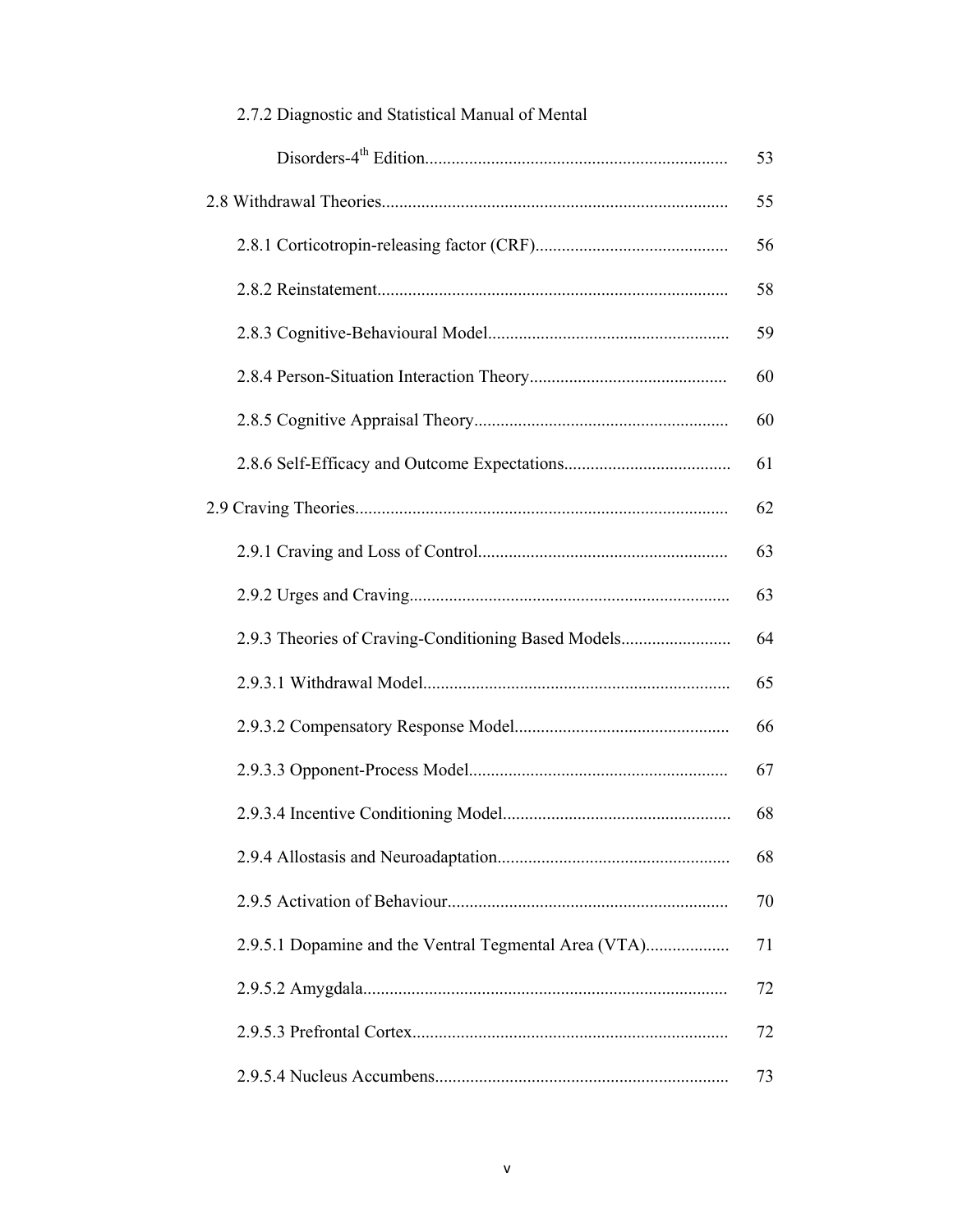|                                                       | 53 |
|-------------------------------------------------------|----|
|                                                       | 55 |
|                                                       | 56 |
|                                                       | 58 |
|                                                       | 59 |
|                                                       | 60 |
|                                                       | 60 |
|                                                       | 61 |
|                                                       | 62 |
|                                                       | 63 |
|                                                       | 63 |
| 2.9.3 Theories of Craving-Conditioning Based Models   | 64 |
|                                                       | 65 |
|                                                       | 66 |
|                                                       | 67 |
|                                                       | 68 |
|                                                       | 68 |
|                                                       | 70 |
| 2.9.5.1 Dopamine and the Ventral Tegmental Area (VTA) | 71 |
|                                                       | 72 |
|                                                       | 72 |
|                                                       | 73 |

# 2.7.2 Diagnostic and Statistical Manual of Mental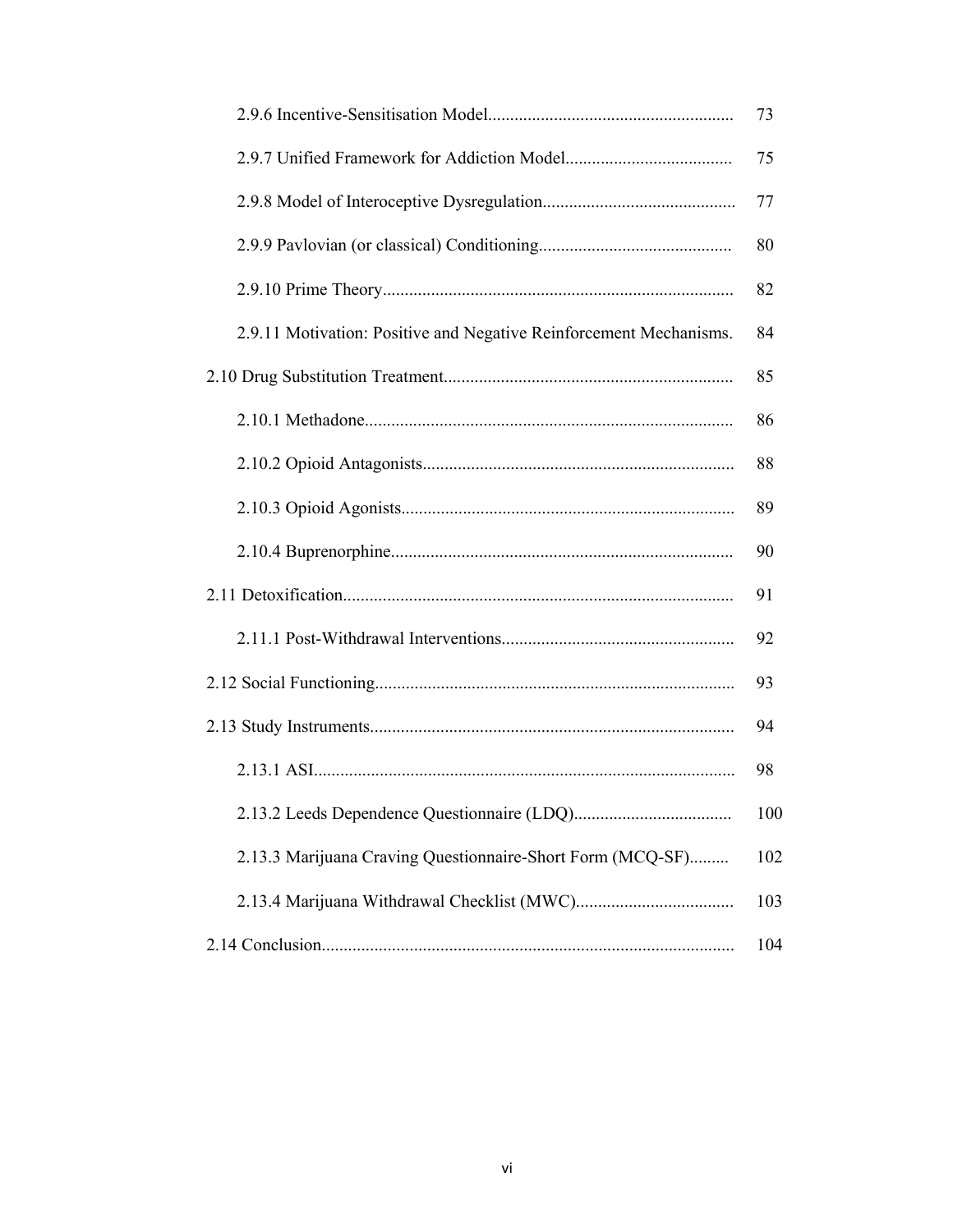|                                                                    | 73  |
|--------------------------------------------------------------------|-----|
|                                                                    | 75  |
|                                                                    | 77  |
|                                                                    | 80  |
|                                                                    | 82  |
| 2.9.11 Motivation: Positive and Negative Reinforcement Mechanisms. | 84  |
|                                                                    | 85  |
|                                                                    | 86  |
|                                                                    | 88  |
|                                                                    | 89  |
|                                                                    | 90  |
|                                                                    | 91  |
|                                                                    | 92  |
|                                                                    | 93  |
|                                                                    | 94  |
|                                                                    | 98  |
|                                                                    | 100 |
| 2.13.3 Marijuana Craving Questionnaire-Short Form (MCQ-SF)         | 102 |
|                                                                    | 103 |
|                                                                    | 104 |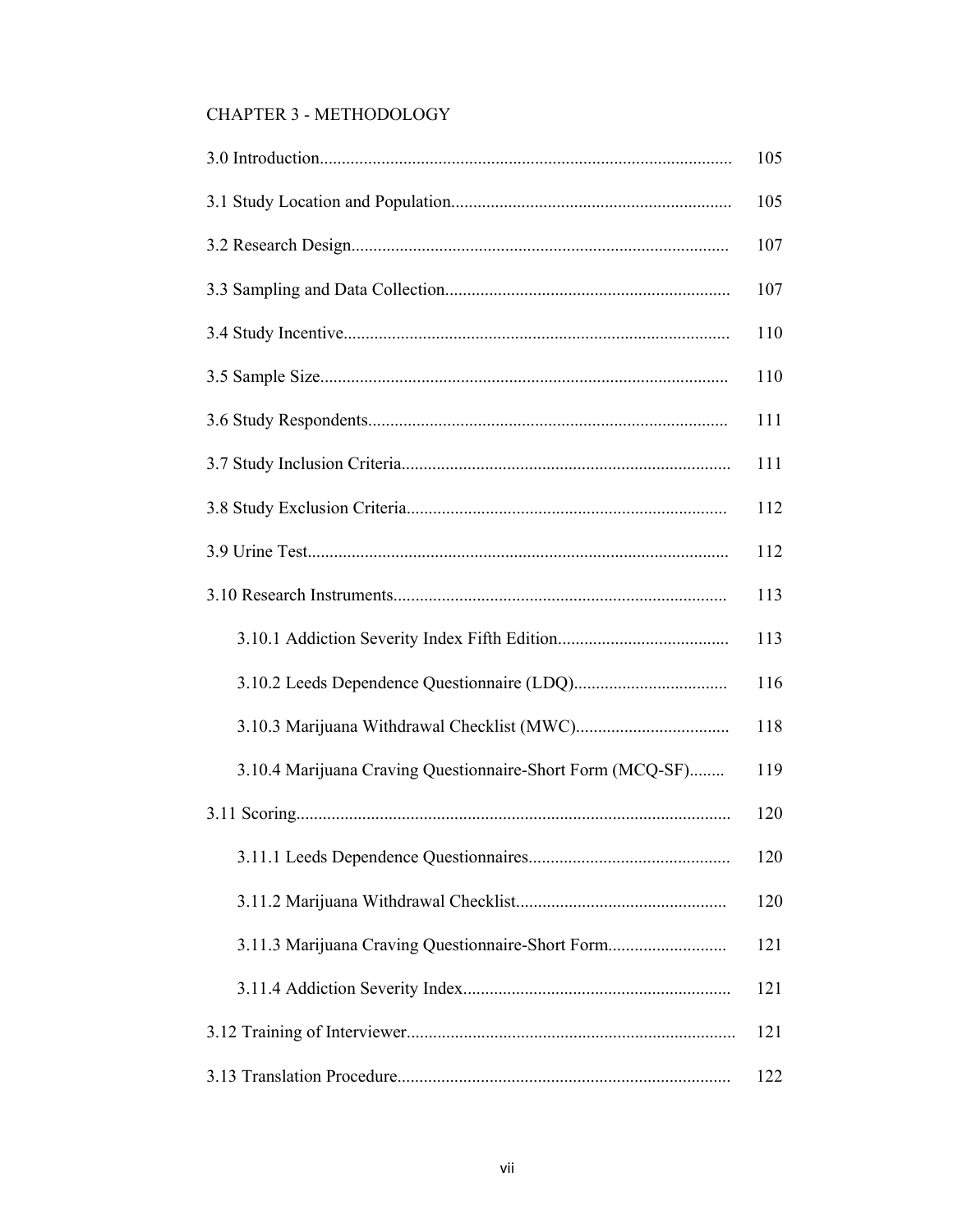# CHAPTER 3 - METHODOLOGY

|                                                            | 105 |
|------------------------------------------------------------|-----|
|                                                            | 105 |
|                                                            | 107 |
|                                                            | 107 |
|                                                            | 110 |
|                                                            | 110 |
|                                                            | 111 |
|                                                            | 111 |
|                                                            | 112 |
|                                                            | 112 |
|                                                            |     |
|                                                            | 113 |
|                                                            | 116 |
|                                                            | 118 |
| 3.10.4 Marijuana Craving Questionnaire-Short Form (MCQ-SF) | 119 |
|                                                            | 120 |
|                                                            | 120 |
|                                                            | 120 |
| 3.11.3 Marijuana Craving Questionnaire-Short Form          | 121 |
|                                                            | 121 |
|                                                            | 121 |
|                                                            | 122 |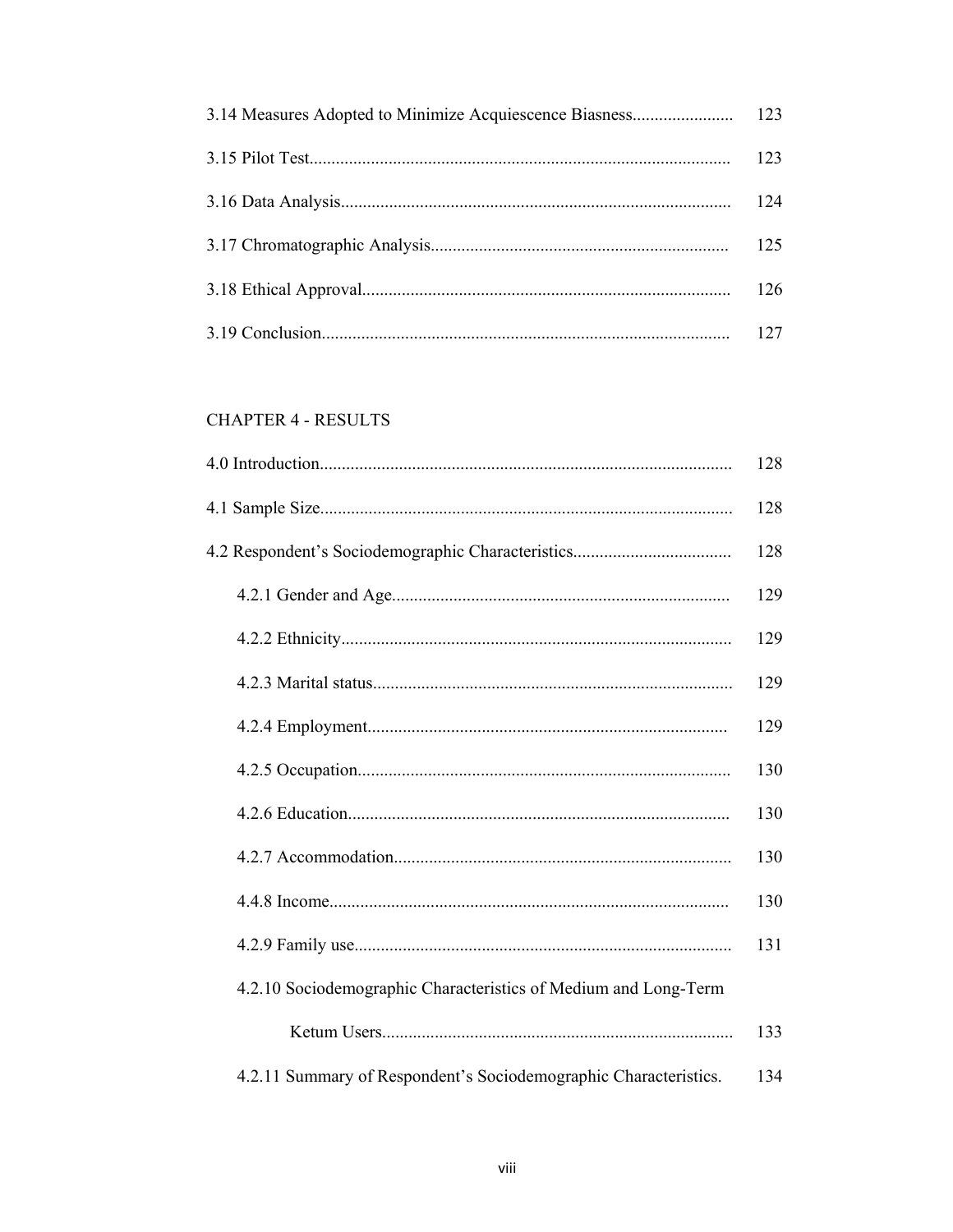| 123 |
|-----|
| 124 |
| 125 |
| 126 |
| 127 |

# **CHAPTER 4 - RESULTS**

|                                                                  | 128 |
|------------------------------------------------------------------|-----|
|                                                                  | 128 |
|                                                                  | 128 |
|                                                                  | 129 |
|                                                                  | 129 |
|                                                                  | 129 |
|                                                                  | 129 |
|                                                                  | 130 |
|                                                                  | 130 |
|                                                                  | 130 |
|                                                                  | 130 |
|                                                                  | 131 |
| 4.2.10 Sociodemographic Characteristics of Medium and Long-Term  |     |
|                                                                  | 133 |
| 4.2.11 Summary of Respondent's Sociodemographic Characteristics. | 134 |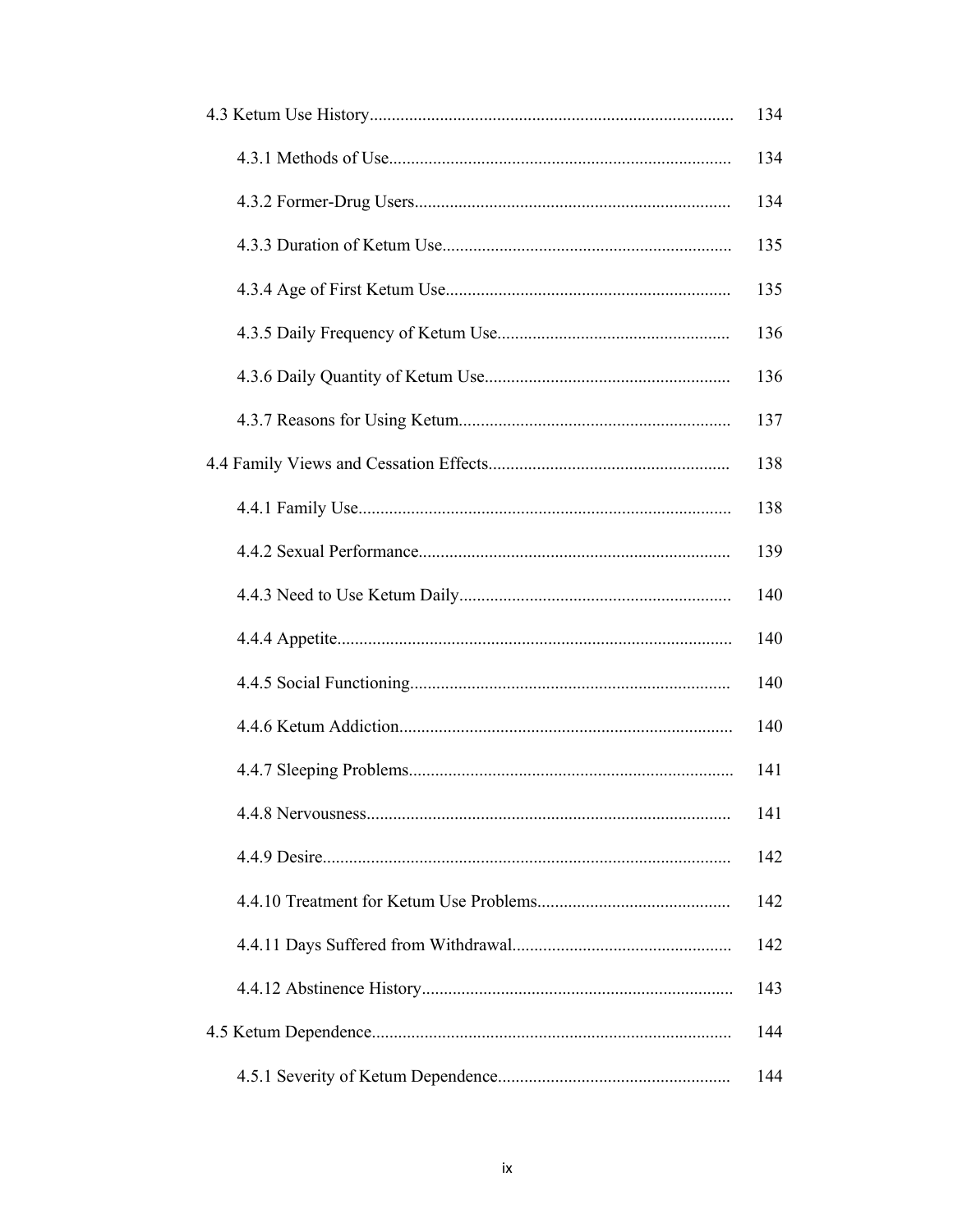| 134 |
|-----|
| 134 |
| 134 |
| 135 |
| 135 |
| 136 |
| 136 |
| 137 |
| 138 |
| 138 |
| 139 |
| 140 |
| 140 |
| 140 |
| 140 |
| 141 |
| 141 |
| 142 |
| 142 |
| 142 |
| 143 |
| 144 |
| 144 |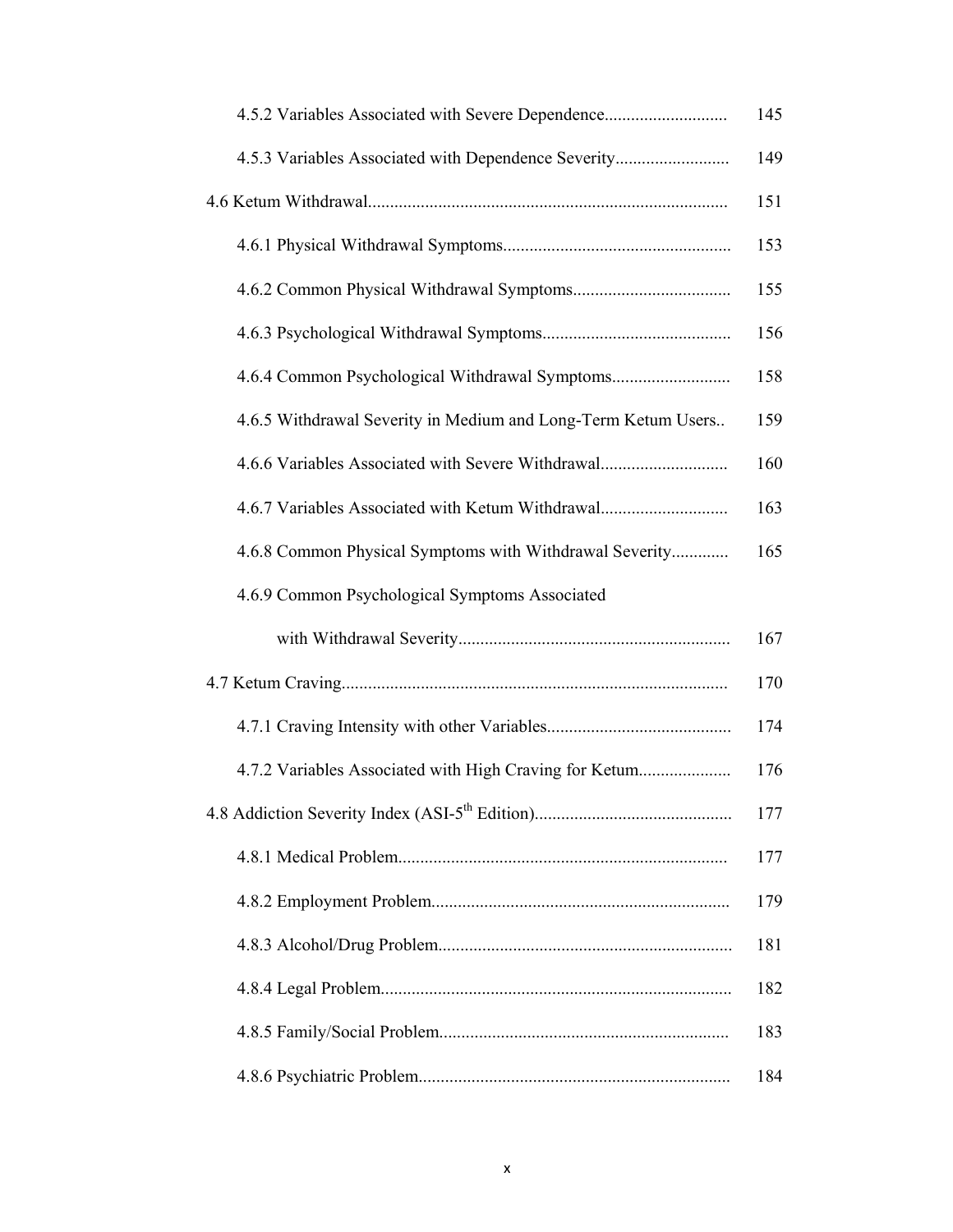| 4.5.2 Variables Associated with Severe Dependence             | 145 |
|---------------------------------------------------------------|-----|
| 4.5.3 Variables Associated with Dependence Severity           | 149 |
|                                                               | 151 |
|                                                               | 153 |
|                                                               | 155 |
|                                                               | 156 |
| 4.6.4 Common Psychological Withdrawal Symptoms                | 158 |
| 4.6.5 Withdrawal Severity in Medium and Long-Term Ketum Users | 159 |
| 4.6.6 Variables Associated with Severe Withdrawal             | 160 |
| 4.6.7 Variables Associated with Ketum Withdrawal              | 163 |
| 4.6.8 Common Physical Symptoms with Withdrawal Severity       | 165 |
| 4.6.9 Common Psychological Symptoms Associated                |     |
|                                                               | 167 |
|                                                               | 170 |
|                                                               | 174 |
| 4.7.2 Variables Associated with High Craving for Ketum        | 176 |
|                                                               | 177 |
|                                                               | 177 |
|                                                               | 179 |
|                                                               | 181 |
|                                                               | 182 |
|                                                               | 183 |
|                                                               | 184 |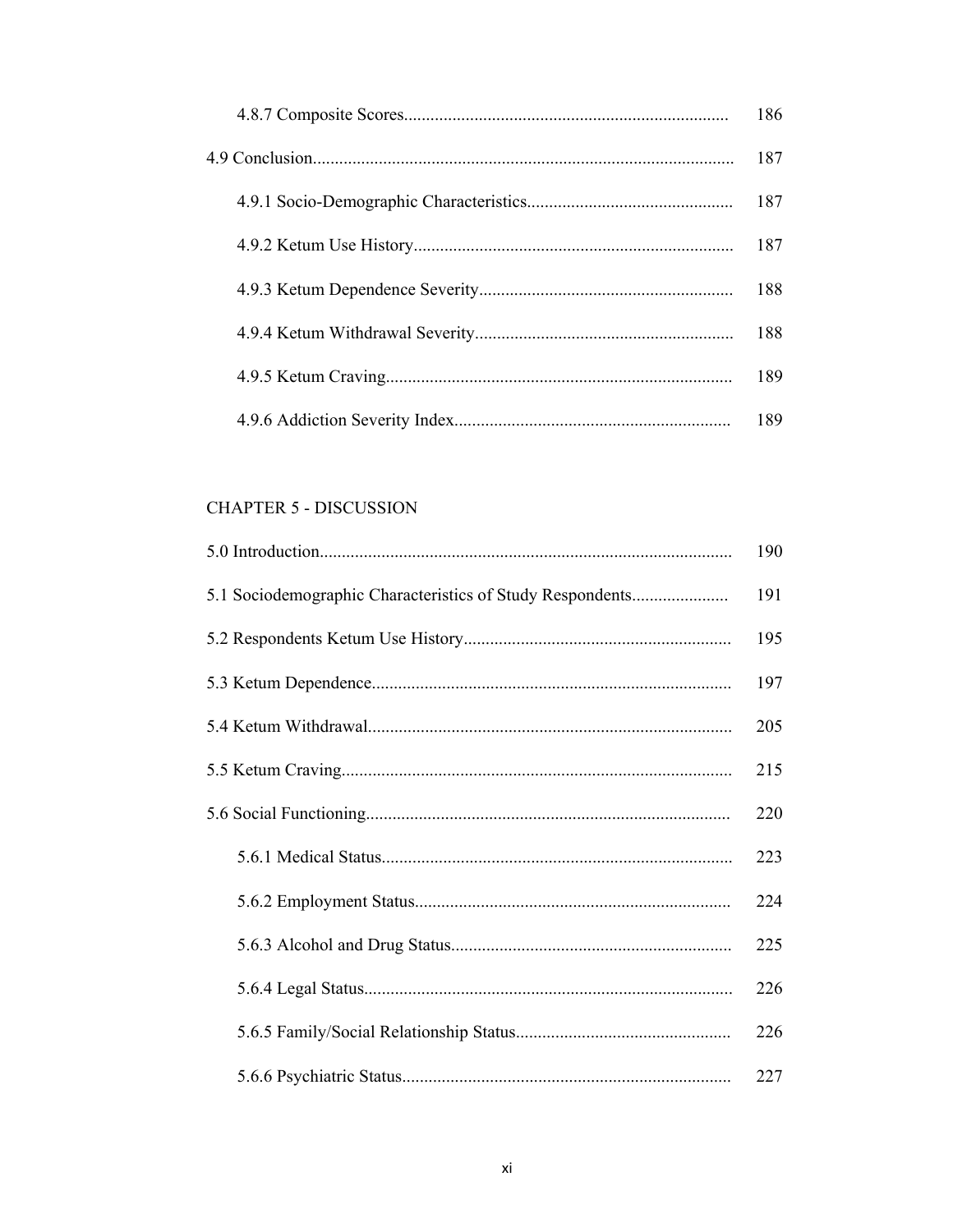| 186 |
|-----|
| 187 |
| 187 |
| 187 |
| 188 |
| 188 |
| 189 |
| 189 |

# **CHAPTER 5 - DISCUSSION**

|                                                           | 190 |
|-----------------------------------------------------------|-----|
| 5.1 Sociodemographic Characteristics of Study Respondents | 191 |
|                                                           | 195 |
|                                                           | 197 |
|                                                           | 205 |
|                                                           | 215 |
|                                                           | 220 |
|                                                           | 223 |
|                                                           | 224 |
|                                                           | 225 |
|                                                           | 226 |
|                                                           | 226 |
|                                                           | 227 |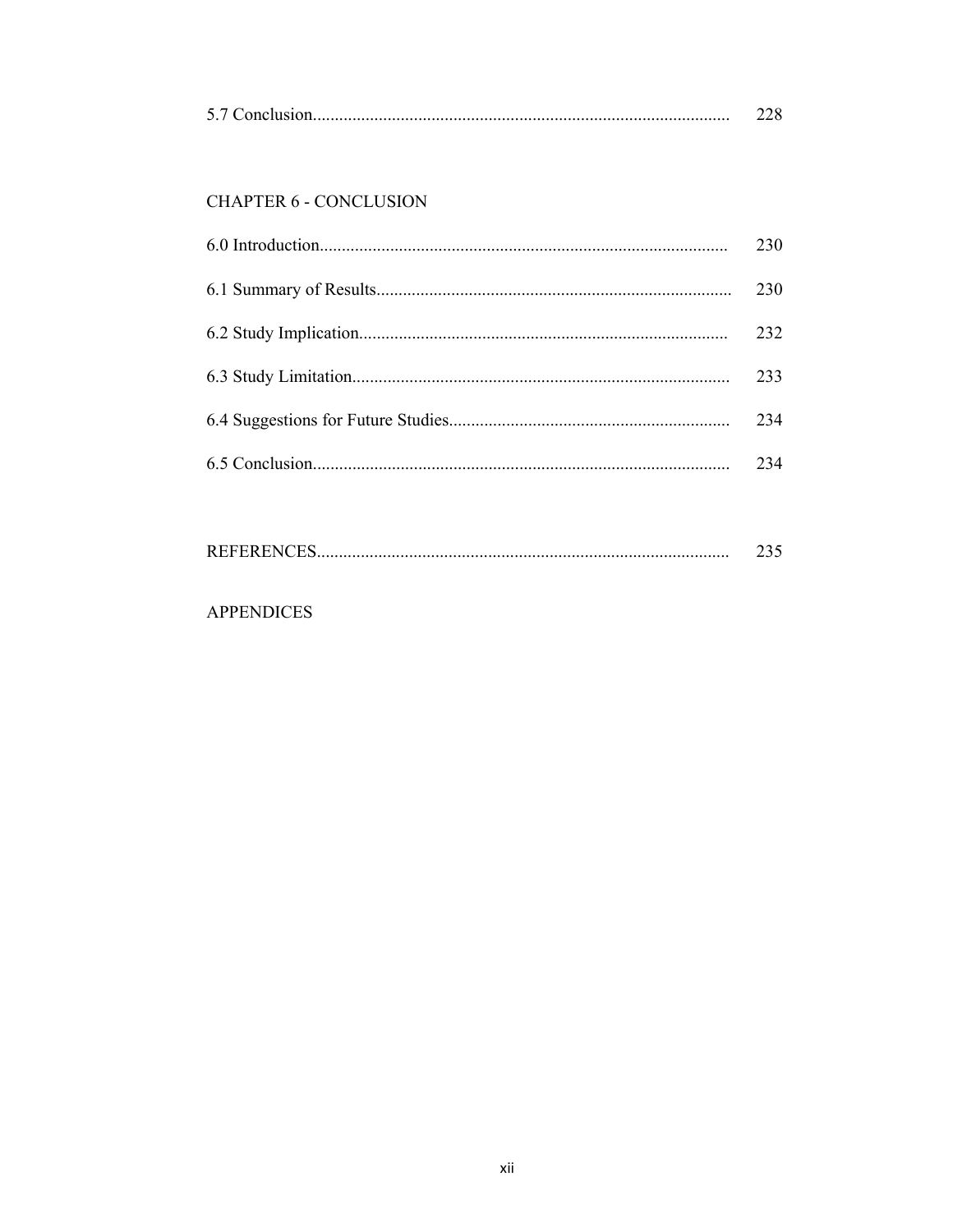|--|--|

# **CHAPTER 6 - CONCLUSION**

| 230 |
|-----|
| 230 |
| 232 |
| 233 |
| 234 |
| 234 |

| <b>REFERENCES</b> |  |
|-------------------|--|
|-------------------|--|

# **APPENDICES**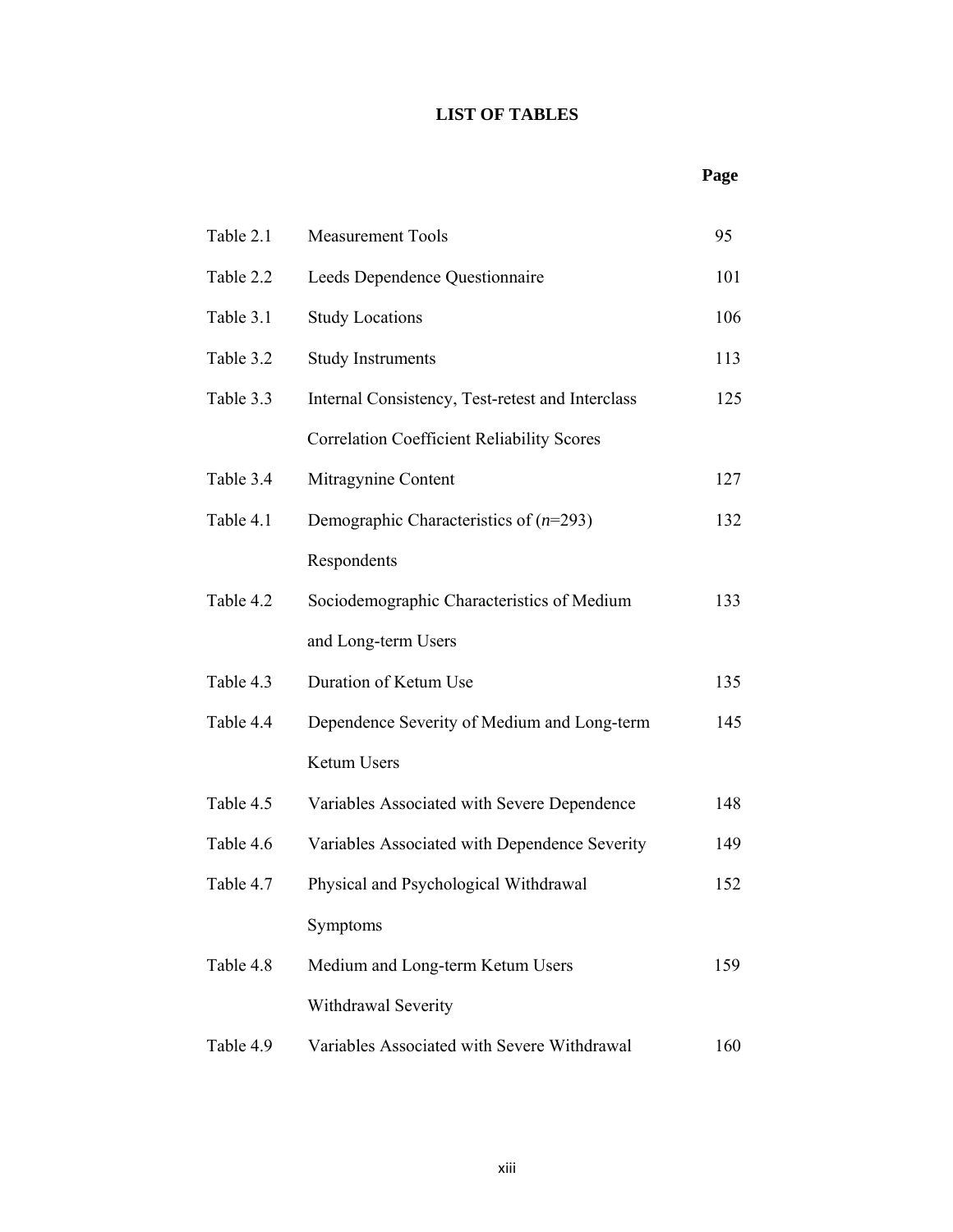# **LIST OF TABLES**

## *Page* **Page**

| Table 2.1 | <b>Measurement Tools</b>                          | 95  |
|-----------|---------------------------------------------------|-----|
| Table 2.2 | Leeds Dependence Questionnaire                    | 101 |
| Table 3.1 | <b>Study Locations</b>                            | 106 |
| Table 3.2 | <b>Study Instruments</b>                          | 113 |
| Table 3.3 | Internal Consistency, Test-retest and Interclass  | 125 |
|           | <b>Correlation Coefficient Reliability Scores</b> |     |
| Table 3.4 | Mitragynine Content                               | 127 |
| Table 4.1 | Demographic Characteristics of $(n=293)$          | 132 |
|           | Respondents                                       |     |
| Table 4.2 | Sociodemographic Characteristics of Medium        | 133 |
|           | and Long-term Users                               |     |
| Table 4.3 | Duration of Ketum Use                             | 135 |
| Table 4.4 | Dependence Severity of Medium and Long-term       | 145 |
|           | Ketum Users                                       |     |
| Table 4.5 | Variables Associated with Severe Dependence       | 148 |
| Table 4.6 | Variables Associated with Dependence Severity     | 149 |
| Table 4.7 | Physical and Psychological Withdrawal             | 152 |
|           | Symptoms                                          |     |
| Table 4.8 | Medium and Long-term Ketum Users                  | 159 |
|           | Withdrawal Severity                               |     |
| Table 4.9 | Variables Associated with Severe Withdrawal       | 160 |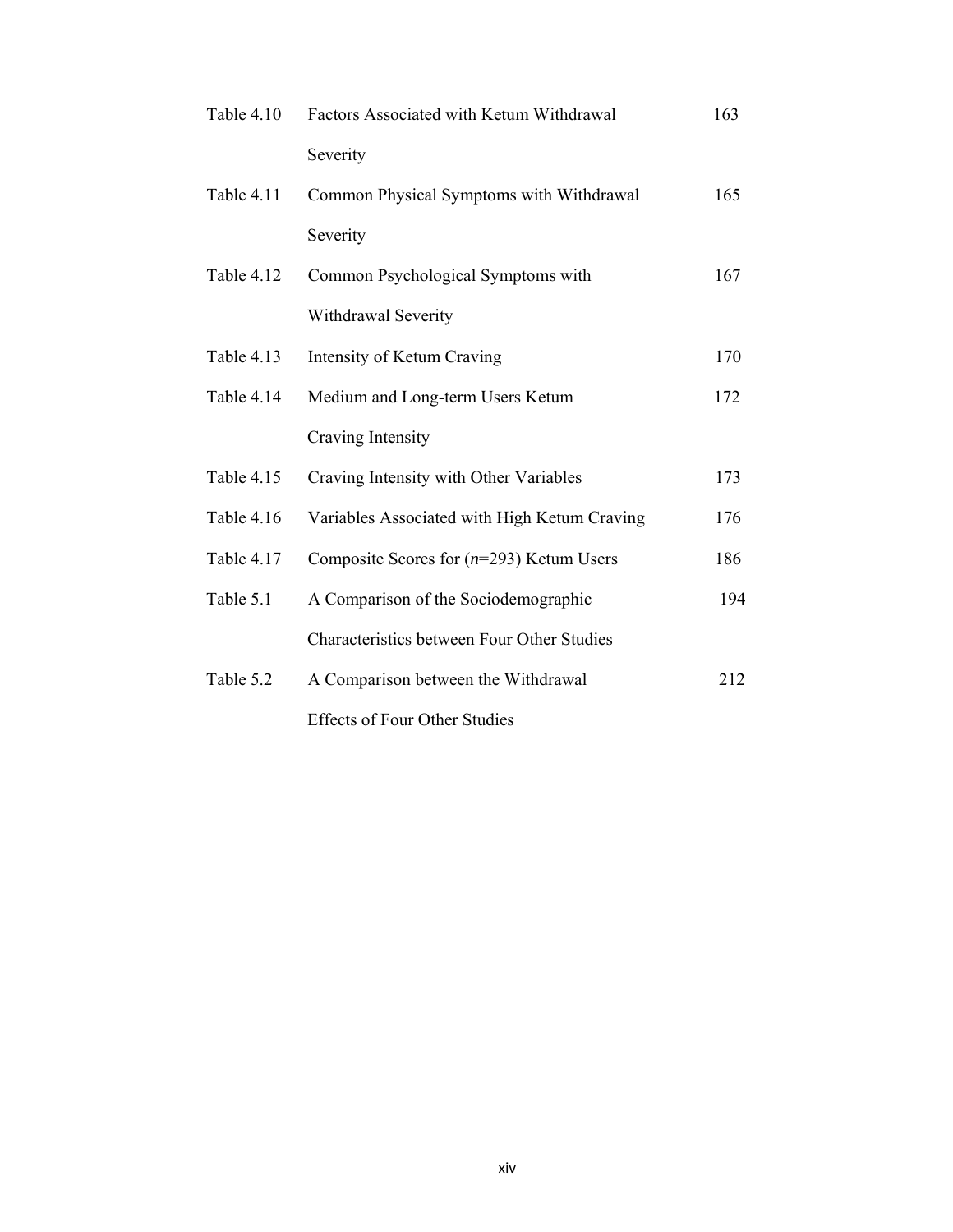| Table 4.10 | Factors Associated with Ketum Withdrawal     | 163 |
|------------|----------------------------------------------|-----|
|            | Severity                                     |     |
| Table 4.11 | Common Physical Symptoms with Withdrawal     | 165 |
|            | Severity                                     |     |
| Table 4.12 | Common Psychological Symptoms with           | 167 |
|            | Withdrawal Severity                          |     |
| Table 4.13 | Intensity of Ketum Craving                   | 170 |
| Table 4.14 | Medium and Long-term Users Ketum             | 172 |
|            | Craving Intensity                            |     |
| Table 4.15 | Craving Intensity with Other Variables       | 173 |
| Table 4.16 | Variables Associated with High Ketum Craving | 176 |
| Table 4.17 | Composite Scores for $(n=293)$ Ketum Users   | 186 |
| Table 5.1  | A Comparison of the Sociodemographic         | 194 |
|            | Characteristics between Four Other Studies   |     |
| Table 5.2  | A Comparison between the Withdrawal          | 212 |
|            | <b>Effects of Four Other Studies</b>         |     |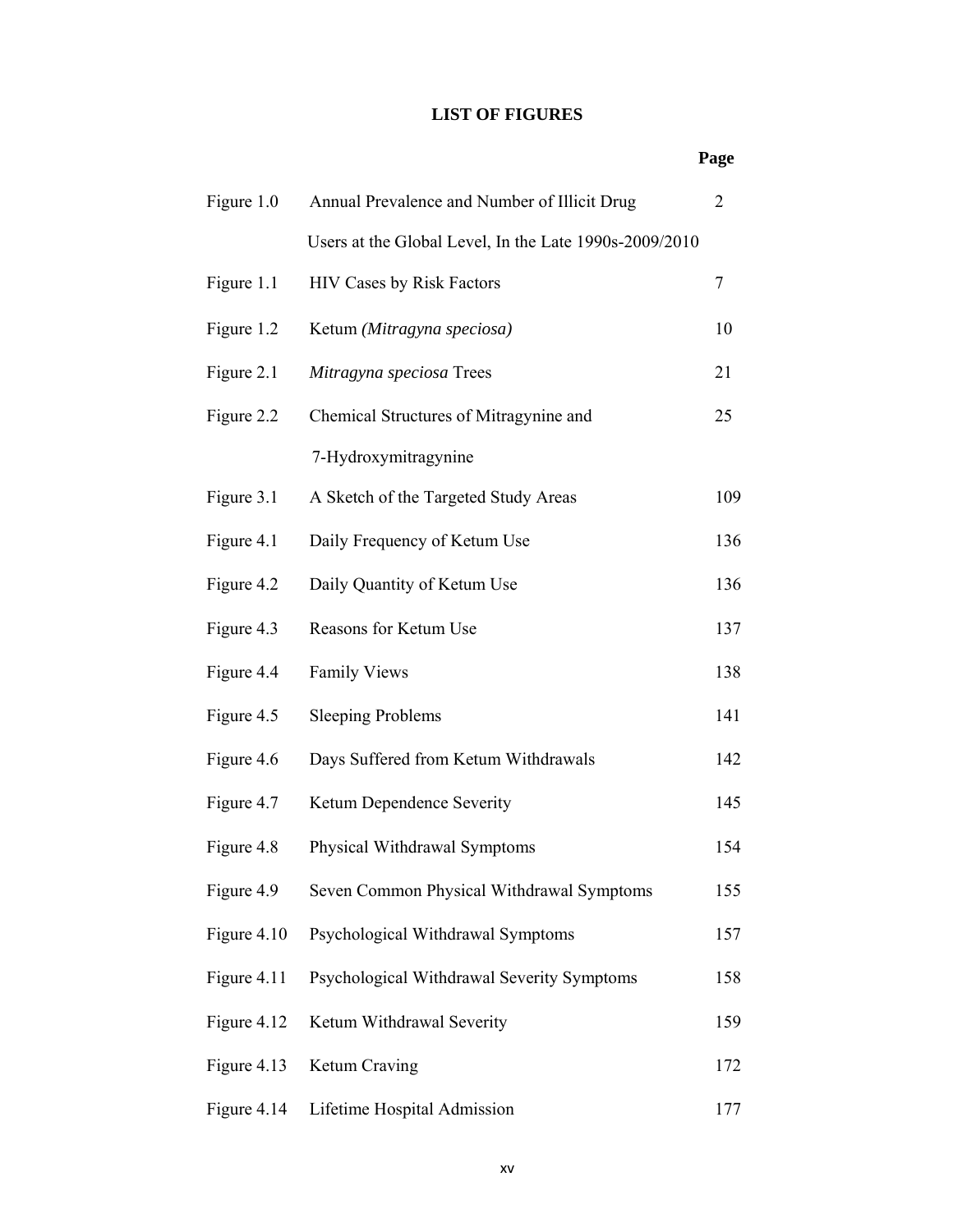# **LIST OF FIGURES**

## **Page**

| Figure 1.0  | Annual Prevalence and Number of Illicit Drug           | $\overline{2}$ |
|-------------|--------------------------------------------------------|----------------|
|             | Users at the Global Level, In the Late 1990s-2009/2010 |                |
| Figure 1.1  | <b>HIV Cases by Risk Factors</b>                       | 7              |
| Figure 1.2  | Ketum (Mitragyna speciosa)                             | 10             |
| Figure 2.1  | Mitragyna speciosa Trees                               | 21             |
| Figure 2.2  | Chemical Structures of Mitragynine and                 | 25             |
|             | 7-Hydroxymitragynine                                   |                |
| Figure 3.1  | A Sketch of the Targeted Study Areas                   | 109            |
| Figure 4.1  | Daily Frequency of Ketum Use                           | 136            |
| Figure 4.2  | Daily Quantity of Ketum Use                            | 136            |
| Figure 4.3  | Reasons for Ketum Use                                  | 137            |
| Figure 4.4  | <b>Family Views</b>                                    | 138            |
| Figure 4.5  | <b>Sleeping Problems</b>                               | 141            |
| Figure 4.6  | Days Suffered from Ketum Withdrawals                   | 142            |
| Figure 4.7  | Ketum Dependence Severity                              | 145            |
| Figure 4.8  | Physical Withdrawal Symptoms                           | 154            |
| Figure 4.9  | Seven Common Physical Withdrawal Symptoms              | 155            |
| Figure 4.10 | Psychological Withdrawal Symptoms                      | 157            |
| Figure 4.11 | Psychological Withdrawal Severity Symptoms             | 158            |
| Figure 4.12 | Ketum Withdrawal Severity                              | 159            |
| Figure 4.13 | Ketum Craving                                          | 172            |
| Figure 4.14 | Lifetime Hospital Admission                            | 177            |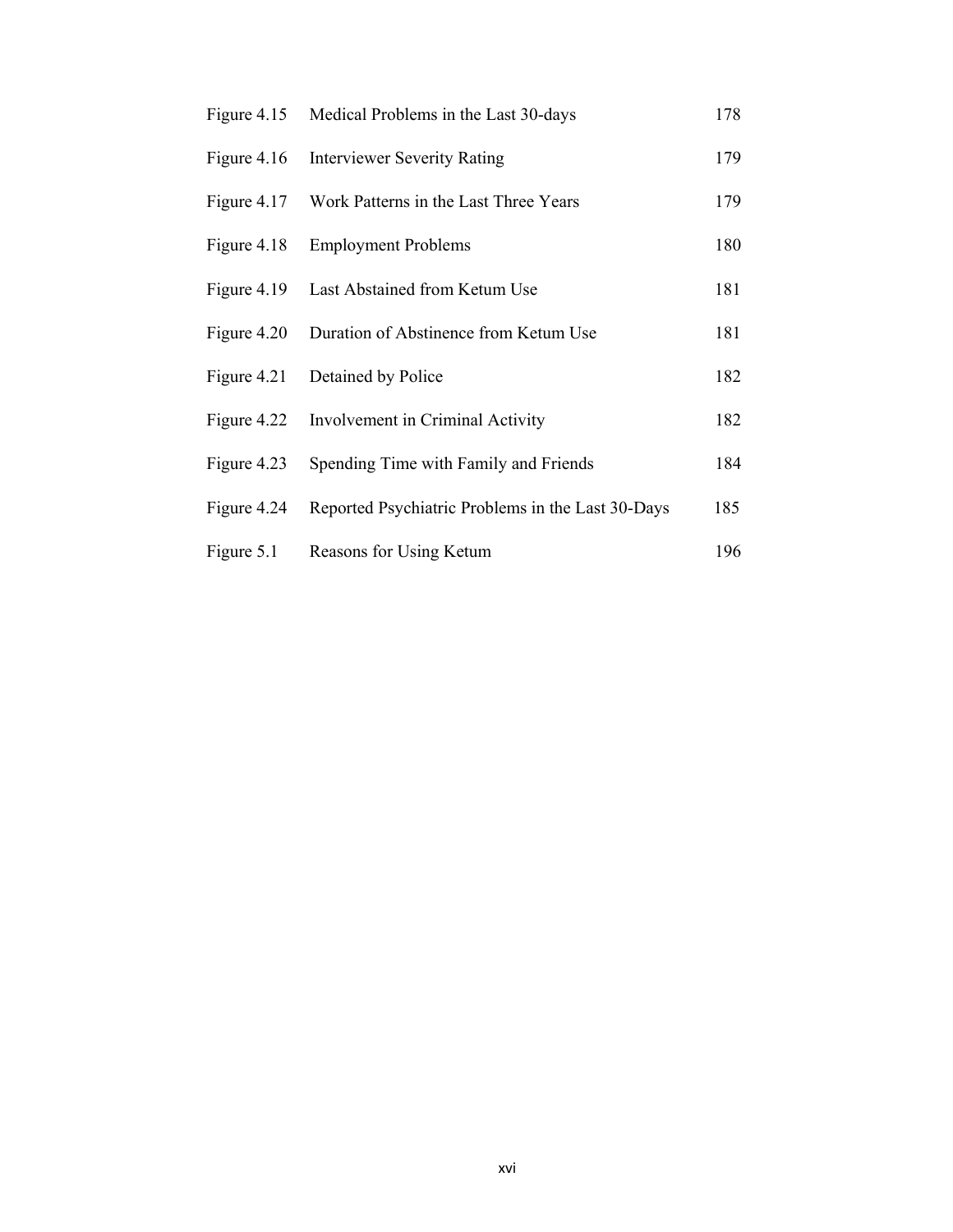| Figure $4.15$ | Medical Problems in the Last 30-days              | 178 |
|---------------|---------------------------------------------------|-----|
| Figure $4.16$ | <b>Interviewer Severity Rating</b>                | 179 |
| Figure 4.17   | Work Patterns in the Last Three Years             | 179 |
| Figure 4.18   | <b>Employment Problems</b>                        | 180 |
| Figure 4.19   | Last Abstained from Ketum Use                     | 181 |
| Figure 4.20   | Duration of Abstinence from Ketum Use             | 181 |
| Figure 4.21   | Detained by Police                                | 182 |
| Figure 4.22   | Involvement in Criminal Activity                  | 182 |
| Figure 4.23   | Spending Time with Family and Friends             | 184 |
| Figure 4.24   | Reported Psychiatric Problems in the Last 30-Days | 185 |
| Figure 5.1    | Reasons for Using Ketum                           | 196 |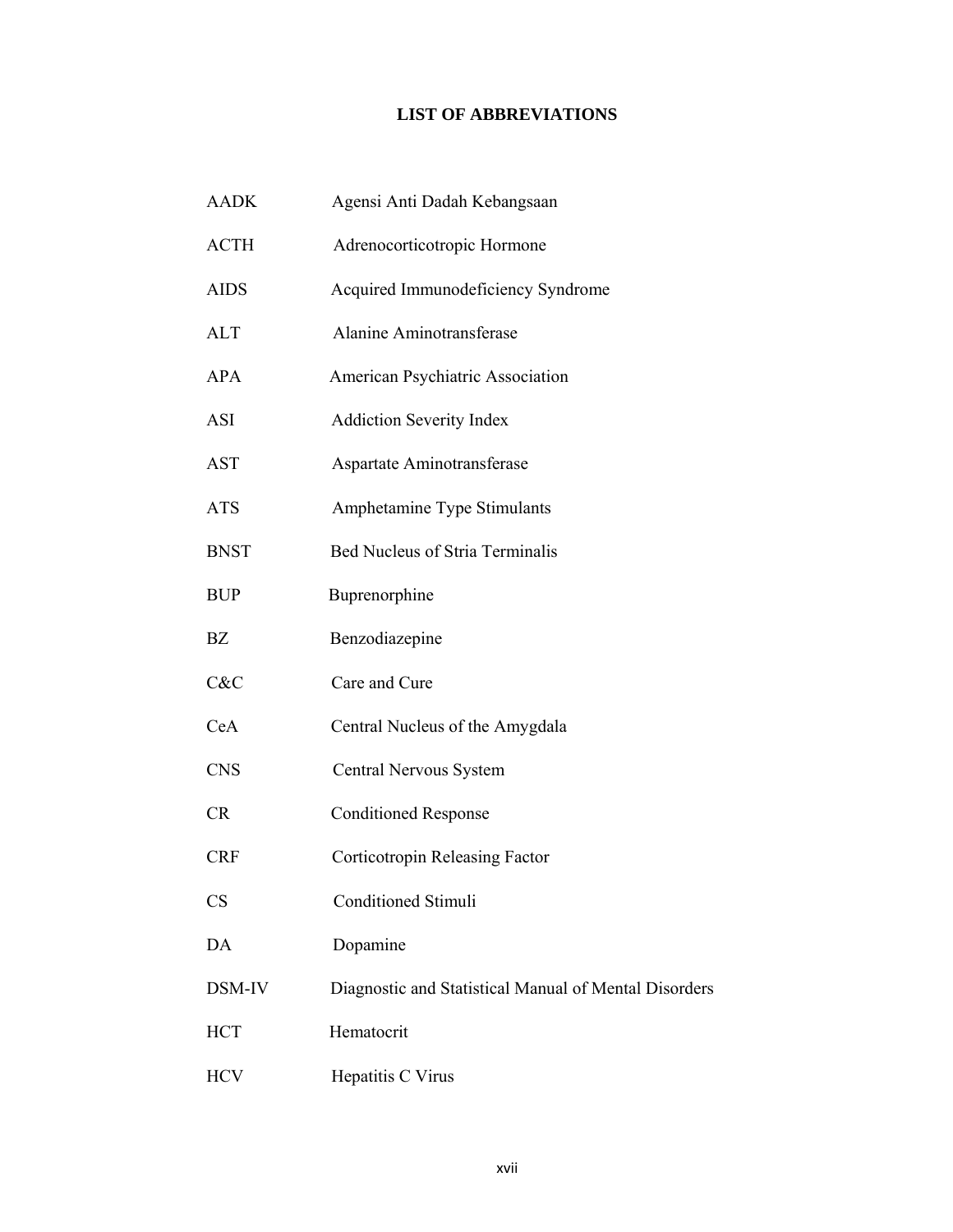# **LIST OF ABBREVIATIONS**

| <b>AADK</b> | Agensi Anti Dadah Kebangsaan                          |
|-------------|-------------------------------------------------------|
| <b>ACTH</b> | Adrenocorticotropic Hormone                           |
| <b>AIDS</b> | Acquired Immunodeficiency Syndrome                    |
| <b>ALT</b>  | Alanine Aminotransferase                              |
| <b>APA</b>  | American Psychiatric Association                      |
| <b>ASI</b>  | <b>Addiction Severity Index</b>                       |
| <b>AST</b>  | Aspartate Aminotransferase                            |
| <b>ATS</b>  | Amphetamine Type Stimulants                           |
| <b>BNST</b> | <b>Bed Nucleus of Stria Terminalis</b>                |
| <b>BUP</b>  | Buprenorphine                                         |
| <b>BZ</b>   | Benzodiazepine                                        |
| C&C         | Care and Cure                                         |
| CeA         | Central Nucleus of the Amygdala                       |
| <b>CNS</b>  | Central Nervous System                                |
| <b>CR</b>   | <b>Conditioned Response</b>                           |
| <b>CRF</b>  | Corticotropin Releasing Factor                        |
| <b>CS</b>   | <b>Conditioned Stimuli</b>                            |
| DA          | Dopamine                                              |
| DSM-IV      | Diagnostic and Statistical Manual of Mental Disorders |
| <b>HCT</b>  | Hematocrit                                            |
| <b>HCV</b>  | Hepatitis C Virus                                     |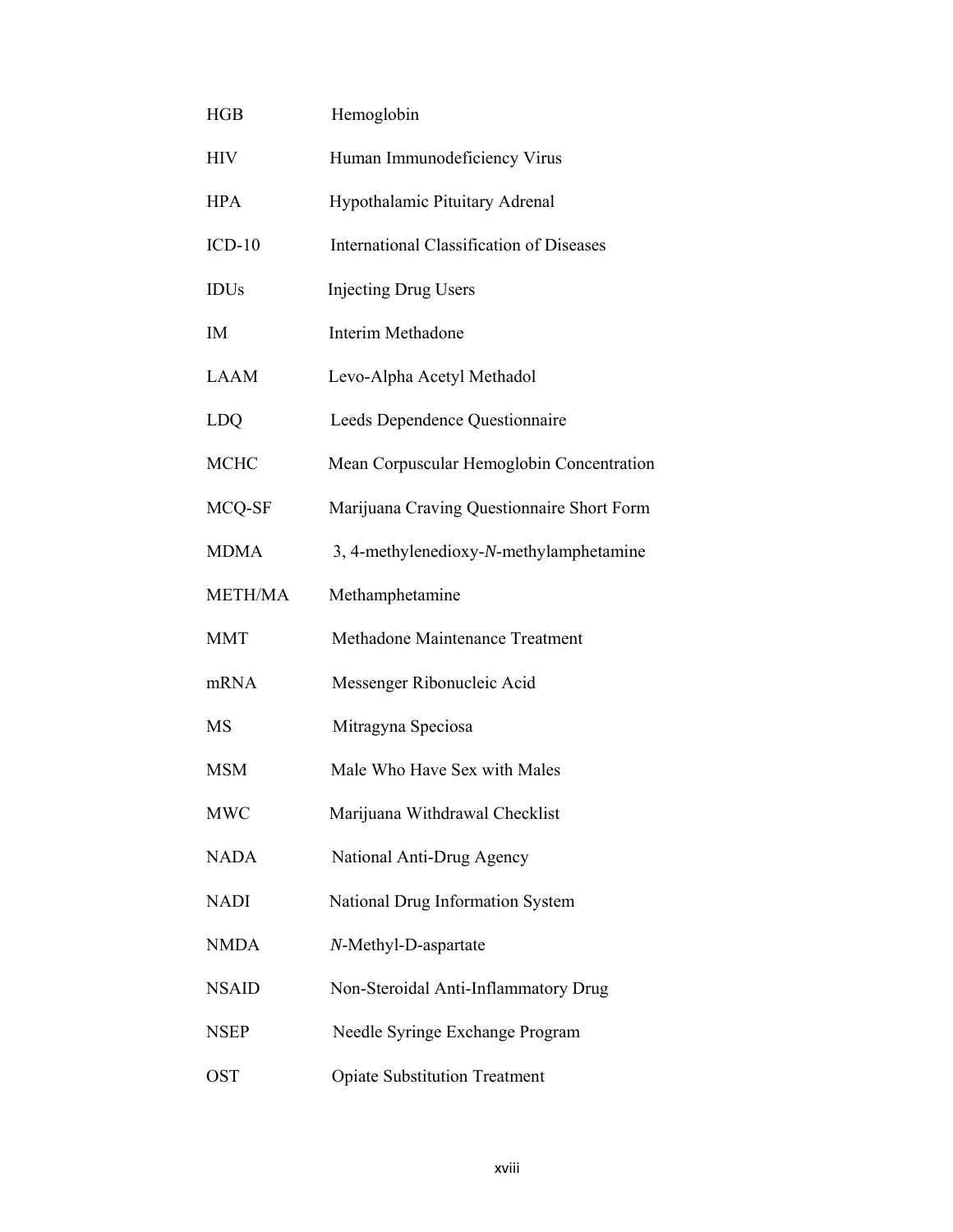| <b>HGB</b>     | Hemoglobin                                 |
|----------------|--------------------------------------------|
| <b>HIV</b>     | Human Immunodeficiency Virus               |
| <b>HPA</b>     | Hypothalamic Pituitary Adrenal             |
| $ICD-10$       | International Classification of Diseases   |
| <b>IDUs</b>    | <b>Injecting Drug Users</b>                |
| IM             | Interim Methadone                          |
| <b>LAAM</b>    | Levo-Alpha Acetyl Methadol                 |
| LDQ            | Leeds Dependence Questionnaire             |
| <b>MCHC</b>    | Mean Corpuscular Hemoglobin Concentration  |
| MCQ-SF         | Marijuana Craving Questionnaire Short Form |
| <b>MDMA</b>    | 3, 4-methylenedioxy-N-methylamphetamine    |
| <b>METH/MA</b> | Methamphetamine                            |
| <b>MMT</b>     | Methadone Maintenance Treatment            |
| mRNA           | Messenger Ribonucleic Acid                 |
| <b>MS</b>      | Mitragyna Speciosa                         |
| <b>MSM</b>     | Male Who Have Sex with Males               |
| <b>MWC</b>     | Marijuana Withdrawal Checklist             |
| <b>NADA</b>    | National Anti-Drug Agency                  |
| <b>NADI</b>    | National Drug Information System           |
| <b>NMDA</b>    | N-Methyl-D-aspartate                       |
| <b>NSAID</b>   | Non-Steroidal Anti-Inflammatory Drug       |
| <b>NSEP</b>    | Needle Syringe Exchange Program            |
| <b>OST</b>     | <b>Opiate Substitution Treatment</b>       |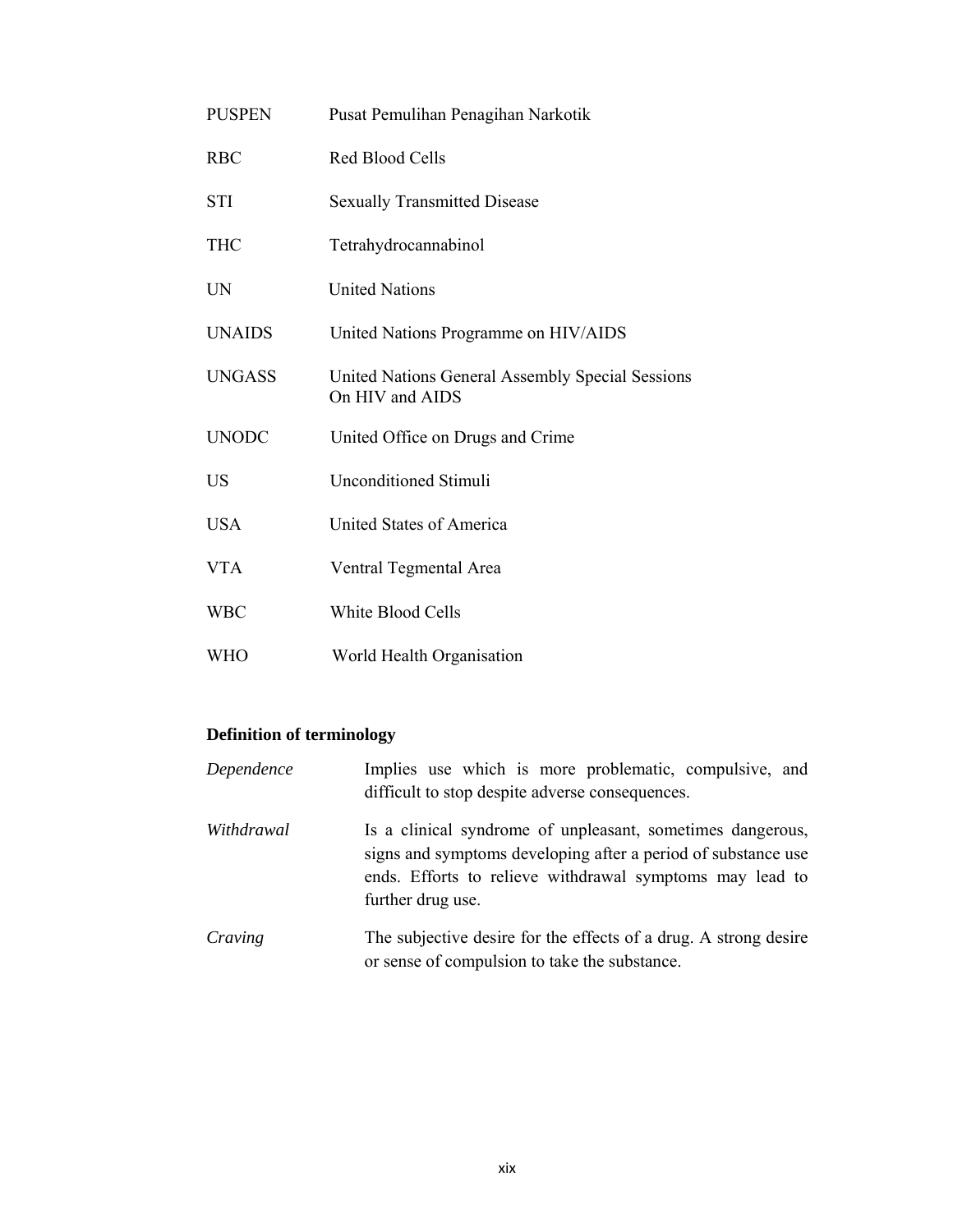| <b>PUSPEN</b> | Pusat Pemulihan Penagihan Narkotik                                  |
|---------------|---------------------------------------------------------------------|
| <b>RBC</b>    | Red Blood Cells                                                     |
| <b>STI</b>    | <b>Sexually Transmitted Disease</b>                                 |
| <b>THC</b>    | Tetrahydrocannabinol                                                |
| <b>UN</b>     | <b>United Nations</b>                                               |
| <b>UNAIDS</b> | United Nations Programme on HIV/AIDS                                |
| <b>UNGASS</b> | United Nations General Assembly Special Sessions<br>On HIV and AIDS |
| <b>UNODC</b>  | United Office on Drugs and Crime                                    |
| <b>US</b>     | <b>Unconditioned Stimuli</b>                                        |
| <b>USA</b>    | United States of America                                            |
| <b>VTA</b>    | Ventral Tegmental Area                                              |
| <b>WBC</b>    | White Blood Cells                                                   |
| <b>WHO</b>    | World Health Organisation                                           |

# **Definition of terminology**

| Dependence | Implies use which is more problematic, compulsive, and<br>difficult to stop despite adverse consequences.                                                                                                    |
|------------|--------------------------------------------------------------------------------------------------------------------------------------------------------------------------------------------------------------|
| Withdrawal | Is a clinical syndrome of unpleasant, sometimes dangerous,<br>signs and symptoms developing after a period of substance use<br>ends. Efforts to relieve withdrawal symptoms may lead to<br>further drug use. |
| Craving    | The subjective desire for the effects of a drug. A strong desire<br>or sense of compulsion to take the substance.                                                                                            |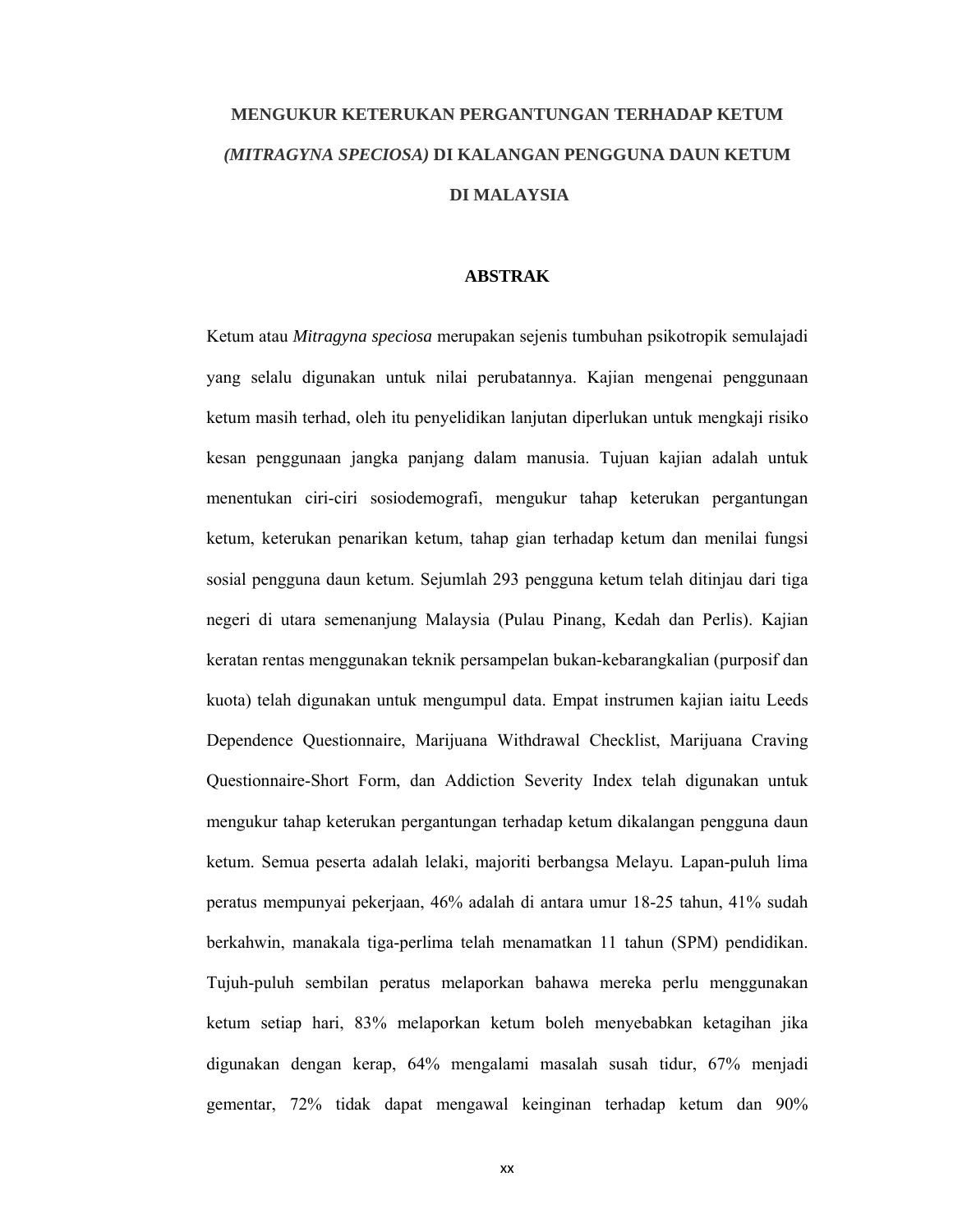# **MENGUKUR KETERUKAN PERGANTUNGAN TERHADAP KETUM** *(MITRAGYNA SPECIOSA)* **DI KALANGAN PENGGUNA DAUN KETUM DI MALAYSIA**

## **ABSTRAK**

Ketum atau *Mitragyna speciosa* merupakan sejenis tumbuhan psikotropik semulajadi yang selalu digunakan untuk nilai perubatannya. Kajian mengenai penggunaan ketum masih terhad, oleh itu penyelidikan lanjutan diperlukan untuk mengkaji risiko kesan penggunaan jangka panjang dalam manusia. Tujuan kajian adalah untuk menentukan ciri-ciri sosiodemografi, mengukur tahap keterukan pergantungan ketum, keterukan penarikan ketum, tahap gian terhadap ketum dan menilai fungsi sosial pengguna daun ketum. Sejumlah 293 pengguna ketum telah ditinjau dari tiga negeri di utara semenanjung Malaysia (Pulau Pinang, Kedah dan Perlis). Kajian keratan rentas menggunakan teknik persampelan bukan-kebarangkalian (purposif dan kuota) telah digunakan untuk mengumpul data. Empat instrumen kajian iaitu Leeds Dependence Questionnaire, Marijuana Withdrawal Checklist, Marijuana Craving Questionnaire-Short Form, dan Addiction Severity Index telah digunakan untuk mengukur tahap keterukan pergantungan terhadap ketum dikalangan pengguna daun ketum. Semua peserta adalah lelaki, majoriti berbangsa Melayu. Lapan-puluh lima peratus mempunyai pekerjaan, 46% adalah di antara umur 18-25 tahun, 41% sudah berkahwin, manakala tiga-perlima telah menamatkan 11 tahun (SPM) pendidikan. Tujuh-puluh sembilan peratus melaporkan bahawa mereka perlu menggunakan ketum setiap hari, 83% melaporkan ketum boleh menyebabkan ketagihan jika digunakan dengan kerap, 64% mengalami masalah susah tidur, 67% menjadi gementar, 72% tidak dapat mengawal keinginan terhadap ketum dan 90%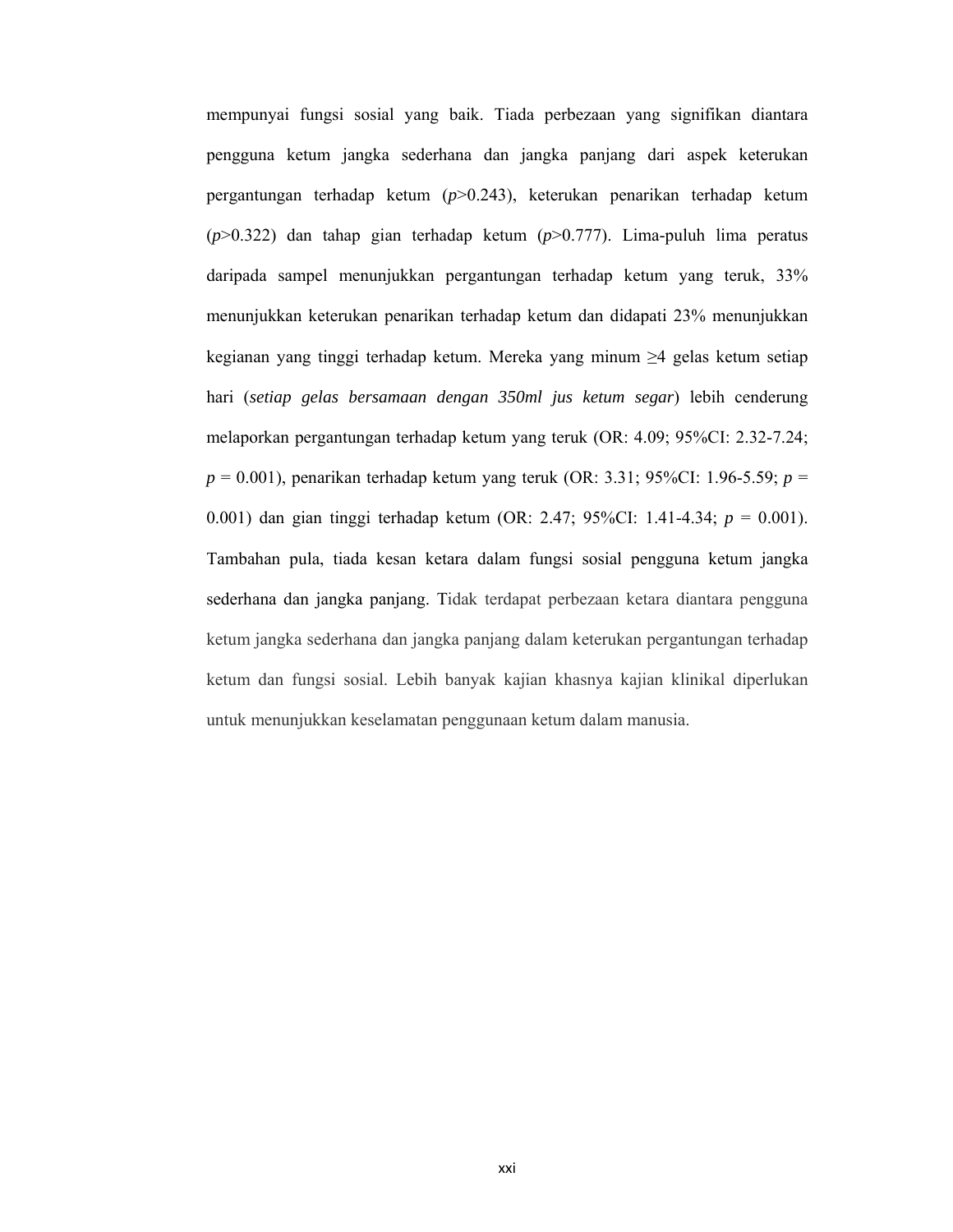mempunyai fungsi sosial yang baik. Tiada perbezaan yang signifikan diantara pengguna ketum jangka sederhana dan jangka panjang dari aspek keterukan pergantungan terhadap ketum (*p*>0.243), keterukan penarikan terhadap ketum (*p*>0.322) dan tahap gian terhadap ketum (*p*>0.777). Lima-puluh lima peratus daripada sampel menunjukkan pergantungan terhadap ketum yang teruk, 33% menunjukkan keterukan penarikan terhadap ketum dan didapati 23% menunjukkan kegianan yang tinggi terhadap ketum. Mereka yang minum ≥4 gelas ketum setiap hari (*setiap gelas bersamaan dengan 350ml jus ketum segar*) lebih cenderung melaporkan pergantungan terhadap ketum yang teruk (OR: 4.09; 95%CI: 2.32-7.24; *p* = 0.001), penarikan terhadap ketum yang teruk (OR: 3.31; 95%CI: 1.96-5.59; *p* = 0.001) dan gian tinggi terhadap ketum (OR: 2.47; 95%CI: 1.41-4.34; *p* = 0.001). Tambahan pula, tiada kesan ketara dalam fungsi sosial pengguna ketum jangka sederhana dan jangka panjang. Tidak terdapat perbezaan ketara diantara pengguna ketum jangka sederhana dan jangka panjang dalam keterukan pergantungan terhadap ketum dan fungsi sosial. Lebih banyak kajian khasnya kajian klinikal diperlukan untuk menunjukkan keselamatan penggunaan ketum dalam manusia.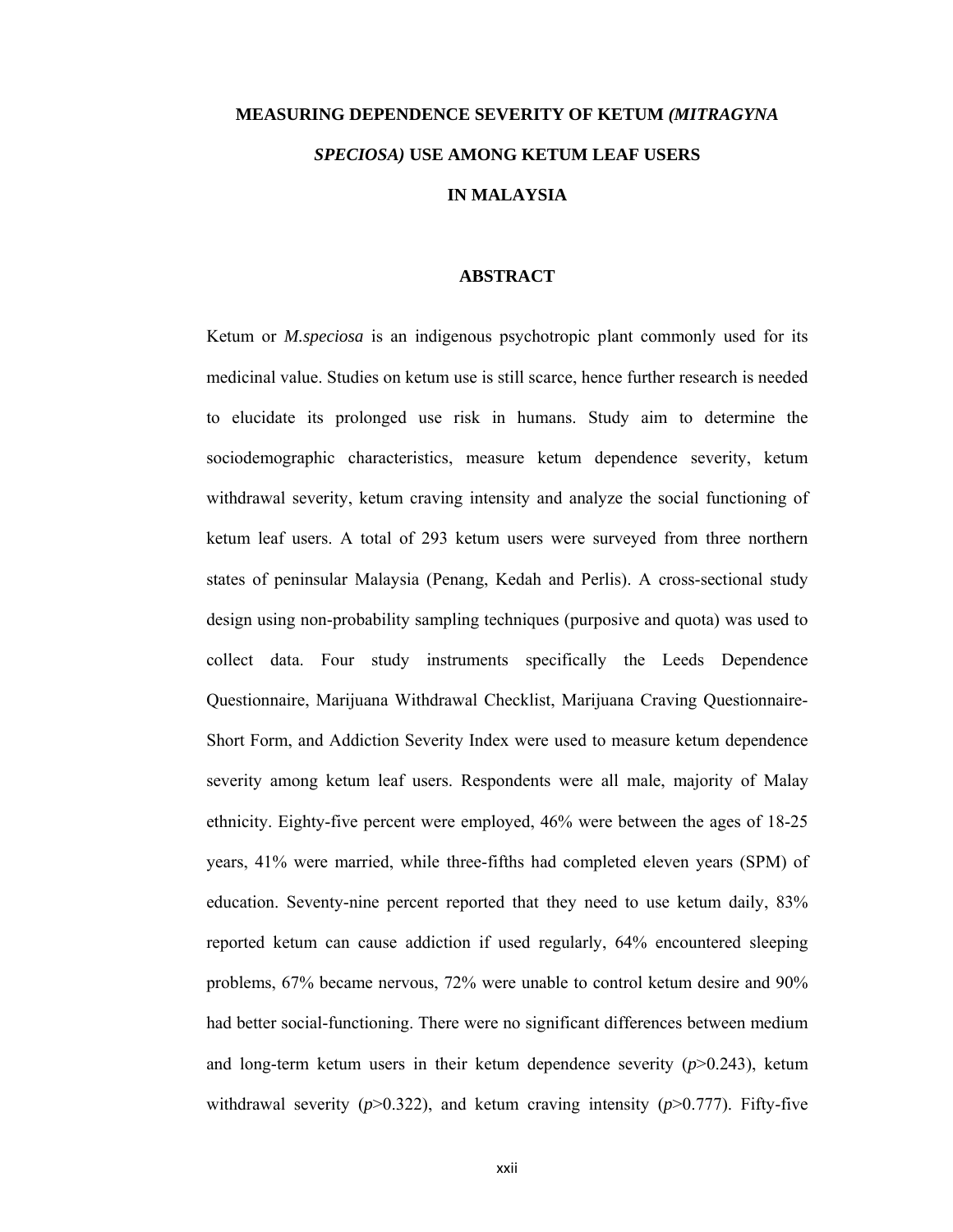# **MEASURING DEPENDENCE SEVERITY OF KETUM** *(MITRAGYNA SPECIOSA)* **USE AMONG KETUM LEAF USERS IN MALAYSIA**

## **ABSTRACT**

Ketum or *M.speciosa* is an indigenous psychotropic plant commonly used for its medicinal value. Studies on ketum use is still scarce, hence further research is needed to elucidate its prolonged use risk in humans. Study aim to determine the sociodemographic characteristics, measure ketum dependence severity, ketum withdrawal severity, ketum craving intensity and analyze the social functioning of ketum leaf users. A total of 293 ketum users were surveyed from three northern states of peninsular Malaysia (Penang, Kedah and Perlis). A cross-sectional study design using non-probability sampling techniques (purposive and quota) was used to collect data. Four study instruments specifically the Leeds Dependence Questionnaire, Marijuana Withdrawal Checklist, Marijuana Craving Questionnaire-Short Form, and Addiction Severity Index were used to measure ketum dependence severity among ketum leaf users. Respondents were all male, majority of Malay ethnicity. Eighty-five percent were employed, 46% were between the ages of 18-25 years, 41% were married, while three-fifths had completed eleven years (SPM) of education. Seventy-nine percent reported that they need to use ketum daily, 83% reported ketum can cause addiction if used regularly, 64% encountered sleeping problems, 67% became nervous, 72% were unable to control ketum desire and 90% had better social-functioning. There were no significant differences between medium and long-term ketum users in their ketum dependence severity  $(p>0.243)$ , ketum withdrawal severity  $(p>0.322)$ , and ketum craving intensity  $(p>0.777)$ . Fifty-five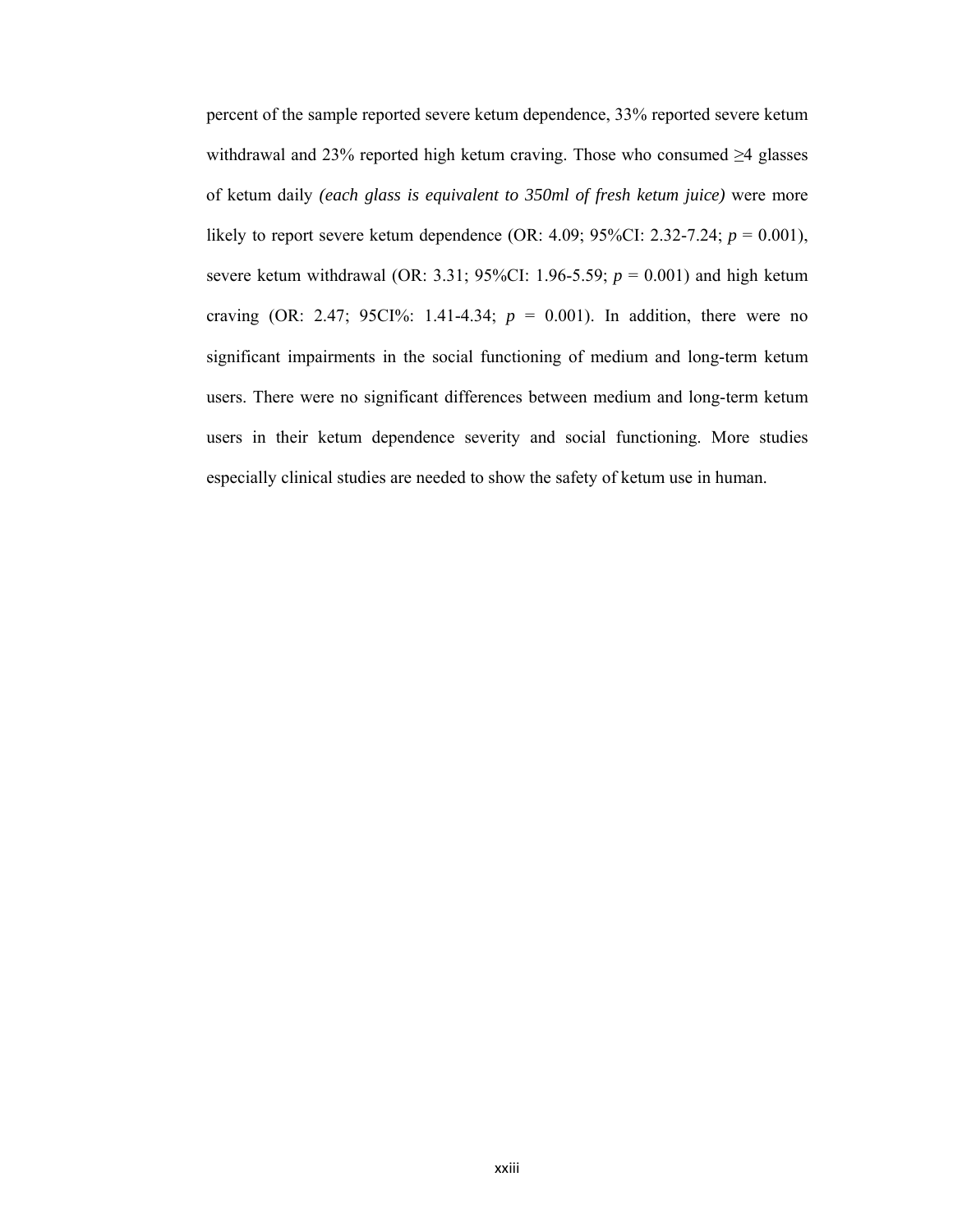percent of the sample reported severe ketum dependence, 33% reported severe ketum withdrawal and 23% reported high ketum craving. Those who consumed ≥4 glasses of ketum daily *(each glass is equivalent to 350ml of fresh ketum juice)* were more likely to report severe ketum dependence (OR: 4.09; 95%CI: 2.32-7.24; *p* = 0.001), severe ketum withdrawal (OR: 3.31; 95%CI: 1.96-5.59;  $p = 0.001$ ) and high ketum craving (OR: 2.47; 95CI%: 1.41-4.34;  $p = 0.001$ ). In addition, there were no significant impairments in the social functioning of medium and long-term ketum users. There were no significant differences between medium and long-term ketum users in their ketum dependence severity and social functioning. More studies especially clinical studies are needed to show the safety of ketum use in human.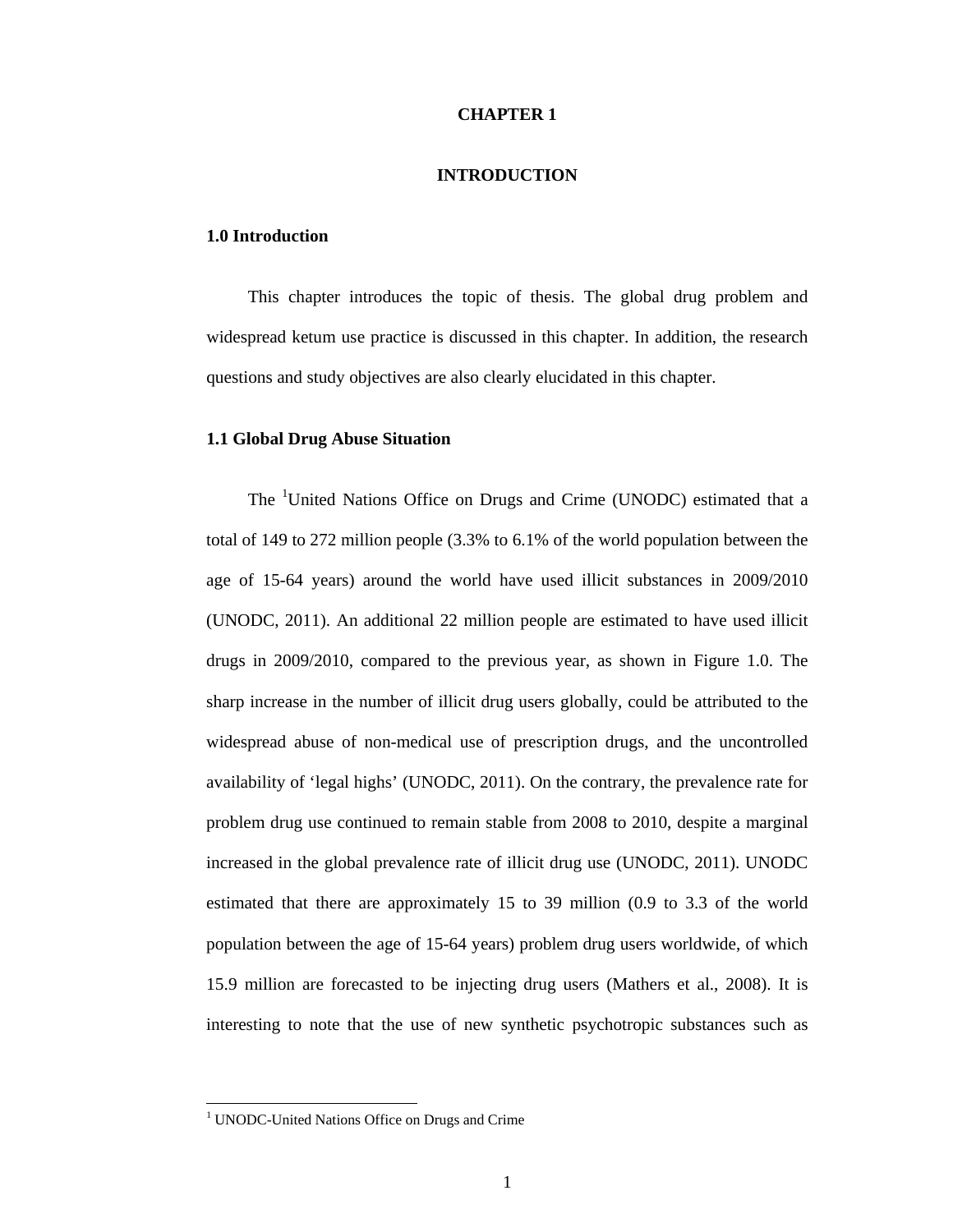## **CHAPTER 1**

## **INTRODUCTION**

## **1.0 Introduction**

 This chapter introduces the topic of thesis. The global drug problem and widespread ketum use practice is discussed in this chapter. In addition, the research questions and study objectives are also clearly elucidated in this chapter.

## **1.1 Global Drug Abuse Situation**

The <sup>1</sup>United Nations Office on Drugs and Crime (UNODC) estimated that a total of 149 to 272 million people (3.3% to 6.1% of the world population between the age of 15-64 years) around the world have used illicit substances in 2009/2010 (UNODC, 2011). An additional 22 million people are estimated to have used illicit drugs in 2009/2010, compared to the previous year, as shown in Figure 1.0. The sharp increase in the number of illicit drug users globally, could be attributed to the widespread abuse of non-medical use of prescription drugs, and the uncontrolled availability of 'legal highs' (UNODC, 2011). On the contrary, the prevalence rate for problem drug use continued to remain stable from 2008 to 2010, despite a marginal increased in the global prevalence rate of illicit drug use (UNODC, 2011). UNODC estimated that there are approximately 15 to 39 million (0.9 to 3.3 of the world population between the age of 15-64 years) problem drug users worldwide, of which 15.9 million are forecasted to be injecting drug users (Mathers et al., 2008). It is interesting to note that the use of new synthetic psychotropic substances such as

 1 UNODC-United Nations Office on Drugs and Crime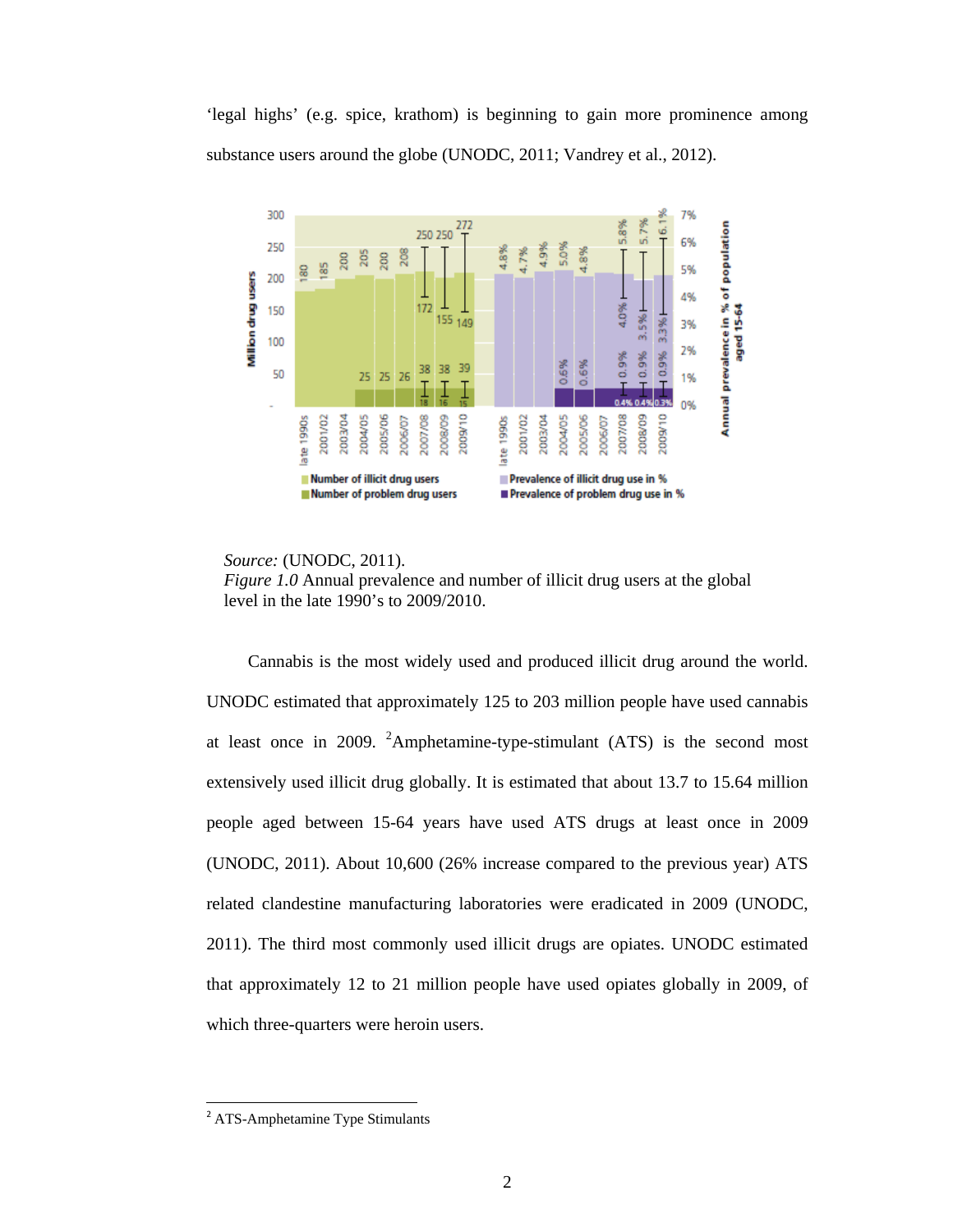'legal highs' (e.g. spice, krathom) is beginning to gain more prominence among substance users around the globe (UNODC, 2011; Vandrey et al., 2012).



 *Source:* (UNODC, 2011).



 Cannabis is the most widely used and produced illicit drug around the world. UNODC estimated that approximately 125 to 203 million people have used cannabis at least once in 2009. <sup>2</sup>Amphetamine-type-stimulant (ATS) is the second most extensively used illicit drug globally. It is estimated that about 13.7 to 15.64 million people aged between 15-64 years have used ATS drugs at least once in 2009 (UNODC, 2011). About 10,600 (26% increase compared to the previous year) ATS related clandestine manufacturing laboratories were eradicated in 2009 (UNODC, 2011). The third most commonly used illicit drugs are opiates. UNODC estimated that approximately 12 to 21 million people have used opiates globally in 2009, of which three-quarters were heroin users.

 <sup>2</sup> ATS-Amphetamine Type Stimulants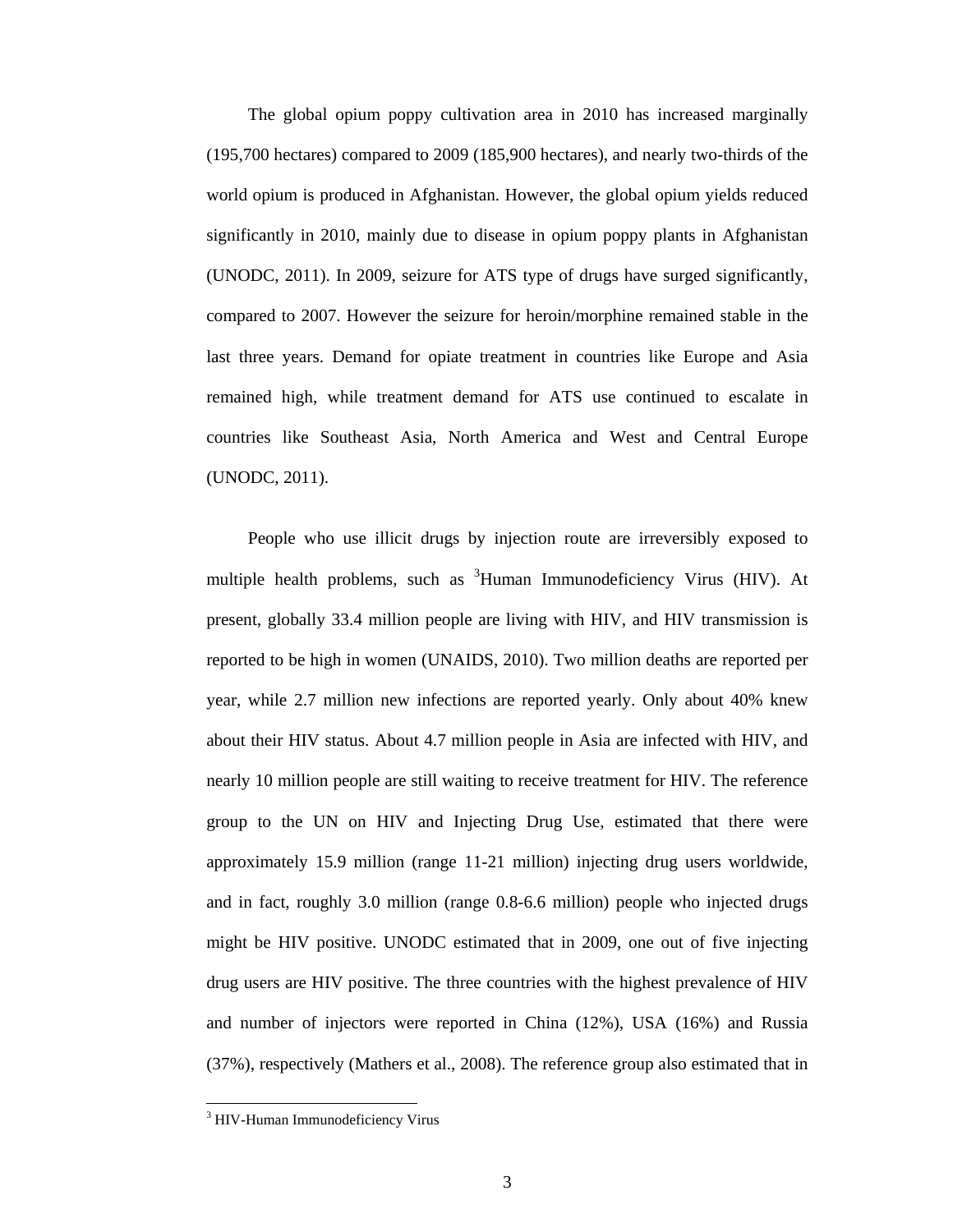The global opium poppy cultivation area in 2010 has increased marginally (195,700 hectares) compared to 2009 (185,900 hectares), and nearly two-thirds of the world opium is produced in Afghanistan. However, the global opium yields reduced significantly in 2010, mainly due to disease in opium poppy plants in Afghanistan (UNODC, 2011). In 2009, seizure for ATS type of drugs have surged significantly, compared to 2007. However the seizure for heroin/morphine remained stable in the last three years. Demand for opiate treatment in countries like Europe and Asia remained high, while treatment demand for ATS use continued to escalate in countries like Southeast Asia, North America and West and Central Europe (UNODC, 2011).

 People who use illicit drugs by injection route are irreversibly exposed to multiple health problems, such as <sup>3</sup>Human Immunodeficiency Virus (HIV). At present, globally 33.4 million people are living with HIV, and HIV transmission is reported to be high in women (UNAIDS, 2010). Two million deaths are reported per year, while 2.7 million new infections are reported yearly. Only about 40% knew about their HIV status. About 4.7 million people in Asia are infected with HIV, and nearly 10 million people are still waiting to receive treatment for HIV. The reference group to the UN on HIV and Injecting Drug Use, estimated that there were approximately 15.9 million (range 11-21 million) injecting drug users worldwide, and in fact, roughly 3.0 million (range 0.8-6.6 million) people who injected drugs might be HIV positive. UNODC estimated that in 2009, one out of five injecting drug users are HIV positive. The three countries with the highest prevalence of HIV and number of injectors were reported in China (12%), USA (16%) and Russia (37%), respectively (Mathers et al., 2008). The reference group also estimated that in

 <sup>3</sup> HIV-Human Immunodeficiency Virus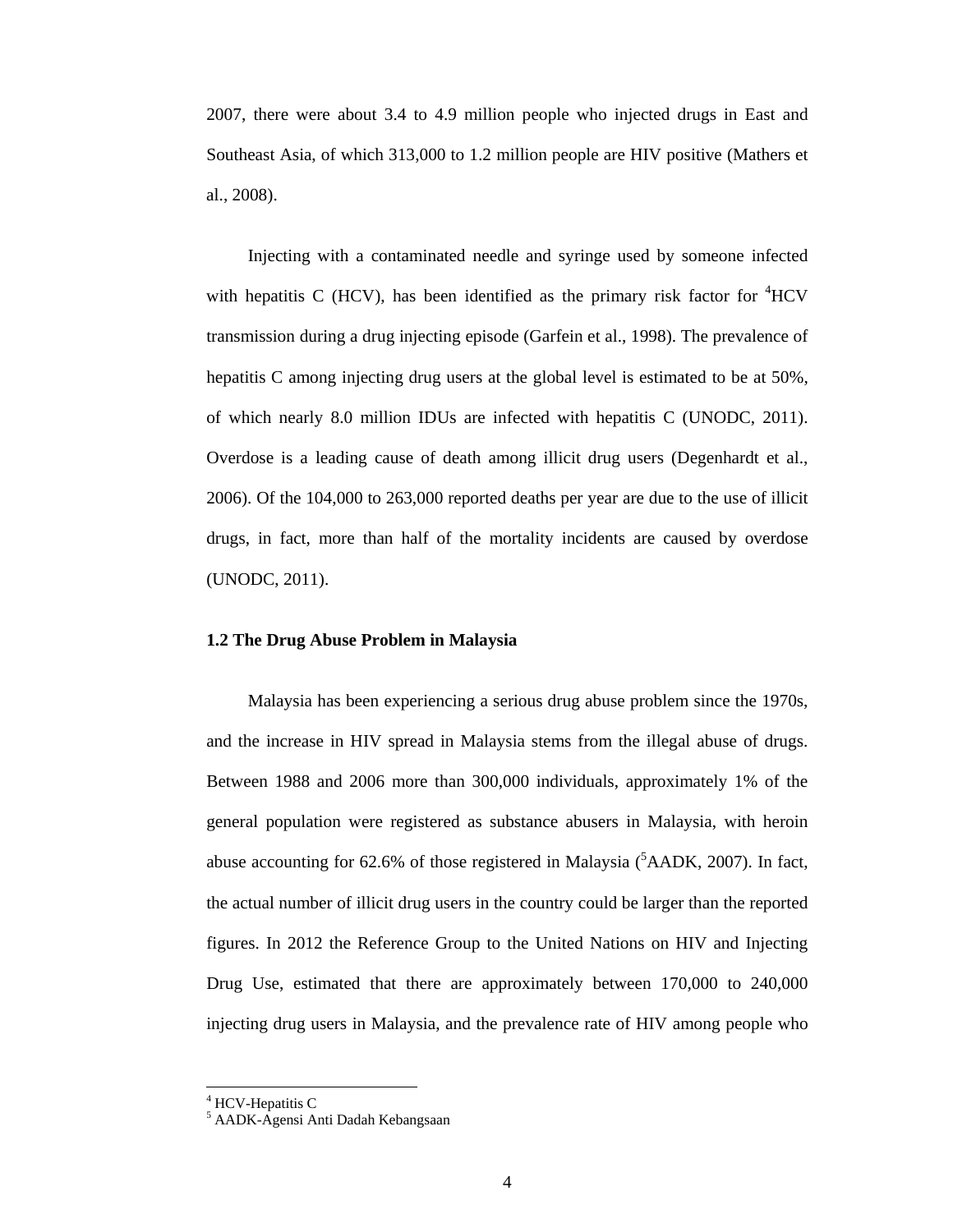2007, there were about 3.4 to 4.9 million people who injected drugs in East and Southeast Asia, of which 313,000 to 1.2 million people are HIV positive (Mathers et al., 2008).

 Injecting with a contaminated needle and syringe used by someone infected with hepatitis C (HCV), has been identified as the primary risk factor for  ${}^{4}$ HCV transmission during a drug injecting episode (Garfein et al., 1998). The prevalence of hepatitis C among injecting drug users at the global level is estimated to be at 50%, of which nearly 8.0 million IDUs are infected with hepatitis C (UNODC, 2011). Overdose is a leading cause of death among illicit drug users (Degenhardt et al., 2006). Of the 104,000 to 263,000 reported deaths per year are due to the use of illicit drugs, in fact, more than half of the mortality incidents are caused by overdose (UNODC, 2011).

## **1.2 The Drug Abuse Problem in Malaysia**

Malaysia has been experiencing a serious drug abuse problem since the 1970s, and the increase in HIV spread in Malaysia stems from the illegal abuse of drugs. Between 1988 and 2006 more than 300,000 individuals, approximately 1% of the general population were registered as substance abusers in Malaysia, with heroin abuse accounting for 62.6% of those registered in Malaysia  $(^5AADK, 2007)$ . In fact, the actual number of illicit drug users in the country could be larger than the reported figures. In 2012 the Reference Group to the United Nations on HIV and Injecting Drug Use, estimated that there are approximately between 170,000 to 240,000 injecting drug users in Malaysia, and the prevalence rate of HIV among people who

<sup>&</sup>lt;sup>4</sup> HCV-Hepatitis C

<sup>5</sup> AADK-Agensi Anti Dadah Kebangsaan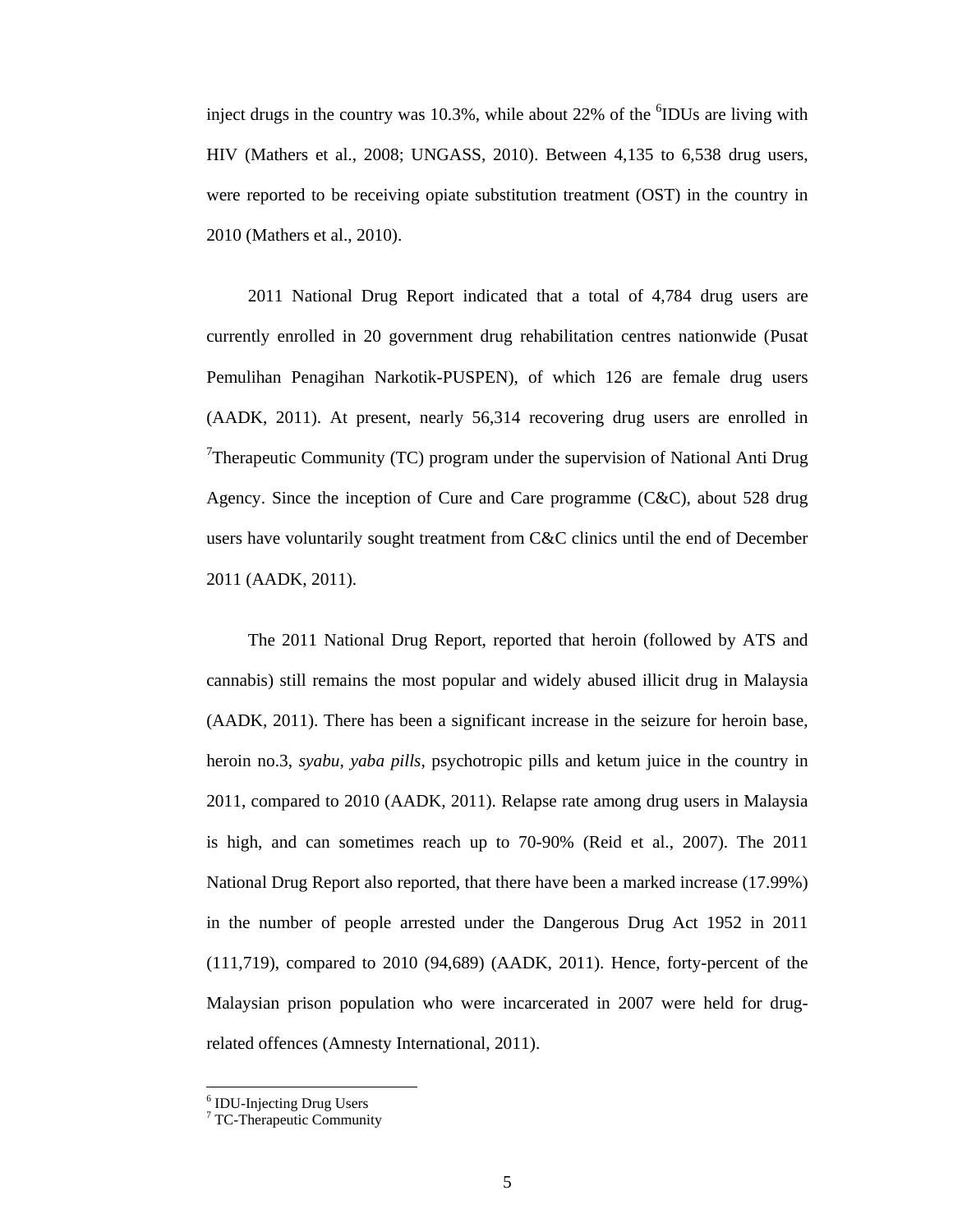inject drugs in the country was  $10.3\%$ , while about  $22\%$  of the  ${}^{6}$ IDUs are living with HIV (Mathers et al., 2008; UNGASS, 2010). Between 4,135 to 6,538 drug users, were reported to be receiving opiate substitution treatment (OST) in the country in 2010 (Mathers et al., 2010).

 2011 National Drug Report indicated that a total of 4,784 drug users are currently enrolled in 20 government drug rehabilitation centres nationwide (Pusat Pemulihan Penagihan Narkotik-PUSPEN), of which 126 are female drug users (AADK, 2011). At present, nearly 56,314 recovering drug users are enrolled in <sup>7</sup>Therapeutic Community (TC) program under the supervision of National Anti Drug Agency. Since the inception of Cure and Care programme (C&C), about 528 drug users have voluntarily sought treatment from C&C clinics until the end of December 2011 (AADK, 2011).

 The 2011 National Drug Report, reported that heroin (followed by ATS and cannabis) still remains the most popular and widely abused illicit drug in Malaysia (AADK, 2011). There has been a significant increase in the seizure for heroin base, heroin no.3, *syabu*, *yaba pills*, psychotropic pills and ketum juice in the country in 2011, compared to 2010 (AADK, 2011). Relapse rate among drug users in Malaysia is high, and can sometimes reach up to 70-90% (Reid et al., 2007). The 2011 National Drug Report also reported, that there have been a marked increase (17.99%) in the number of people arrested under the Dangerous Drug Act 1952 in 2011 (111,719), compared to 2010 (94,689) (AADK, 2011). Hence, forty-percent of the Malaysian prison population who were incarcerated in 2007 were held for drugrelated offences (Amnesty International, 2011).

<sup>6</sup> IDU-Injecting Drug Users

<sup>7</sup> TC-Therapeutic Community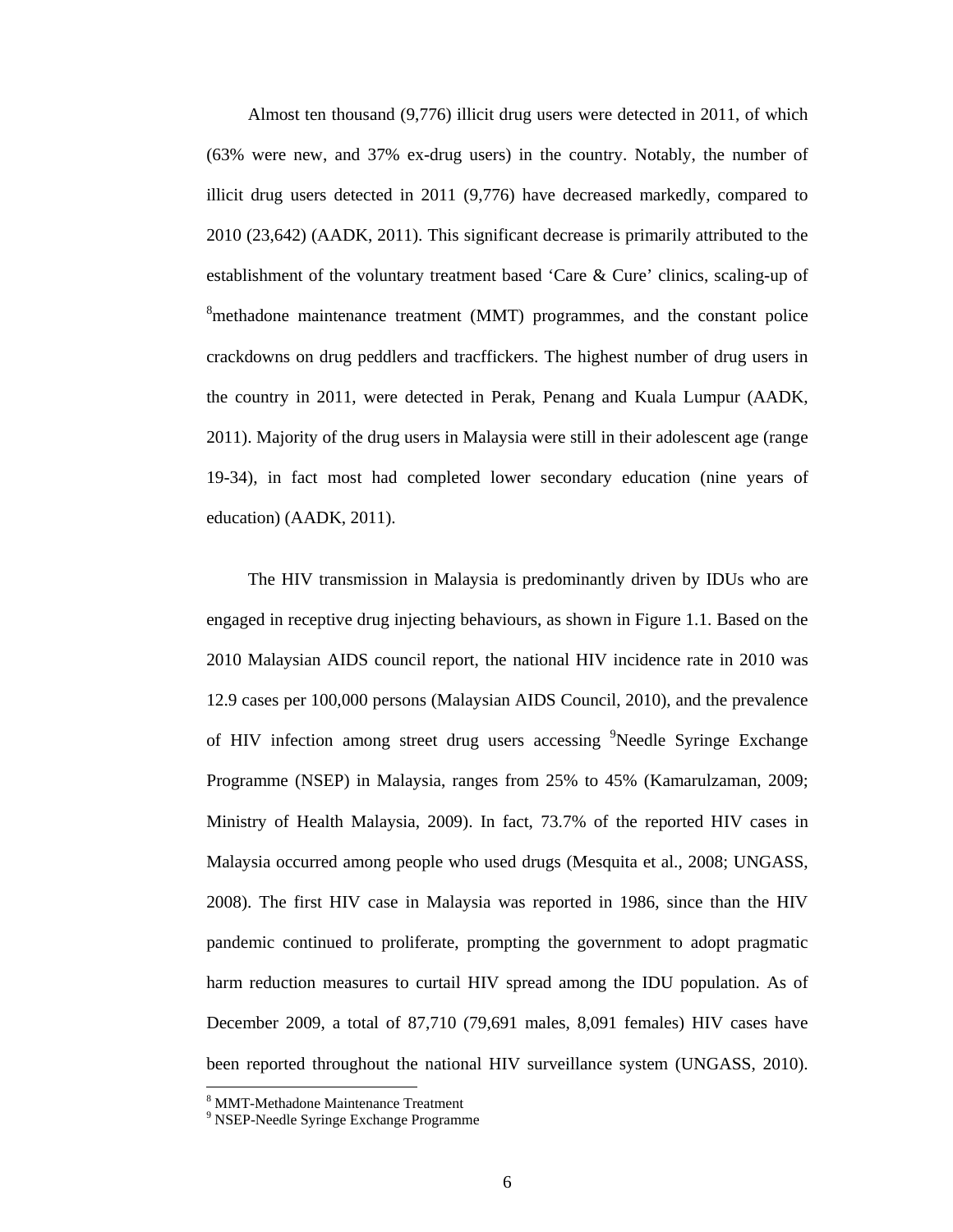Almost ten thousand (9,776) illicit drug users were detected in 2011, of which (63% were new, and 37% ex-drug users) in the country. Notably, the number of illicit drug users detected in 2011 (9,776) have decreased markedly, compared to 2010 (23,642) (AADK, 2011). This significant decrease is primarily attributed to the establishment of the voluntary treatment based 'Care & Cure' clinics, scaling-up of <sup>8</sup>methadone maintenance treatment (MMT) programmes, and the constant police crackdowns on drug peddlers and tracffickers. The highest number of drug users in the country in 2011, were detected in Perak, Penang and Kuala Lumpur (AADK, 2011). Majority of the drug users in Malaysia were still in their adolescent age (range 19-34), in fact most had completed lower secondary education (nine years of education) (AADK, 2011).

 The HIV transmission in Malaysia is predominantly driven by IDUs who are engaged in receptive drug injecting behaviours, as shown in Figure 1.1. Based on the 2010 Malaysian AIDS council report, the national HIV incidence rate in 2010 was 12.9 cases per 100,000 persons (Malaysian AIDS Council, 2010), and the prevalence of HIV infection among street drug users accessing <sup>9</sup>Needle Syringe Exchange Programme (NSEP) in Malaysia, ranges from 25% to 45% (Kamarulzaman, 2009; Ministry of Health Malaysia, 2009). In fact, 73.7% of the reported HIV cases in Malaysia occurred among people who used drugs (Mesquita et al., 2008; UNGASS, 2008). The first HIV case in Malaysia was reported in 1986, since than the HIV pandemic continued to proliferate, prompting the government to adopt pragmatic harm reduction measures to curtail HIV spread among the IDU population. As of December 2009, a total of 87,710 (79,691 males, 8,091 females) HIV cases have been reported throughout the national HIV surveillance system (UNGASS, 2010).

<sup>8</sup> MMT-Methadone Maintenance Treatment

<sup>9</sup> NSEP-Needle Syringe Exchange Programme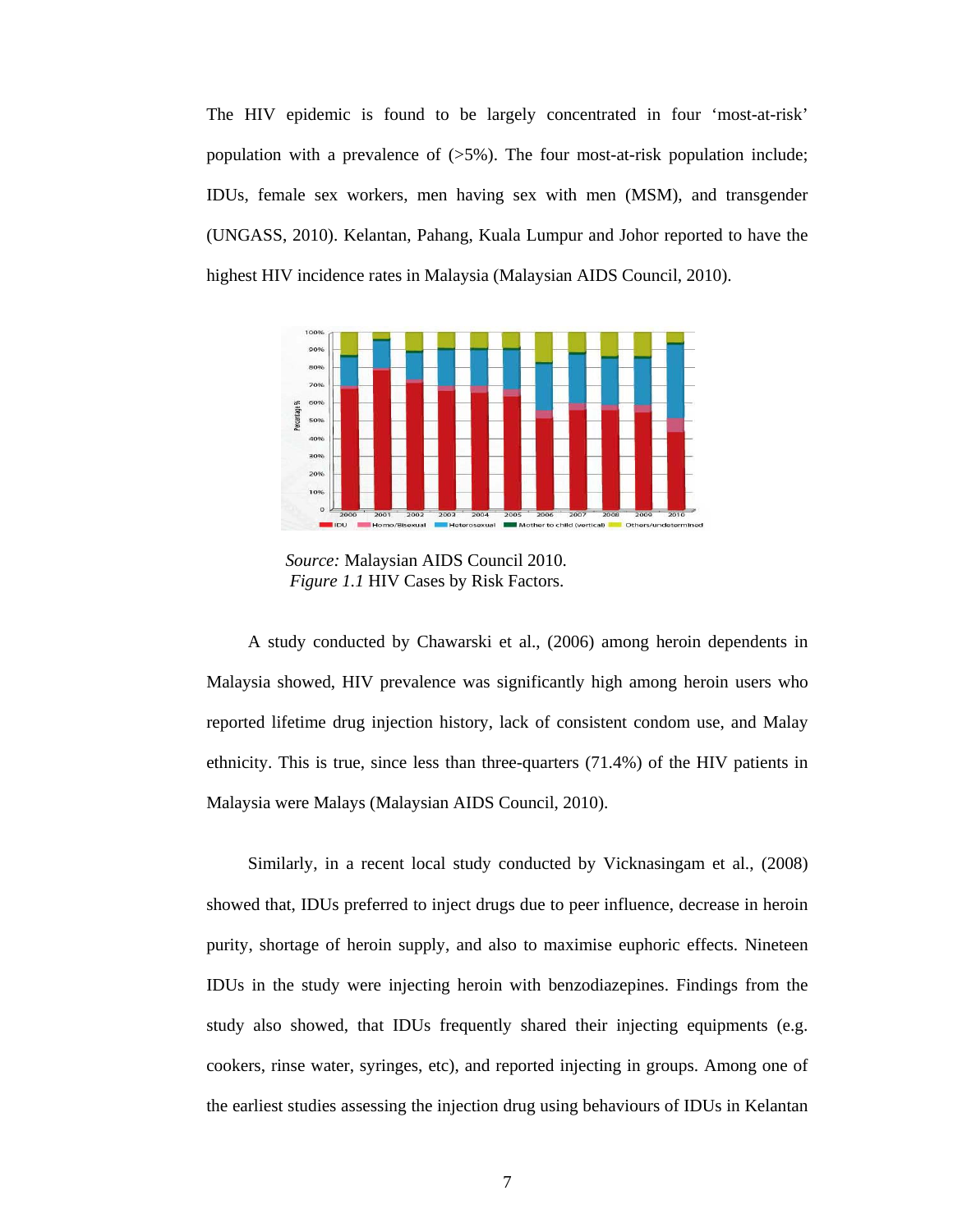The HIV epidemic is found to be largely concentrated in four 'most-at-risk' population with a prevalence of  $(55\%)$ . The four most-at-risk population include; IDUs, female sex workers, men having sex with men (MSM), and transgender (UNGASS, 2010). Kelantan, Pahang, Kuala Lumpur and Johor reported to have the highest HIV incidence rates in Malaysia (Malaysian AIDS Council, 2010).



 *Source:* Malaysian AIDS Council 2010.  *Figure 1.1* HIV Cases by Risk Factors.

 A study conducted by Chawarski et al., (2006) among heroin dependents in Malaysia showed, HIV prevalence was significantly high among heroin users who reported lifetime drug injection history, lack of consistent condom use, and Malay ethnicity. This is true, since less than three-quarters (71.4%) of the HIV patients in Malaysia were Malays (Malaysian AIDS Council, 2010).

 Similarly, in a recent local study conducted by Vicknasingam et al., (2008) showed that, IDUs preferred to inject drugs due to peer influence, decrease in heroin purity, shortage of heroin supply, and also to maximise euphoric effects. Nineteen IDUs in the study were injecting heroin with benzodiazepines. Findings from the study also showed, that IDUs frequently shared their injecting equipments (e.g. cookers, rinse water, syringes, etc), and reported injecting in groups. Among one of the earliest studies assessing the injection drug using behaviours of IDUs in Kelantan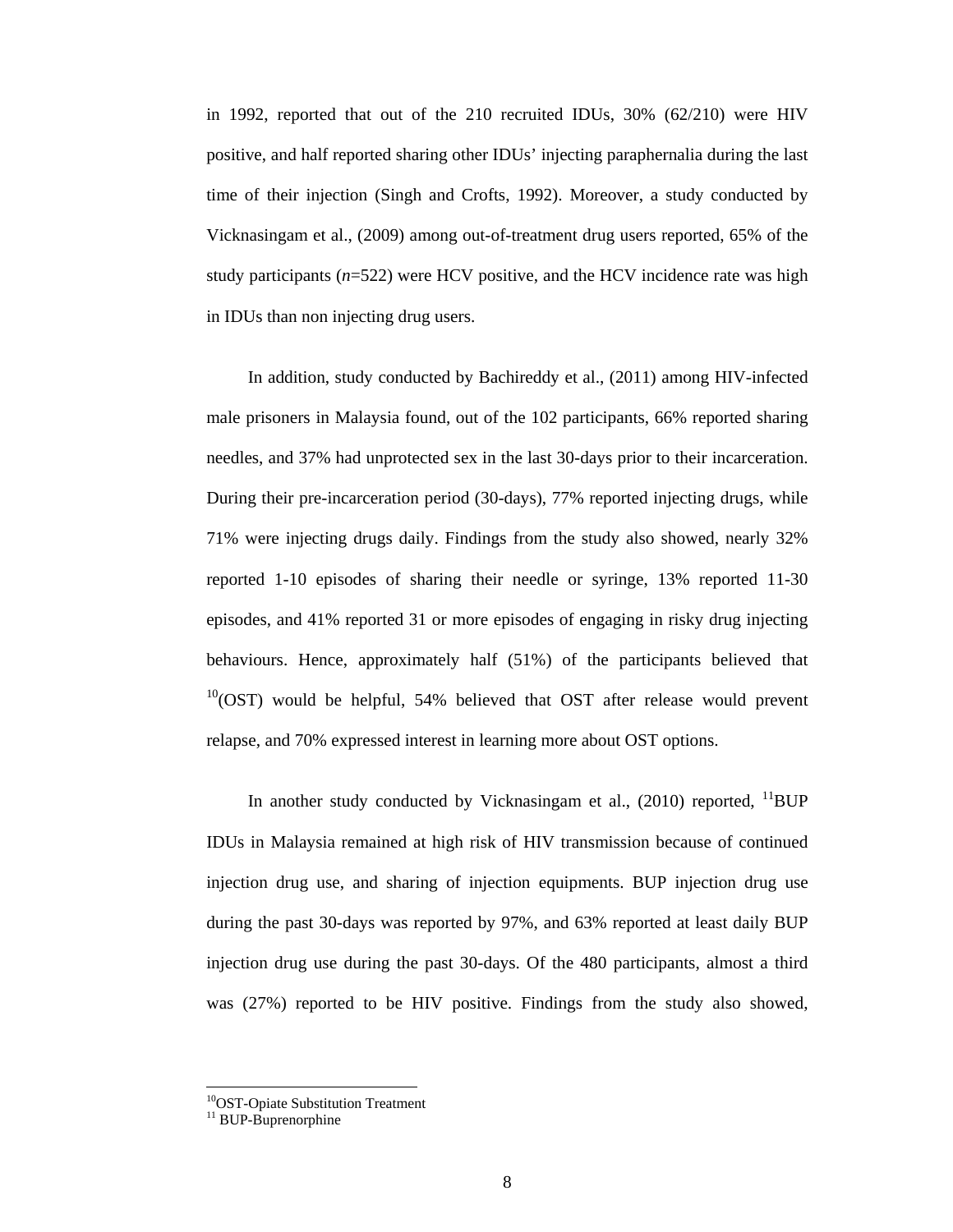in 1992, reported that out of the 210 recruited IDUs, 30% (62/210) were HIV positive, and half reported sharing other IDUs' injecting paraphernalia during the last time of their injection (Singh and Crofts, 1992). Moreover, a study conducted by Vicknasingam et al., (2009) among out-of-treatment drug users reported, 65% of the study participants ( $n=522$ ) were HCV positive, and the HCV incidence rate was high in IDUs than non injecting drug users.

 In addition, study conducted by Bachireddy et al., (2011) among HIV-infected male prisoners in Malaysia found, out of the 102 participants, 66% reported sharing needles, and 37% had unprotected sex in the last 30-days prior to their incarceration. During their pre-incarceration period (30-days), 77% reported injecting drugs, while 71% were injecting drugs daily. Findings from the study also showed, nearly 32% reported 1-10 episodes of sharing their needle or syringe, 13% reported 11-30 episodes, and 41% reported 31 or more episodes of engaging in risky drug injecting behaviours. Hence, approximately half (51%) of the participants believed that  $10(0ST)$  would be helpful, 54% believed that OST after release would prevent relapse, and 70% expressed interest in learning more about OST options.

In another study conducted by Vicknasingam et al.,  $(2010)$  reported,  $^{11}$ BUP IDUs in Malaysia remained at high risk of HIV transmission because of continued injection drug use, and sharing of injection equipments. BUP injection drug use during the past 30-days was reported by 97%, and 63% reported at least daily BUP injection drug use during the past 30-days. Of the 480 participants, almost a third was (27%) reported to be HIV positive. Findings from the study also showed,

 <sup>10</sup>OST-Opiate Substitution Treatment

<sup>&</sup>lt;sup>11</sup> BUP-Buprenorphine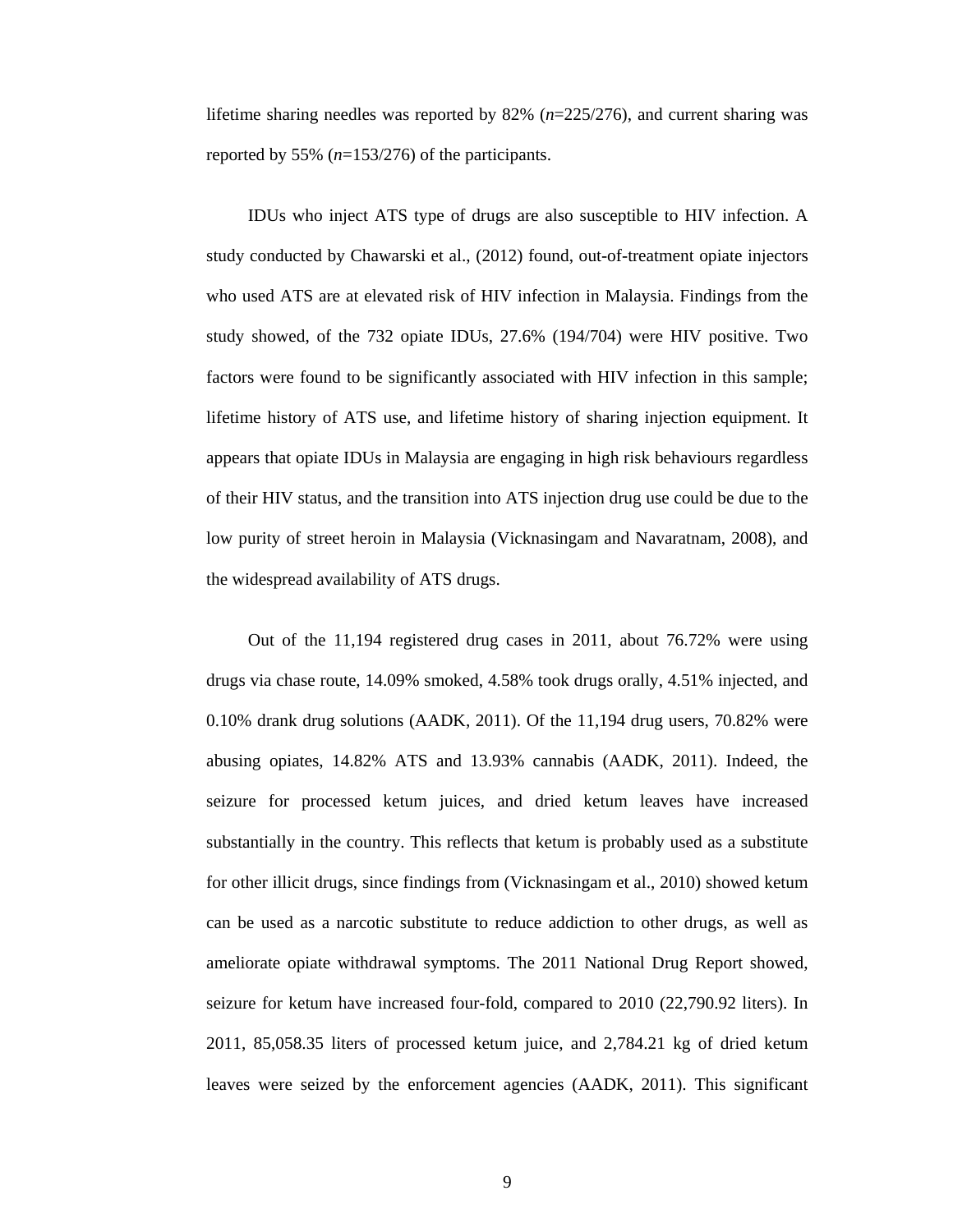lifetime sharing needles was reported by 82% (*n*=225/276), and current sharing was reported by 55% (*n*=153/276) of the participants.

 IDUs who inject ATS type of drugs are also susceptible to HIV infection. A study conducted by Chawarski et al., (2012) found, out-of-treatment opiate injectors who used ATS are at elevated risk of HIV infection in Malaysia. Findings from the study showed, of the 732 opiate IDUs, 27.6% (194/704) were HIV positive. Two factors were found to be significantly associated with HIV infection in this sample; lifetime history of ATS use, and lifetime history of sharing injection equipment. It appears that opiate IDUs in Malaysia are engaging in high risk behaviours regardless of their HIV status, and the transition into ATS injection drug use could be due to the low purity of street heroin in Malaysia (Vicknasingam and Navaratnam, 2008), and the widespread availability of ATS drugs.

 Out of the 11,194 registered drug cases in 2011, about 76.72% were using drugs via chase route, 14.09% smoked, 4.58% took drugs orally, 4.51% injected, and 0.10% drank drug solutions (AADK, 2011). Of the 11,194 drug users, 70.82% were abusing opiates, 14.82% ATS and 13.93% cannabis (AADK, 2011). Indeed, the seizure for processed ketum juices, and dried ketum leaves have increased substantially in the country. This reflects that ketum is probably used as a substitute for other illicit drugs, since findings from (Vicknasingam et al., 2010) showed ketum can be used as a narcotic substitute to reduce addiction to other drugs, as well as ameliorate opiate withdrawal symptoms. The 2011 National Drug Report showed, seizure for ketum have increased four-fold, compared to 2010 (22,790.92 liters). In 2011, 85,058.35 liters of processed ketum juice, and 2,784.21 kg of dried ketum leaves were seized by the enforcement agencies (AADK, 2011). This significant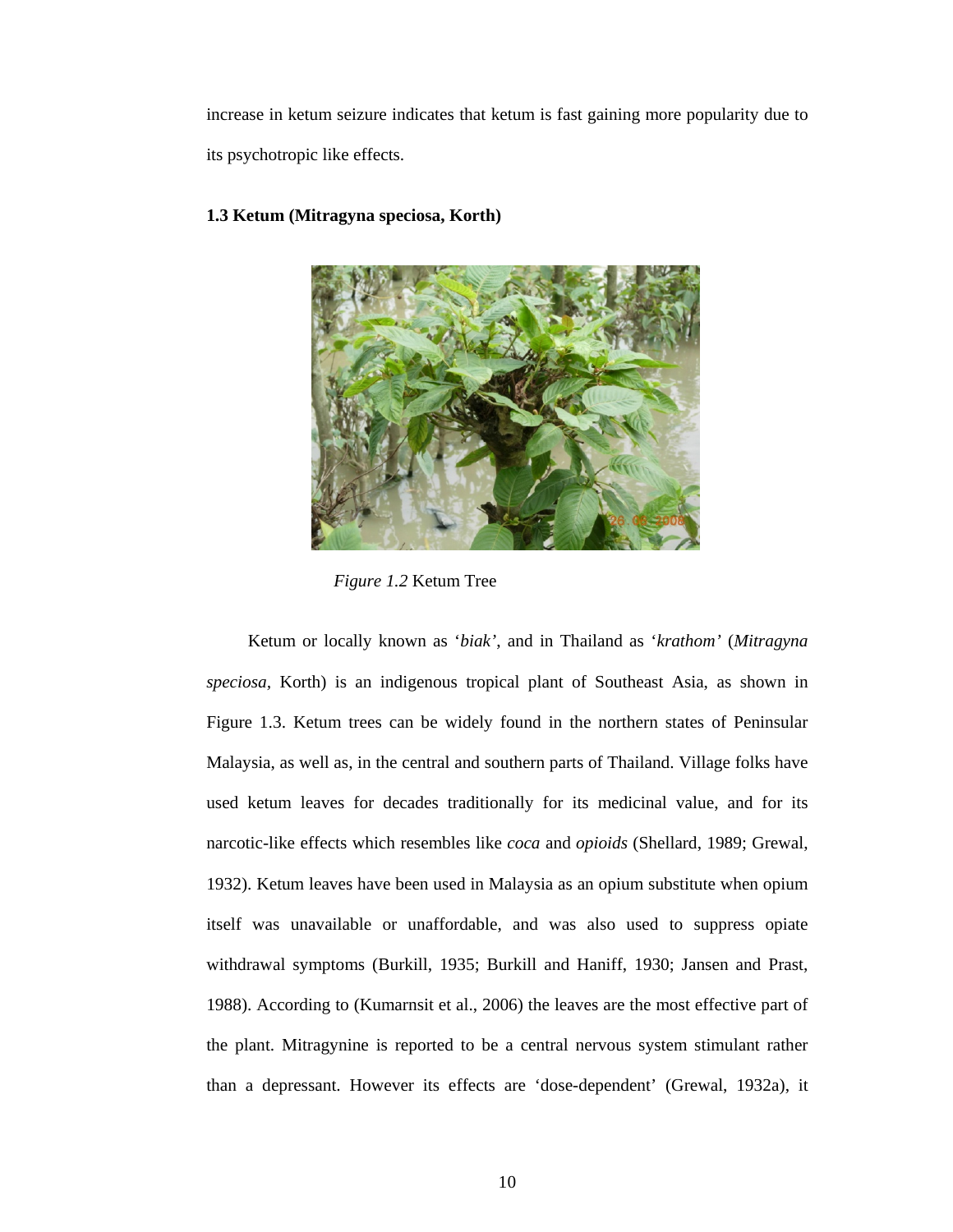increase in ketum seizure indicates that ketum is fast gaining more popularity due to its psychotropic like effects.



## **1.3 Ketum (Mitragyna speciosa, Korth)**

 *Figure 1.2* Ketum Tree

 Ketum or locally known as '*biak'*, and in Thailand as '*krathom'* (*Mitragyna speciosa,* Korth) is an indigenous tropical plant of Southeast Asia, as shown in Figure 1.3. Ketum trees can be widely found in the northern states of Peninsular Malaysia, as well as, in the central and southern parts of Thailand. Village folks have used ketum leaves for decades traditionally for its medicinal value, and for its narcotic-like effects which resembles like *coca* and *opioids* (Shellard, 1989; Grewal, 1932). Ketum leaves have been used in Malaysia as an opium substitute when opium itself was unavailable or unaffordable, and was also used to suppress opiate withdrawal symptoms (Burkill, 1935; Burkill and Haniff, 1930; Jansen and Prast, 1988). According to (Kumarnsit et al., 2006) the leaves are the most effective part of the plant. Mitragynine is reported to be a central nervous system stimulant rather than a depressant. However its effects are 'dose-dependent' (Grewal, 1932a), it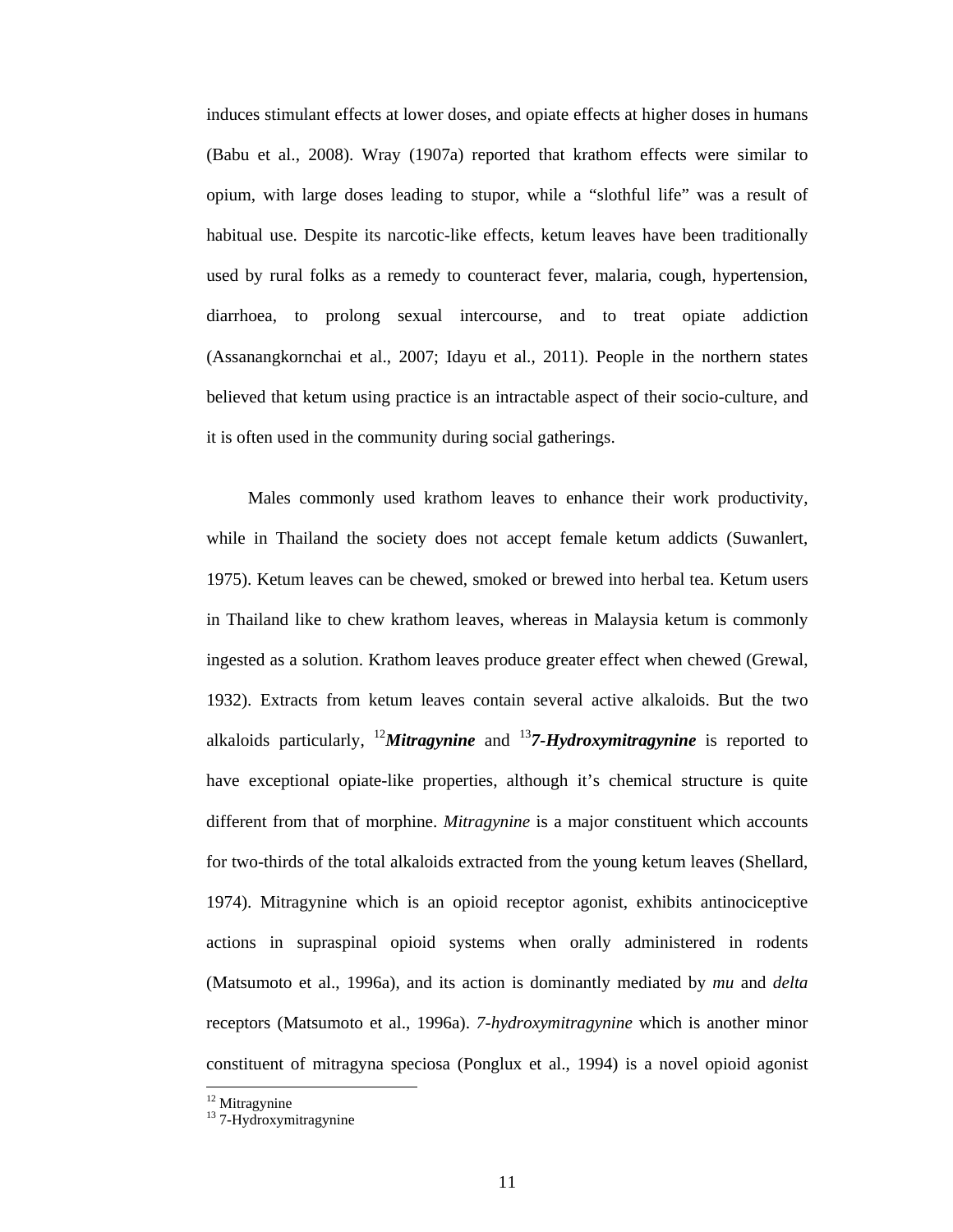induces stimulant effects at lower doses, and opiate effects at higher doses in humans (Babu et al., 2008). Wray (1907a) reported that krathom effects were similar to opium, with large doses leading to stupor, while a "slothful life" was a result of habitual use. Despite its narcotic-like effects, ketum leaves have been traditionally used by rural folks as a remedy to counteract fever, malaria, cough, hypertension, diarrhoea, to prolong sexual intercourse, and to treat opiate addiction (Assanangkornchai et al., 2007; Idayu et al., 2011). People in the northern states believed that ketum using practice is an intractable aspect of their socio-culture, and it is often used in the community during social gatherings.

 Males commonly used krathom leaves to enhance their work productivity, while in Thailand the society does not accept female ketum addicts (Suwanlert, 1975). Ketum leaves can be chewed, smoked or brewed into herbal tea. Ketum users in Thailand like to chew krathom leaves, whereas in Malaysia ketum is commonly ingested as a solution. Krathom leaves produce greater effect when chewed (Grewal, 1932). Extracts from ketum leaves contain several active alkaloids. But the two alkaloids particularly, <sup>12</sup>*Mitragynine* and <sup>13</sup>*7-Hydroxymitragynine* is reported to have exceptional opiate-like properties, although it's chemical structure is quite different from that of morphine. *Mitragynine* is a major constituent which accounts for two-thirds of the total alkaloids extracted from the young ketum leaves (Shellard, 1974). Mitragynine which is an opioid receptor agonist, exhibits antinociceptive actions in supraspinal opioid systems when orally administered in rodents (Matsumoto et al., 1996a), and its action is dominantly mediated by *mu* and *delta* receptors (Matsumoto et al., 1996a). *7-hydroxymitragynine* which is another minor constituent of mitragyna speciosa (Ponglux et al., 1994) is a novel opioid agonist

<sup>&</sup>lt;sup>12</sup> Mitragynine

<sup>&</sup>lt;sup>13</sup> 7-Hydroxymitragynine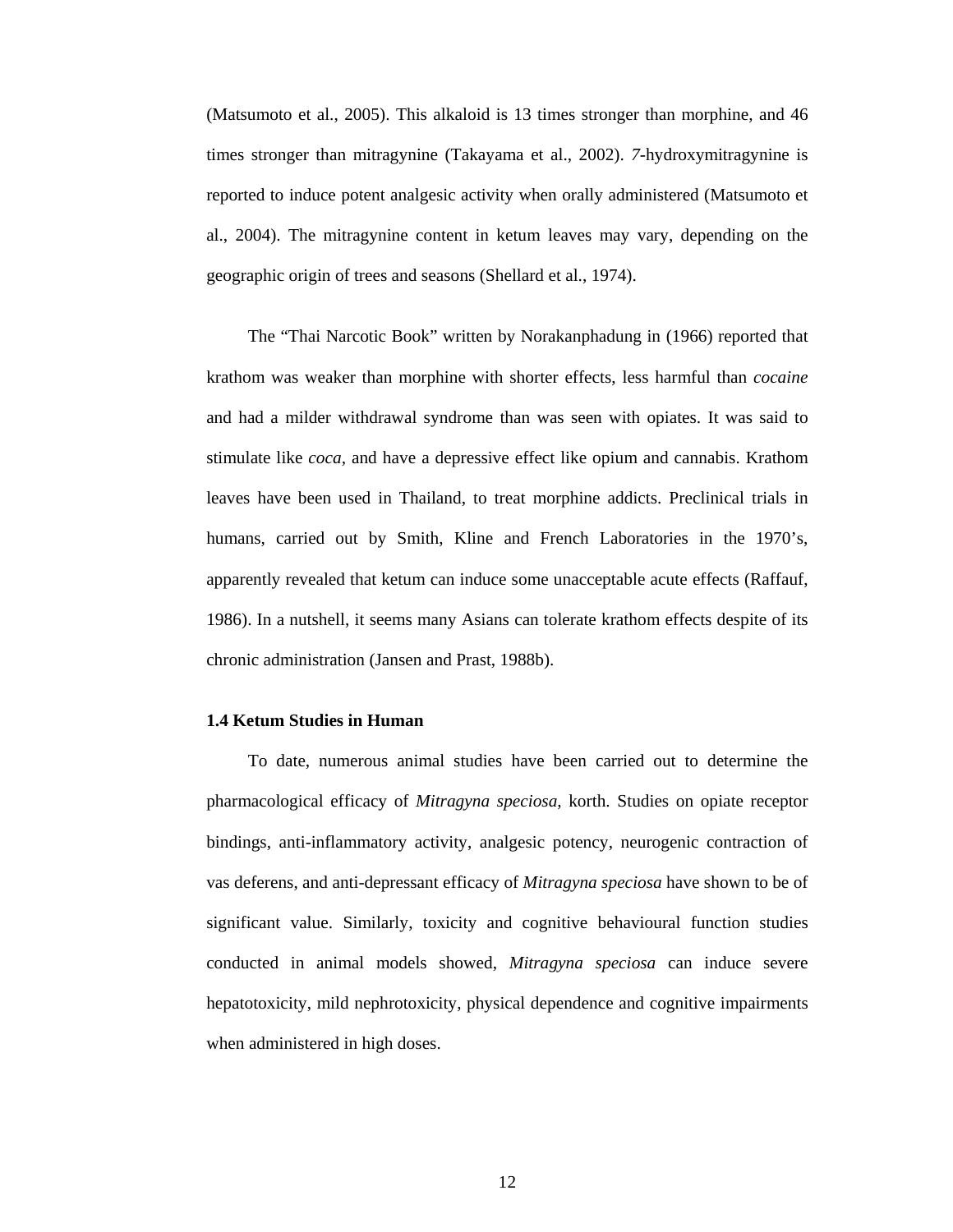(Matsumoto et al., 2005). This alkaloid is 13 times stronger than morphine, and 46 times stronger than mitragynine (Takayama et al., 2002). *7-*hydroxymitragynine is reported to induce potent analgesic activity when orally administered (Matsumoto et al., 2004). The mitragynine content in ketum leaves may vary, depending on the geographic origin of trees and seasons (Shellard et al., 1974).

 The "Thai Narcotic Book" written by Norakanphadung in (1966) reported that krathom was weaker than morphine with shorter effects, less harmful than *cocaine* and had a milder withdrawal syndrome than was seen with opiates. It was said to stimulate like *coca,* and have a depressive effect like opium and cannabis. Krathom leaves have been used in Thailand, to treat morphine addicts. Preclinical trials in humans, carried out by Smith, Kline and French Laboratories in the 1970's, apparently revealed that ketum can induce some unacceptable acute effects (Raffauf, 1986). In a nutshell, it seems many Asians can tolerate krathom effects despite of its chronic administration (Jansen and Prast, 1988b).

#### **1.4 Ketum Studies in Human**

 To date, numerous animal studies have been carried out to determine the pharmacological efficacy of *Mitragyna speciosa*, korth. Studies on opiate receptor bindings, anti-inflammatory activity, analgesic potency, neurogenic contraction of vas deferens, and anti-depressant efficacy of *Mitragyna speciosa* have shown to be of significant value. Similarly, toxicity and cognitive behavioural function studies conducted in animal models showed, *Mitragyna speciosa* can induce severe hepatotoxicity, mild nephrotoxicity, physical dependence and cognitive impairments when administered in high doses.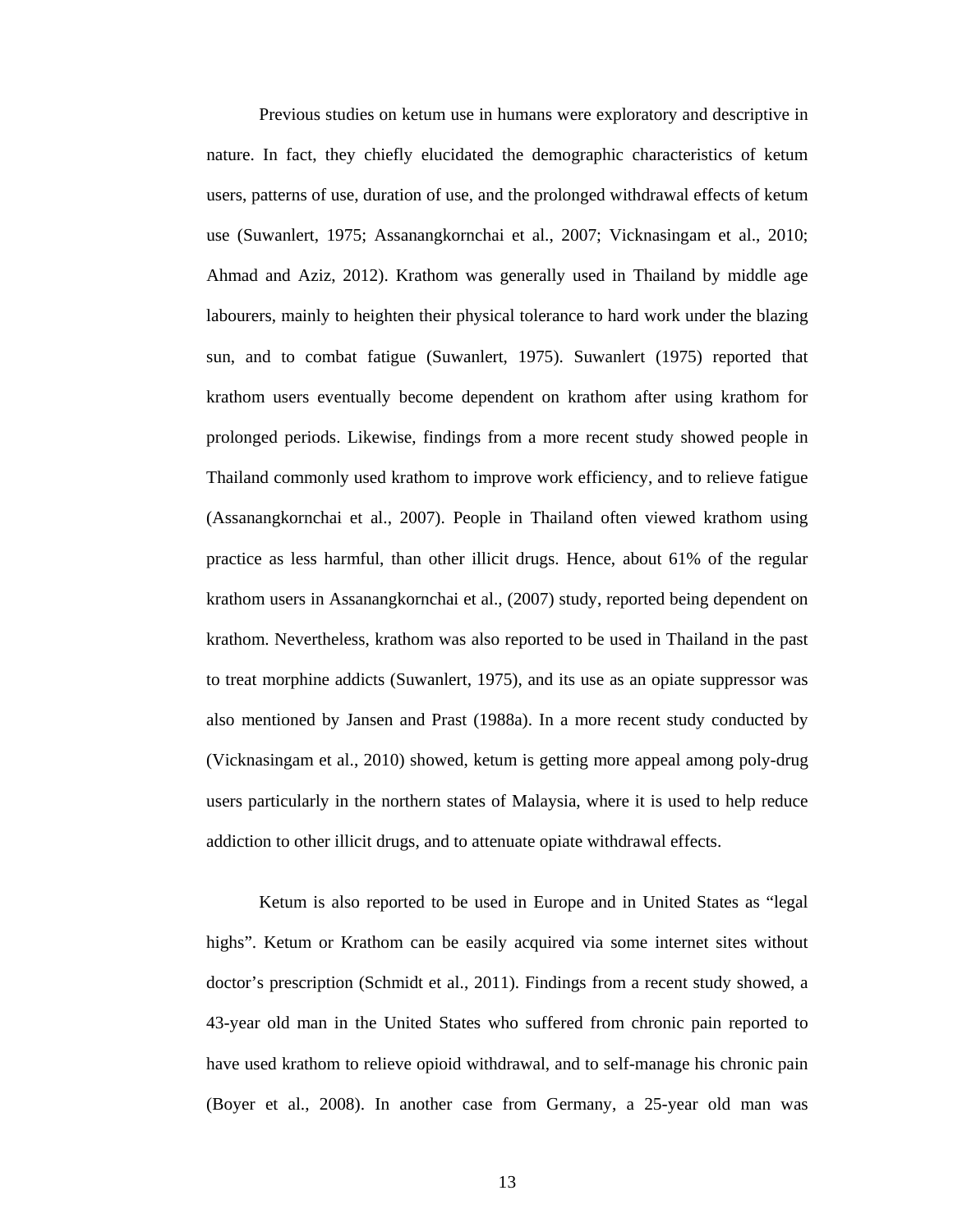Previous studies on ketum use in humans were exploratory and descriptive in nature. In fact, they chiefly elucidated the demographic characteristics of ketum users, patterns of use, duration of use, and the prolonged withdrawal effects of ketum use (Suwanlert, 1975; Assanangkornchai et al., 2007; Vicknasingam et al., 2010; Ahmad and Aziz, 2012). Krathom was generally used in Thailand by middle age labourers, mainly to heighten their physical tolerance to hard work under the blazing sun, and to combat fatigue (Suwanlert, 1975). Suwanlert (1975) reported that krathom users eventually become dependent on krathom after using krathom for prolonged periods. Likewise, findings from a more recent study showed people in Thailand commonly used krathom to improve work efficiency, and to relieve fatigue (Assanangkornchai et al., 2007). People in Thailand often viewed krathom using practice as less harmful, than other illicit drugs. Hence, about 61% of the regular krathom users in Assanangkornchai et al., (2007) study, reported being dependent on krathom. Nevertheless, krathom was also reported to be used in Thailand in the past to treat morphine addicts (Suwanlert, 1975), and its use as an opiate suppressor was also mentioned by Jansen and Prast (1988a). In a more recent study conducted by (Vicknasingam et al., 2010) showed, ketum is getting more appeal among poly-drug users particularly in the northern states of Malaysia, where it is used to help reduce addiction to other illicit drugs, and to attenuate opiate withdrawal effects.

Ketum is also reported to be used in Europe and in United States as "legal highs". Ketum or Krathom can be easily acquired via some internet sites without doctor's prescription (Schmidt et al., 2011). Findings from a recent study showed, a 43-year old man in the United States who suffered from chronic pain reported to have used krathom to relieve opioid withdrawal, and to self-manage his chronic pain (Boyer et al., 2008). In another case from Germany, a 25-year old man was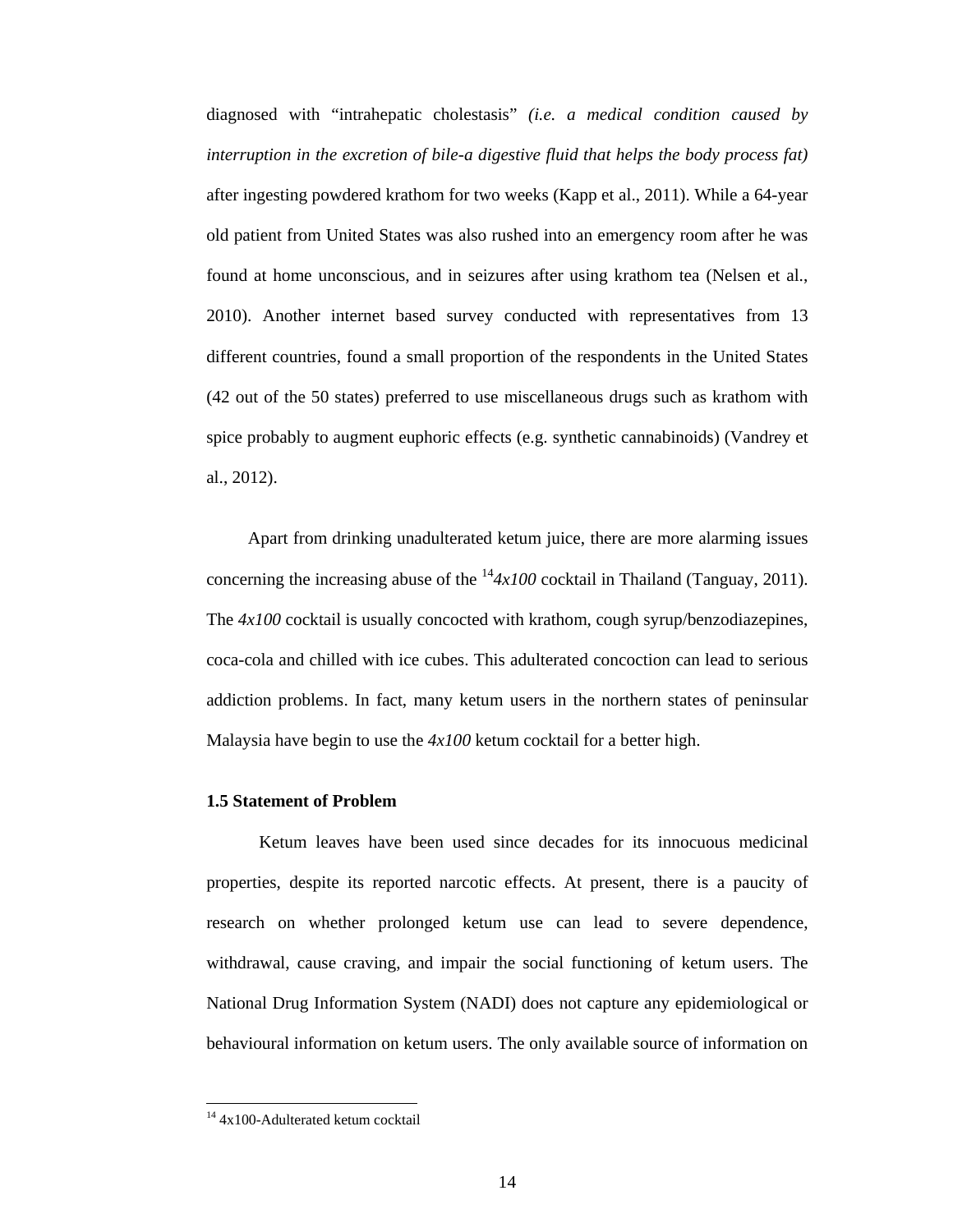diagnosed with "intrahepatic cholestasis" *(i.e. a medical condition caused by interruption in the excretion of bile-a digestive fluid that helps the body process fat)* after ingesting powdered krathom for two weeks (Kapp et al., 2011). While a 64-year old patient from United States was also rushed into an emergency room after he was found at home unconscious, and in seizures after using krathom tea (Nelsen et al., 2010). Another internet based survey conducted with representatives from 13 different countries, found a small proportion of the respondents in the United States (42 out of the 50 states) preferred to use miscellaneous drugs such as krathom with spice probably to augment euphoric effects (e.g. synthetic cannabinoids) (Vandrey et al., 2012).

 Apart from drinking unadulterated ketum juice, there are more alarming issues concerning the increasing abuse of the  $14/4 \times 100$  cocktail in Thailand (Tanguay, 2011). The *4x100* cocktail is usually concocted with krathom, cough syrup/benzodiazepines, coca-cola and chilled with ice cubes. This adulterated concoction can lead to serious addiction problems. In fact, many ketum users in the northern states of peninsular Malaysia have begin to use the *4x100* ketum cocktail for a better high.

#### **1.5 Statement of Problem**

Ketum leaves have been used since decades for its innocuous medicinal properties, despite its reported narcotic effects. At present, there is a paucity of research on whether prolonged ketum use can lead to severe dependence, withdrawal, cause craving, and impair the social functioning of ketum users. The National Drug Information System (NADI) does not capture any epidemiological or behavioural information on ketum users. The only available source of information on

 <sup>14</sup> 4x100-Adulterated ketum cocktail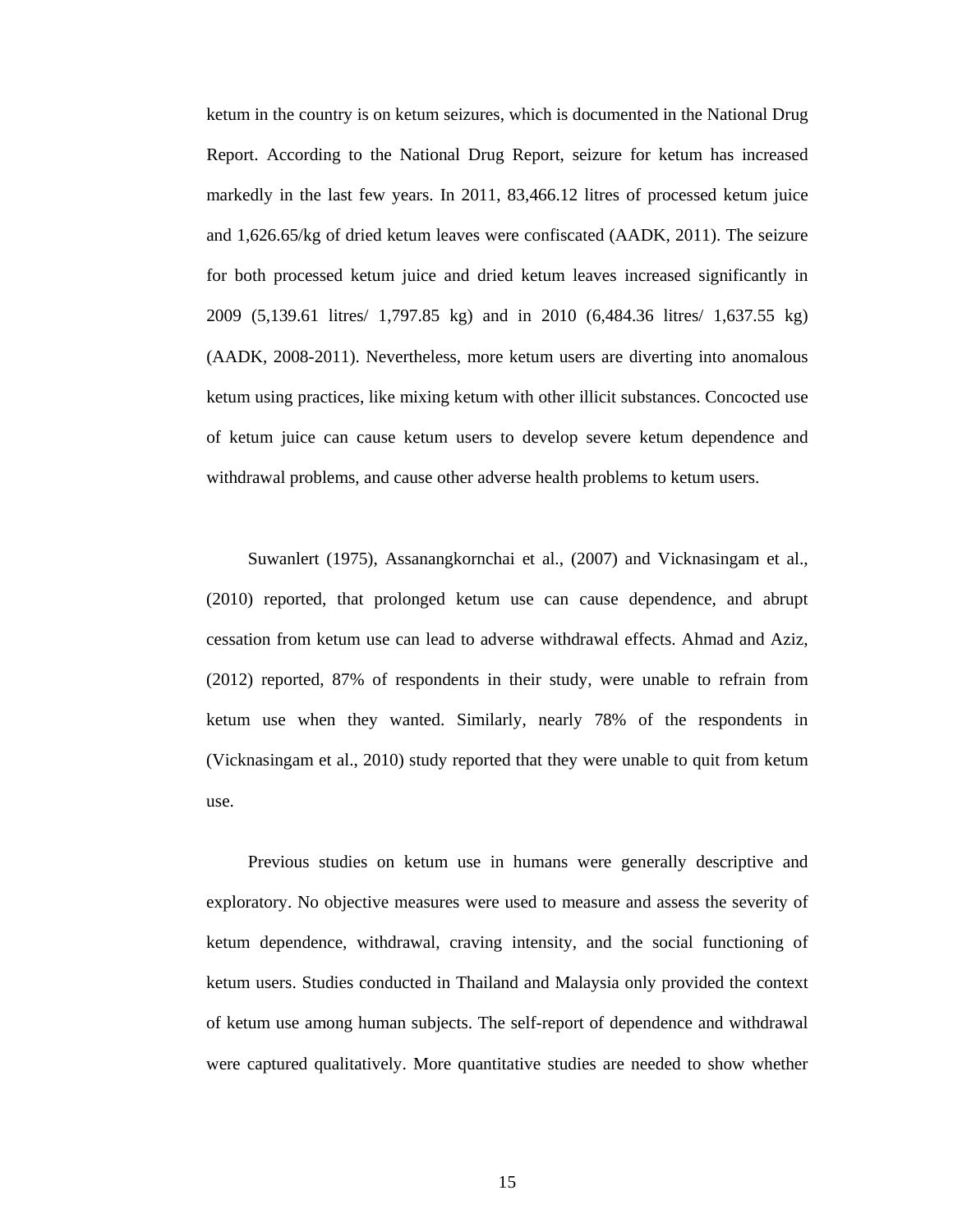ketum in the country is on ketum seizures, which is documented in the National Drug Report. According to the National Drug Report, seizure for ketum has increased markedly in the last few years. In 2011, 83,466.12 litres of processed ketum juice and 1,626.65/kg of dried ketum leaves were confiscated (AADK, 2011). The seizure for both processed ketum juice and dried ketum leaves increased significantly in 2009 (5,139.61 litres/ 1,797.85 kg) and in 2010 (6,484.36 litres/ 1,637.55 kg) (AADK, 2008-2011). Nevertheless, more ketum users are diverting into anomalous ketum using practices, like mixing ketum with other illicit substances. Concocted use of ketum juice can cause ketum users to develop severe ketum dependence and withdrawal problems, and cause other adverse health problems to ketum users.

 Suwanlert (1975), Assanangkornchai et al., (2007) and Vicknasingam et al., (2010) reported, that prolonged ketum use can cause dependence, and abrupt cessation from ketum use can lead to adverse withdrawal effects. Ahmad and Aziz, (2012) reported, 87% of respondents in their study, were unable to refrain from ketum use when they wanted. Similarly, nearly 78% of the respondents in (Vicknasingam et al., 2010) study reported that they were unable to quit from ketum use.

 Previous studies on ketum use in humans were generally descriptive and exploratory. No objective measures were used to measure and assess the severity of ketum dependence, withdrawal, craving intensity, and the social functioning of ketum users. Studies conducted in Thailand and Malaysia only provided the context of ketum use among human subjects. The self-report of dependence and withdrawal were captured qualitatively. More quantitative studies are needed to show whether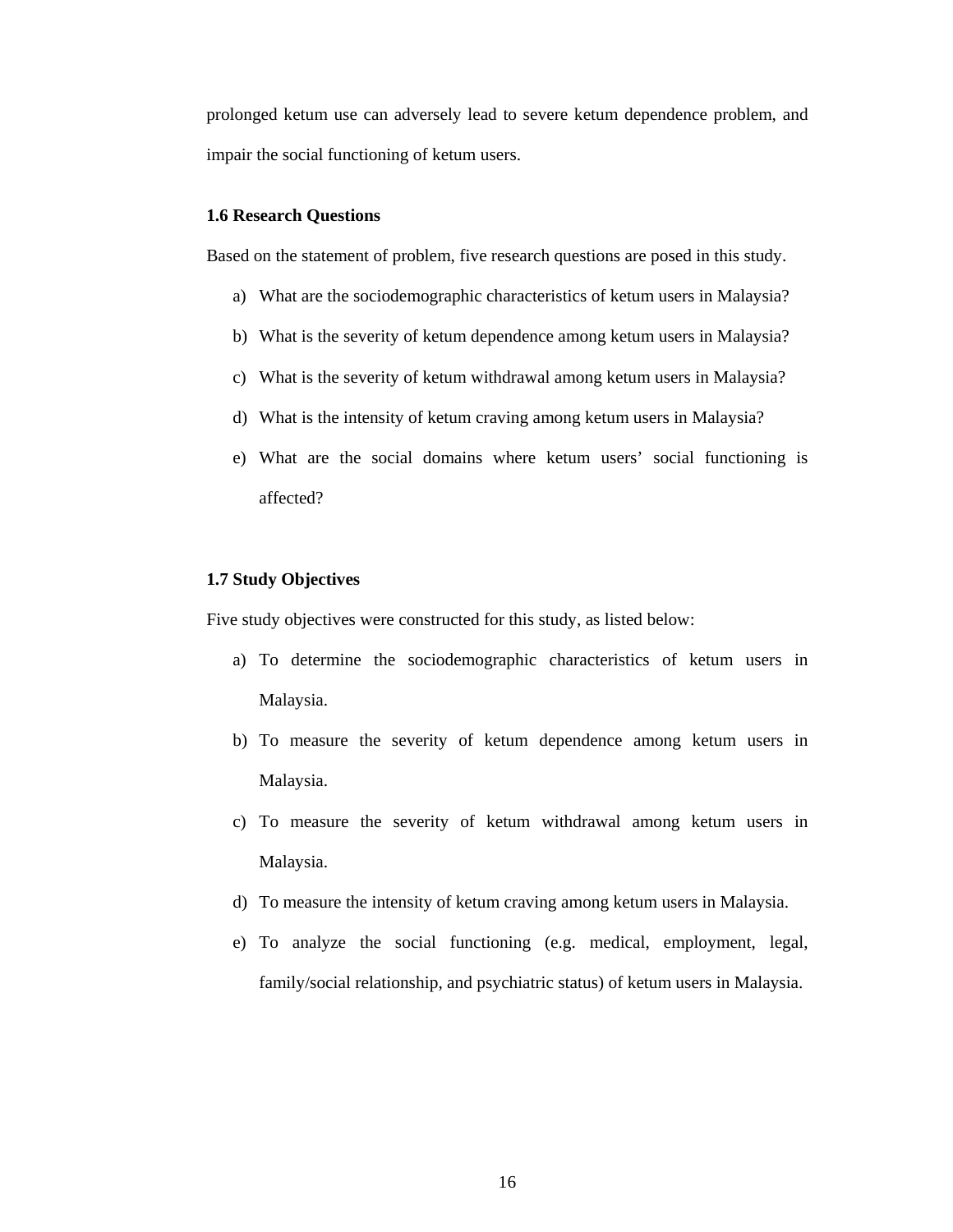prolonged ketum use can adversely lead to severe ketum dependence problem, and impair the social functioning of ketum users.

## **1.6 Research Questions**

Based on the statement of problem, five research questions are posed in this study.

- a) What are the sociodemographic characteristics of ketum users in Malaysia?
- b) What is the severity of ketum dependence among ketum users in Malaysia?
- c) What is the severity of ketum withdrawal among ketum users in Malaysia?
- d) What is the intensity of ketum craving among ketum users in Malaysia?
- e) What are the social domains where ketum users' social functioning is affected?

#### **1.7 Study Objectives**

Five study objectives were constructed for this study, as listed below:

- a) To determine the sociodemographic characteristics of ketum users in Malaysia.
- b) To measure the severity of ketum dependence among ketum users in Malaysia.
- c) To measure the severity of ketum withdrawal among ketum users in Malaysia.
- d) To measure the intensity of ketum craving among ketum users in Malaysia.
- e) To analyze the social functioning (e.g. medical, employment, legal, family/social relationship, and psychiatric status) of ketum users in Malaysia.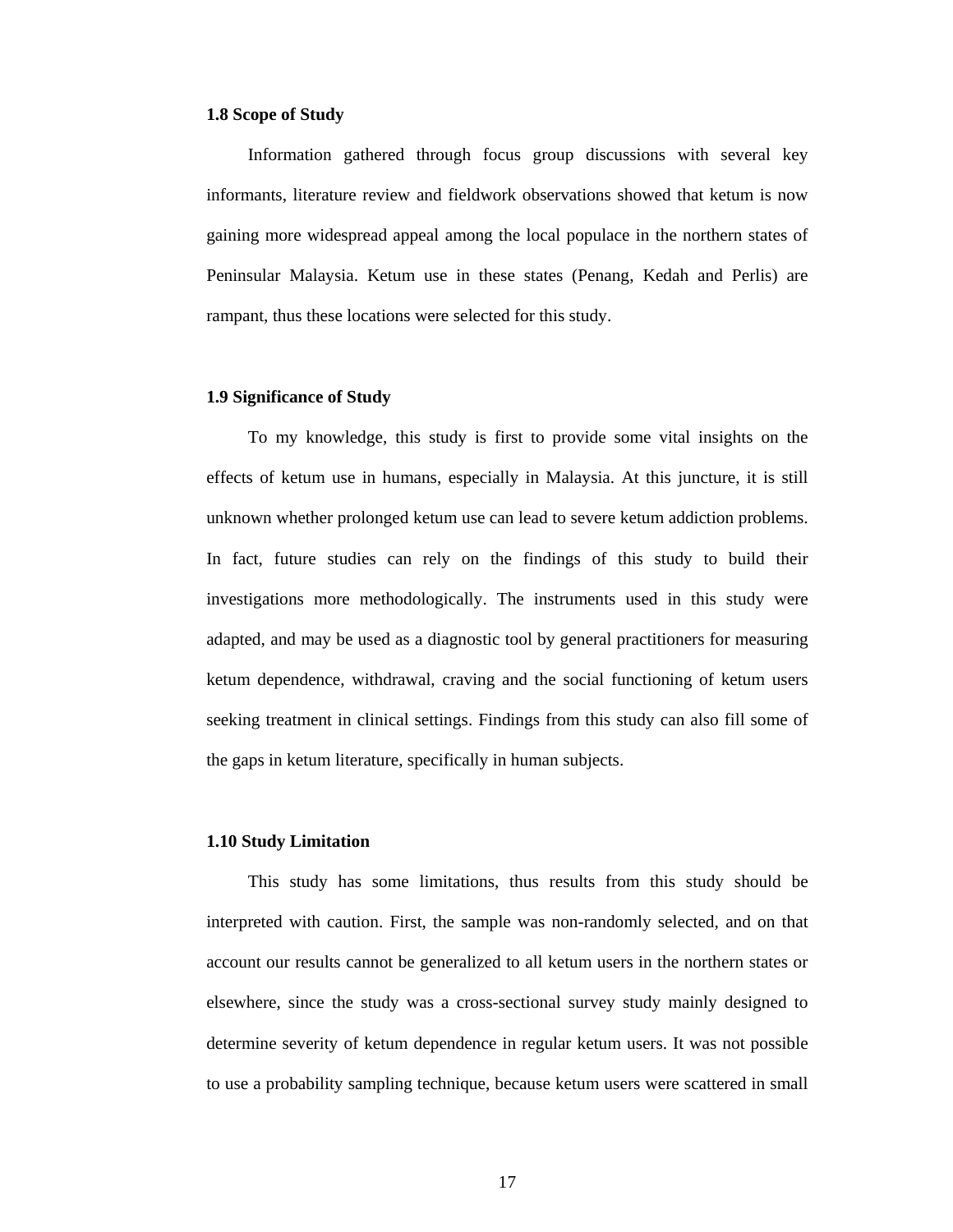#### **1.8 Scope of Study**

 Information gathered through focus group discussions with several key informants, literature review and fieldwork observations showed that ketum is now gaining more widespread appeal among the local populace in the northern states of Peninsular Malaysia. Ketum use in these states (Penang, Kedah and Perlis) are rampant, thus these locations were selected for this study.

#### **1.9 Significance of Study**

 To my knowledge, this study is first to provide some vital insights on the effects of ketum use in humans, especially in Malaysia. At this juncture, it is still unknown whether prolonged ketum use can lead to severe ketum addiction problems. In fact, future studies can rely on the findings of this study to build their investigations more methodologically. The instruments used in this study were adapted, and may be used as a diagnostic tool by general practitioners for measuring ketum dependence, withdrawal, craving and the social functioning of ketum users seeking treatment in clinical settings. Findings from this study can also fill some of the gaps in ketum literature, specifically in human subjects.

### **1.10 Study Limitation**

 This study has some limitations, thus results from this study should be interpreted with caution. First, the sample was non-randomly selected, and on that account our results cannot be generalized to all ketum users in the northern states or elsewhere, since the study was a cross-sectional survey study mainly designed to determine severity of ketum dependence in regular ketum users. It was not possible to use a probability sampling technique, because ketum users were scattered in small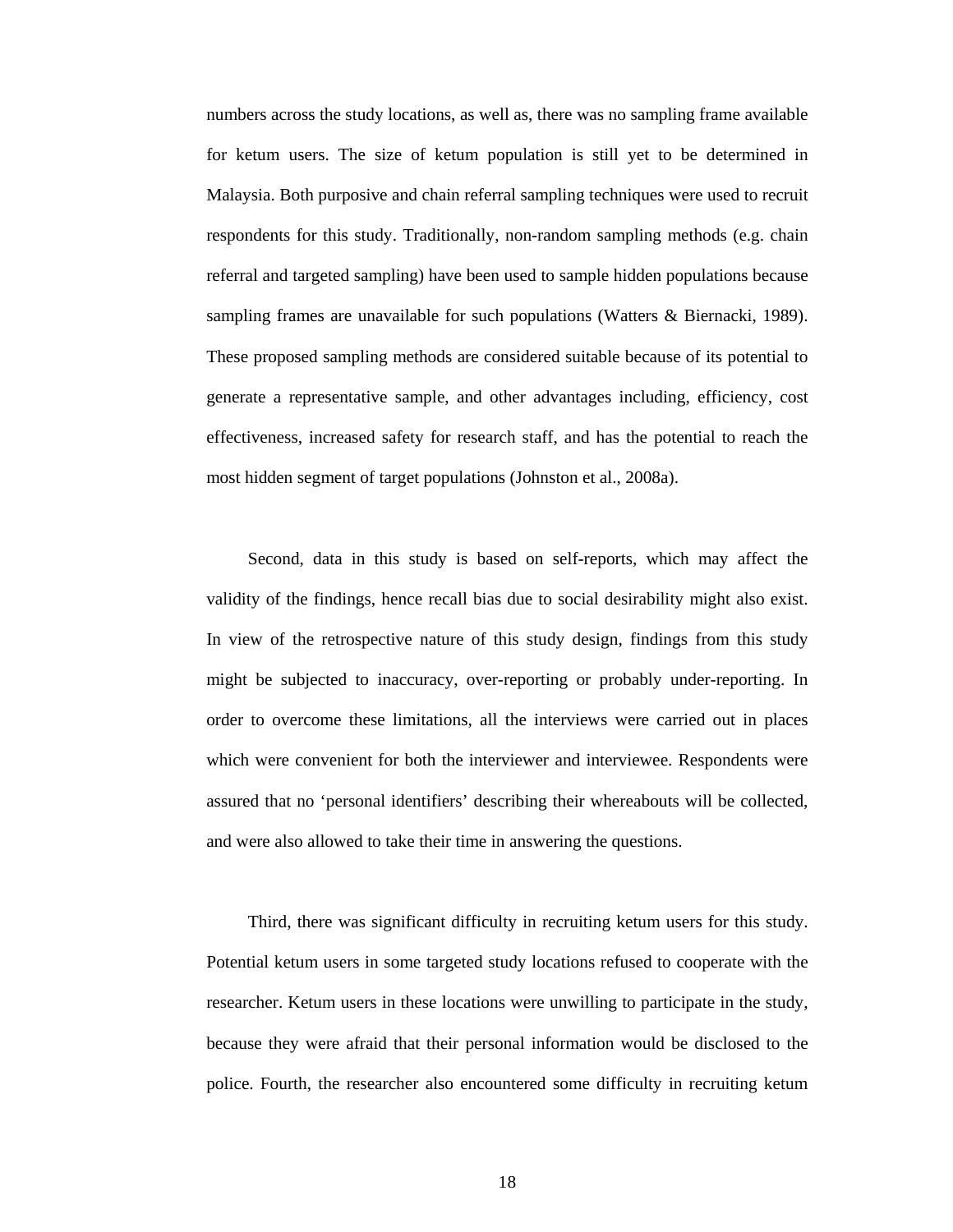numbers across the study locations, as well as, there was no sampling frame available for ketum users. The size of ketum population is still yet to be determined in Malaysia. Both purposive and chain referral sampling techniques were used to recruit respondents for this study. Traditionally, non-random sampling methods (e.g. chain referral and targeted sampling) have been used to sample hidden populations because sampling frames are unavailable for such populations (Watters & Biernacki, 1989). These proposed sampling methods are considered suitable because of its potential to generate a representative sample, and other advantages including, efficiency, cost effectiveness, increased safety for research staff, and has the potential to reach the most hidden segment of target populations (Johnston et al., 2008a).

 Second, data in this study is based on self-reports, which may affect the validity of the findings, hence recall bias due to social desirability might also exist. In view of the retrospective nature of this study design, findings from this study might be subjected to inaccuracy, over-reporting or probably under-reporting. In order to overcome these limitations, all the interviews were carried out in places which were convenient for both the interviewer and interviewee. Respondents were assured that no 'personal identifiers' describing their whereabouts will be collected, and were also allowed to take their time in answering the questions.

 Third, there was significant difficulty in recruiting ketum users for this study. Potential ketum users in some targeted study locations refused to cooperate with the researcher. Ketum users in these locations were unwilling to participate in the study, because they were afraid that their personal information would be disclosed to the police. Fourth, the researcher also encountered some difficulty in recruiting ketum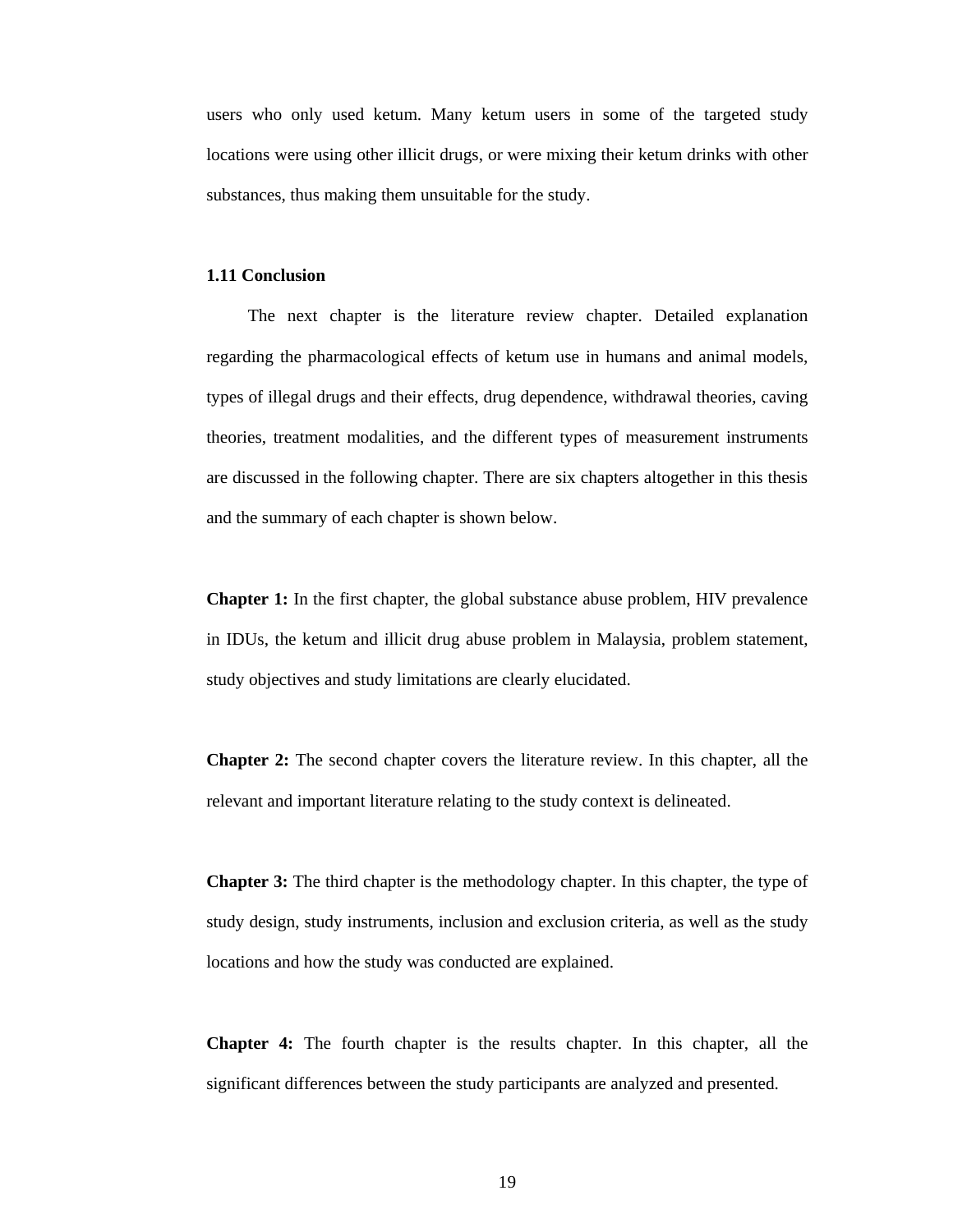users who only used ketum. Many ketum users in some of the targeted study locations were using other illicit drugs, or were mixing their ketum drinks with other substances, thus making them unsuitable for the study.

#### **1.11 Conclusion**

 The next chapter is the literature review chapter. Detailed explanation regarding the pharmacological effects of ketum use in humans and animal models, types of illegal drugs and their effects, drug dependence, withdrawal theories, caving theories, treatment modalities, and the different types of measurement instruments are discussed in the following chapter. There are six chapters altogether in this thesis and the summary of each chapter is shown below.

**Chapter 1:** In the first chapter, the global substance abuse problem, HIV prevalence in IDUs, the ketum and illicit drug abuse problem in Malaysia, problem statement, study objectives and study limitations are clearly elucidated.

**Chapter 2:** The second chapter covers the literature review. In this chapter, all the relevant and important literature relating to the study context is delineated.

**Chapter 3:** The third chapter is the methodology chapter. In this chapter, the type of study design, study instruments, inclusion and exclusion criteria, as well as the study locations and how the study was conducted are explained.

**Chapter 4:** The fourth chapter is the results chapter. In this chapter, all the significant differences between the study participants are analyzed and presented.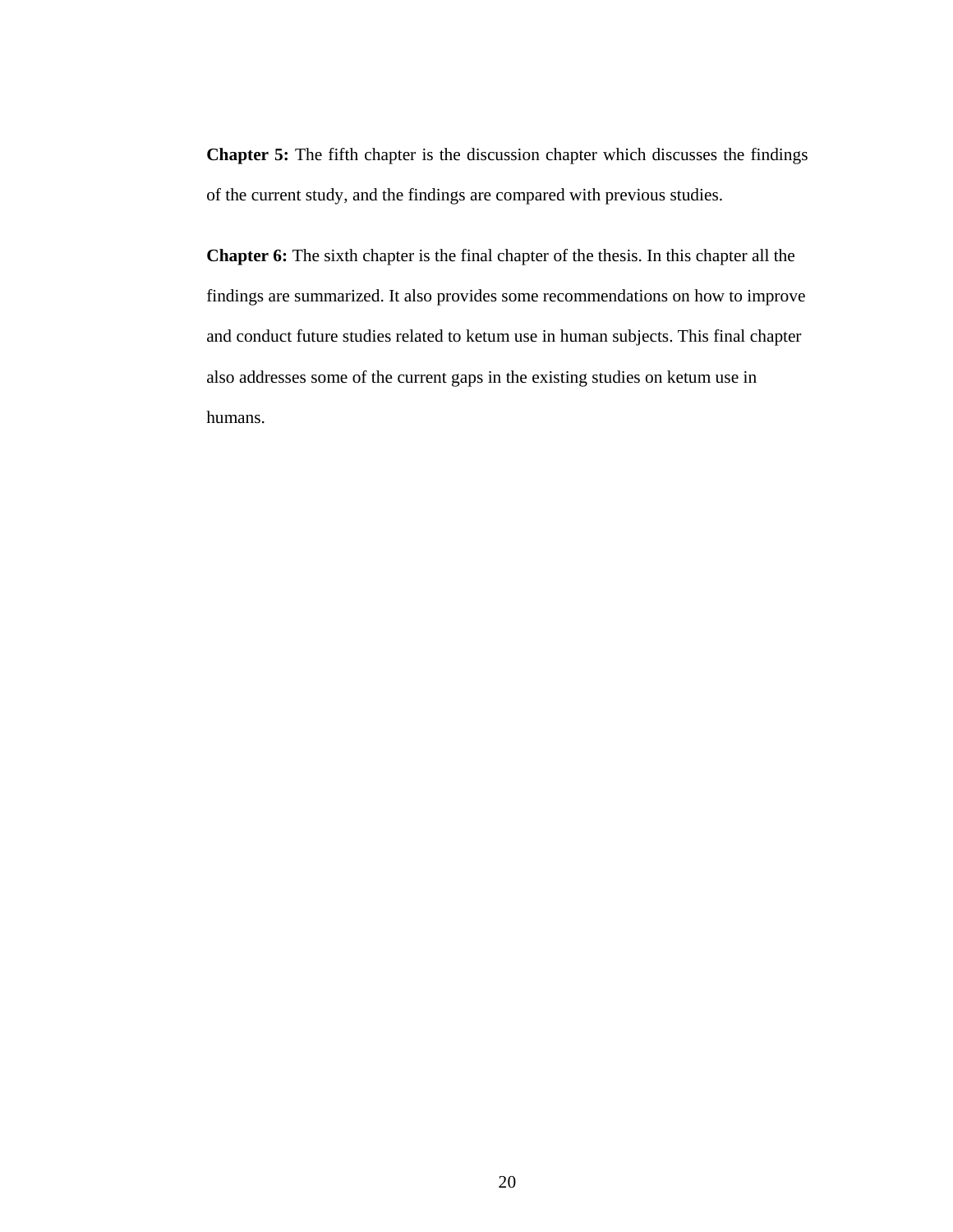**Chapter 5:** The fifth chapter is the discussion chapter which discusses the findings of the current study, and the findings are compared with previous studies.

**Chapter 6:** The sixth chapter is the final chapter of the thesis. In this chapter all the findings are summarized. It also provides some recommendations on how to improve and conduct future studies related to ketum use in human subjects. This final chapter also addresses some of the current gaps in the existing studies on ketum use in humans.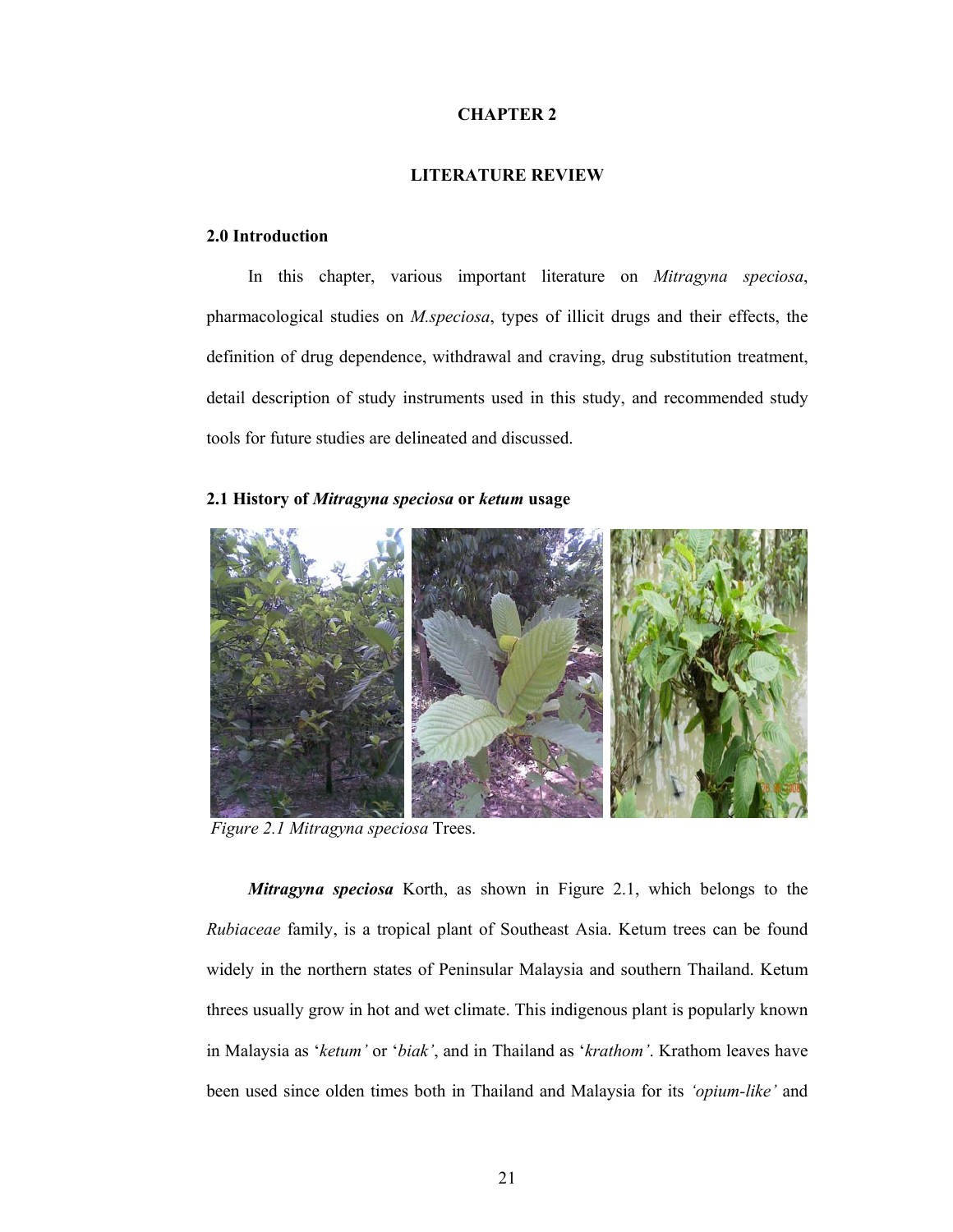## **CHAPTER 2**

## **LITERATURE REVIEW**

## **2.0 Introduction**

 In this chapter, various important literature on *Mitragyna speciosa*, pharmacological studies on *M.speciosa*, types of illicit drugs and their effects, the definition of drug dependence, withdrawal and craving, drug substitution treatment, detail description of study instruments used in this study, and recommended study tools for future studies are delineated and discussed.

## **2.1 History of** *Mitragyna speciosa* **or** *ketum* **usage**



*Figure 2.1 Mitragyna speciosa* Trees.

 *Mitragyna speciosa* Korth, as shown in Figure 2.1, which belongs to the *Rubiaceae* family, is a tropical plant of Southeast Asia. Ketum trees can be found widely in the northern states of Peninsular Malaysia and southern Thailand. Ketum threes usually grow in hot and wet climate. This indigenous plant is popularly known in Malaysia as '*ketum'* or '*biak'*, and in Thailand as '*krathom'*. Krathom leaves have been used since olden times both in Thailand and Malaysia for its *'opium-like'* and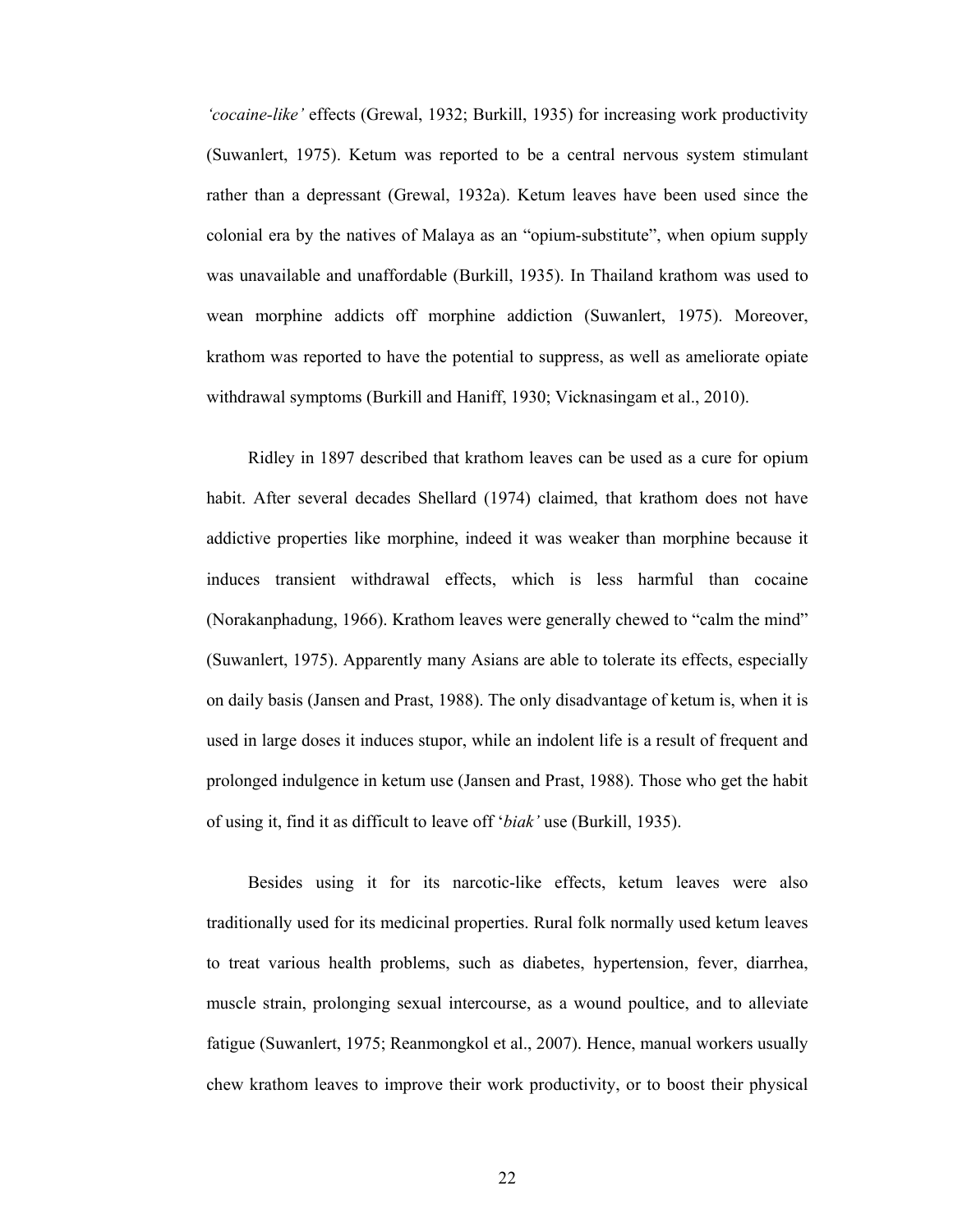*'cocaine-like'* effects (Grewal, 1932; Burkill, 1935) for increasing work productivity (Suwanlert, 1975). Ketum was reported to be a central nervous system stimulant rather than a depressant (Grewal, 1932a). Ketum leaves have been used since the colonial era by the natives of Malaya as an "opium-substitute", when opium supply was unavailable and unaffordable (Burkill, 1935). In Thailand krathom was used to wean morphine addicts off morphine addiction (Suwanlert, 1975). Moreover, krathom was reported to have the potential to suppress, as well as ameliorate opiate withdrawal symptoms (Burkill and Haniff, 1930; Vicknasingam et al., 2010).

 Ridley in 1897 described that krathom leaves can be used as a cure for opium habit. After several decades Shellard (1974) claimed, that krathom does not have addictive properties like morphine, indeed it was weaker than morphine because it induces transient withdrawal effects, which is less harmful than cocaine (Norakanphadung, 1966). Krathom leaves were generally chewed to "calm the mind" (Suwanlert, 1975). Apparently many Asians are able to tolerate its effects, especially on daily basis (Jansen and Prast, 1988). The only disadvantage of ketum is, when it is used in large doses it induces stupor, while an indolent life is a result of frequent and prolonged indulgence in ketum use (Jansen and Prast, 1988). Those who get the habit of using it, find it as difficult to leave off '*biak'* use (Burkill, 1935).

 Besides using it for its narcotic-like effects, ketum leaves were also traditionally used for its medicinal properties. Rural folk normally used ketum leaves to treat various health problems, such as diabetes, hypertension, fever, diarrhea, muscle strain, prolonging sexual intercourse, as a wound poultice, and to alleviate fatigue (Suwanlert, 1975; Reanmongkol et al., 2007). Hence, manual workers usually chew krathom leaves to improve their work productivity, or to boost their physical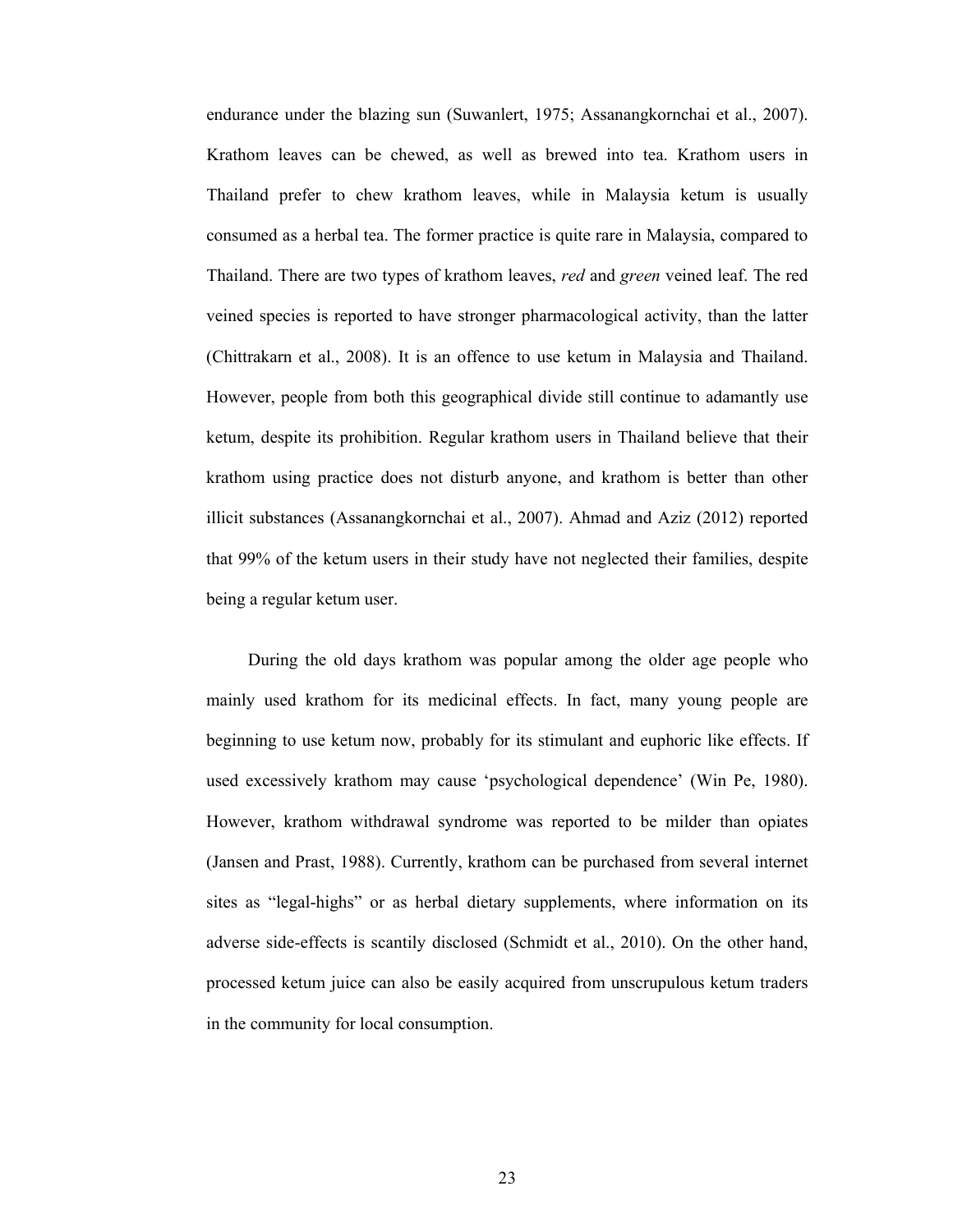endurance under the blazing sun (Suwanlert, 1975; Assanangkornchai et al., 2007). Krathom leaves can be chewed, as well as brewed into tea. Krathom users in Thailand prefer to chew krathom leaves, while in Malaysia ketum is usually consumed as a herbal tea. The former practice is quite rare in Malaysia, compared to Thailand. There are two types of krathom leaves, *red* and *green* veined leaf. The red veined species is reported to have stronger pharmacological activity, than the latter (Chittrakarn et al., 2008). It is an offence to use ketum in Malaysia and Thailand. However, people from both this geographical divide still continue to adamantly use ketum, despite its prohibition. Regular krathom users in Thailand believe that their krathom using practice does not disturb anyone, and krathom is better than other illicit substances (Assanangkornchai et al., 2007). Ahmad and Aziz (2012) reported that 99% of the ketum users in their study have not neglected their families, despite being a regular ketum user.

 During the old days krathom was popular among the older age people who mainly used krathom for its medicinal effects. In fact, many young people are beginning to use ketum now, probably for its stimulant and euphoric like effects. If used excessively krathom may cause 'psychological dependence' (Win Pe, 1980). However, krathom withdrawal syndrome was reported to be milder than opiates (Jansen and Prast, 1988). Currently, krathom can be purchased from several internet sites as "legal-highs" or as herbal dietary supplements, where information on its adverse side-effects is scantily disclosed (Schmidt et al., 2010). On the other hand, processed ketum juice can also be easily acquired from unscrupulous ketum traders in the community for local consumption.